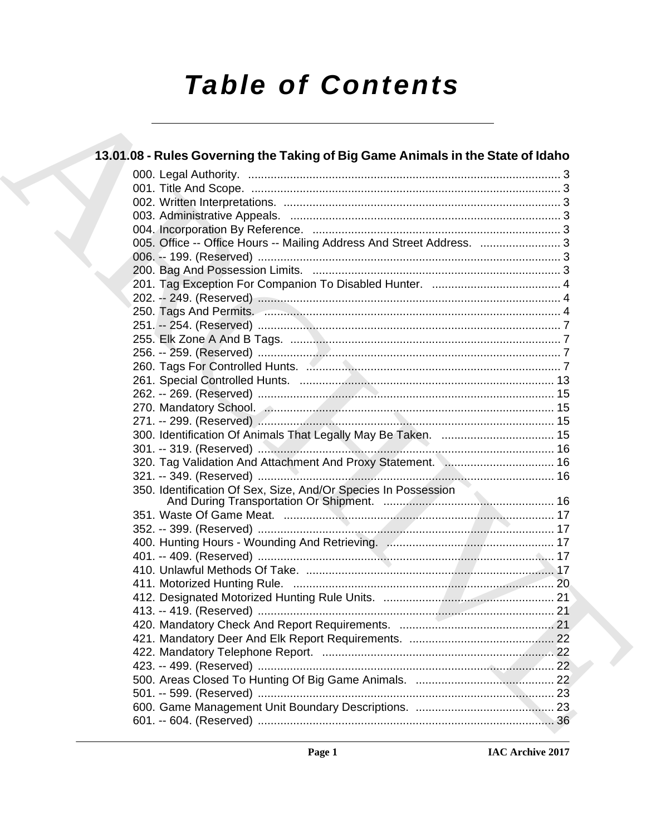# **Table of Contents**

| 13.01.08 - Rules Governing the Taking of Big Game Animals in the State of Idaho |  |
|---------------------------------------------------------------------------------|--|
|                                                                                 |  |
|                                                                                 |  |
|                                                                                 |  |
|                                                                                 |  |
|                                                                                 |  |
| 005. Office -- Office Hours -- Mailing Address And Street Address.  3           |  |
|                                                                                 |  |
|                                                                                 |  |
|                                                                                 |  |
|                                                                                 |  |
|                                                                                 |  |
|                                                                                 |  |
|                                                                                 |  |
|                                                                                 |  |
|                                                                                 |  |
|                                                                                 |  |
|                                                                                 |  |
|                                                                                 |  |
|                                                                                 |  |
|                                                                                 |  |
|                                                                                 |  |
| 320. Tag Validation And Attachment And Proxy Statement.  16                     |  |
|                                                                                 |  |
|                                                                                 |  |
|                                                                                 |  |
|                                                                                 |  |
|                                                                                 |  |
|                                                                                 |  |
|                                                                                 |  |
|                                                                                 |  |
|                                                                                 |  |
|                                                                                 |  |
|                                                                                 |  |
|                                                                                 |  |
|                                                                                 |  |
|                                                                                 |  |
|                                                                                 |  |
|                                                                                 |  |
|                                                                                 |  |
|                                                                                 |  |
|                                                                                 |  |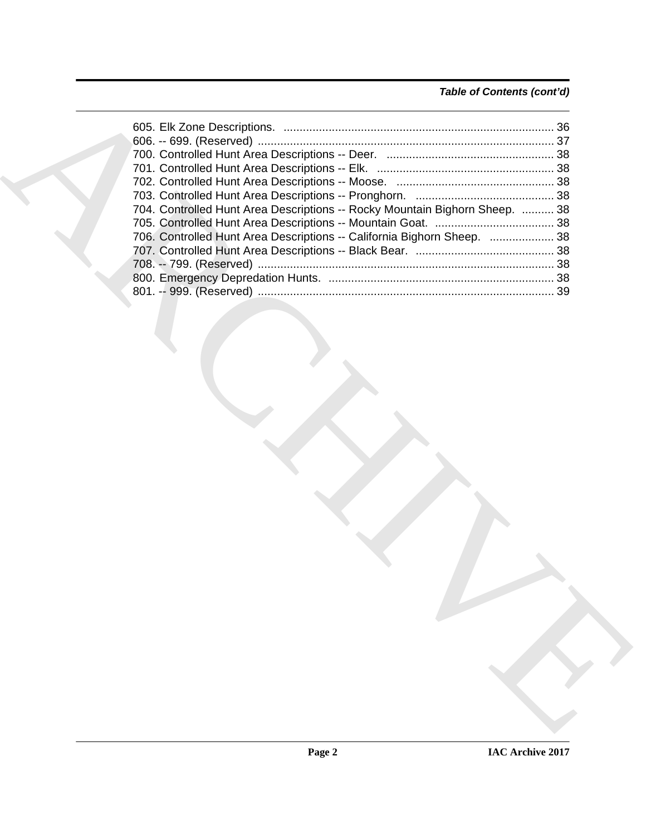### *Table of Contents (cont'd)*

| 704. Controlled Hunt Area Descriptions -- Rocky Mountain Bighorn Sheep.  38 |  |
|-----------------------------------------------------------------------------|--|
|                                                                             |  |
| 706. Controlled Hunt Area Descriptions -- California Bighorn Sheep.  38     |  |
|                                                                             |  |
|                                                                             |  |
|                                                                             |  |
|                                                                             |  |
|                                                                             |  |
|                                                                             |  |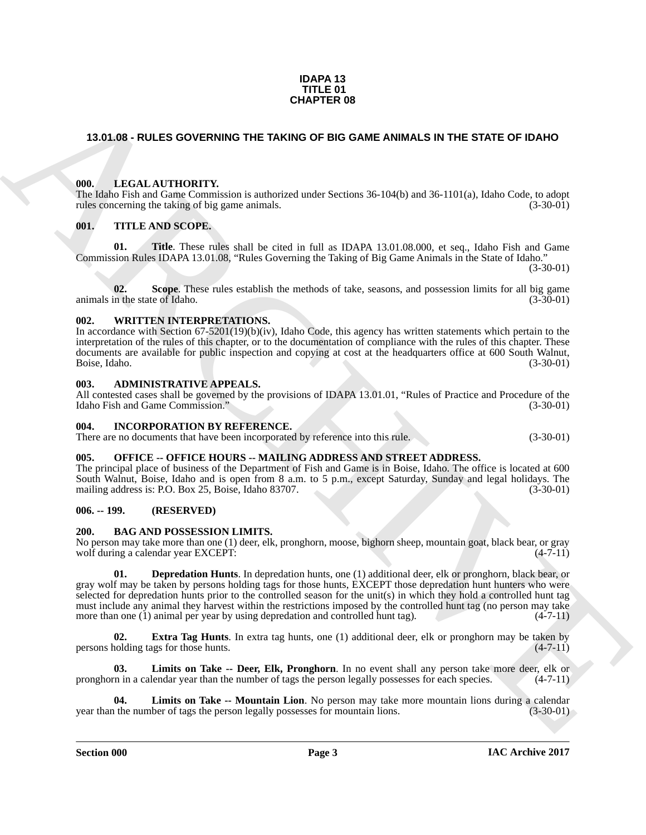#### **IDAPA 13 TITLE 01 CHAPTER 08**

### <span id="page-2-0"></span>**13.01.08 - RULES GOVERNING THE TAKING OF BIG GAME ANIMALS IN THE STATE OF IDAHO**

#### <span id="page-2-1"></span>**000. LEGAL AUTHORITY.**

The Idaho Fish and Game Commission is authorized under Sections 36-104(b) and 36-1101(a), Idaho Code, to adopt rules concerning the taking of big game animals. (3-30-01)

#### <span id="page-2-2"></span>**001. TITLE AND SCOPE.**

**01. Title**. These rules shall be cited in full as IDAPA 13.01.08.000, et seq., Idaho Fish and Game Commission Rules IDAPA 13.01.08, "Rules Governing the Taking of Big Game Animals in the State of Idaho."

(3-30-01)

**02.** Scope. These rules establish the methods of take, seasons, and possession limits for all big game in the state of Idaho. (3-30-01) animals in the state of Idaho.

#### <span id="page-2-3"></span>**002. WRITTEN INTERPRETATIONS.**

In accordance with Section 67-5201(19)(b)(iv), Idaho Code, this agency has written statements which pertain to the interpretation of the rules of this chapter, or to the documentation of compliance with the rules of this chapter. These documents are available for public inspection and copying at cost at the headquarters office at 600 South Walnut,<br>Boise, Idaho. (3-30-01) Boise, Idaho.

#### <span id="page-2-4"></span>**003. ADMINISTRATIVE APPEALS.**

All contested cases shall be governed by the provisions of IDAPA 13.01.01, "Rules of Practice and Procedure of the Idaho Fish and Game Commission." (3-30-01)

#### <span id="page-2-5"></span>**004. INCORPORATION BY REFERENCE.**

There are no documents that have been incorporated by reference into this rule. (3-30-01)

#### <span id="page-2-6"></span>**005. OFFICE -- OFFICE HOURS -- MAILING ADDRESS AND STREET ADDRESS.**

The principal place of business of the Department of Fish and Game is in Boise, Idaho. The office is located at 600 South Walnut, Boise, Idaho and is open from 8 a.m. to 5 p.m., except Saturday, Sunday and legal holidays. The mailing address is: P.O. Box 25, Boise, Idaho 83707. (3-30-01)

#### <span id="page-2-7"></span>**006. -- 199. (RESERVED)**

#### <span id="page-2-9"></span><span id="page-2-8"></span>**200. BAG AND POSSESSION LIMITS.**

<span id="page-2-10"></span>No person may take more than one (1) deer, elk, pronghorn, moose, bighorn sheep, mountain goat, black bear, or gray wolf during a calendar year EXCEPT: (4-7-11)

**CHAPTER OF**<br> **CHAPTER OF CONFORMATION (THE TAKING OF BIG GAME ANIMALS IN THE STATE OF IGNN)**<br> **CHAPTER OF THE ANS SCOPE**<br> **CHAPTER TREAT INTERFACTS**<br> **CHAPTER TREAT INTERFACTS**<br> **CHAPTER TREAT INTERFACTS**<br> **CHAPTER TREAT 01. Depredation Hunts**. In depredation hunts, one (1) additional deer, elk or pronghorn, black bear, or gray wolf may be taken by persons holding tags for those hunts, EXCEPT those depredation hunt hunters who were selected for depredation hunts prior to the controlled season for the unit(s) in which they hold a controlled hunt tag must include any animal they harvest within the restrictions imposed by the controlled hunt tag (no person may take more than one (1) animal per year by using depredation and controlled hunt tag).  $(4-7-11)$ 

<span id="page-2-11"></span>**02. Extra Tag Hunts**. In extra tag hunts, one (1) additional deer, elk or pronghorn may be taken by nolding tags for those hunts. (4-7-11) persons holding tags for those hunts.

<span id="page-2-12"></span>**03. Limits on Take -- Deer, Elk, Pronghorn**. In no event shall any person take more deer, elk or pronghorn in a calendar year than the number of tags the person legally possesses for each species. (4-7-11)

<span id="page-2-13"></span>**04. Limits on Take -- Mountain Lion**. No person may take more mountain lions during a calendar year than the number of tags the person legally possesses for mountain lions. (3-30-01)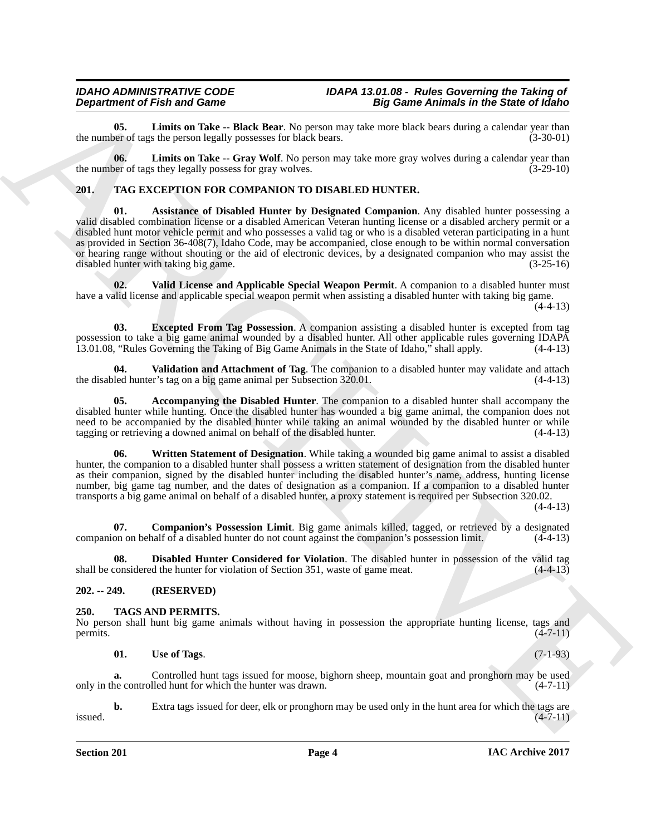<span id="page-3-3"></span>**05.** Limits on Take -- Black Bear. No person may take more black bears during a calendar year than ber of tags the person legally possesses for black bears. the number of tags the person legally possesses for black bears.

<span id="page-3-4"></span>**06. Limits on Take -- Gray Wolf**. No person may take more gray wolves during a calendar year than the number of tags they legally possess for gray wolves. (3-29-10)

#### <span id="page-3-7"></span><span id="page-3-5"></span><span id="page-3-0"></span>**201. TAG EXCEPTION FOR COMPANION TO DISABLED HUNTER.**

Department of Friedrich Control the Same Control of Control in the Same Animals in the Same Control of Control of Control in the Same Control of Control in the Same Control of Control in the Control of Control of Control **01. Assistance of Disabled Hunter by Designated Companion**. Any disabled hunter possessing a valid disabled combination license or a disabled American Veteran hunting license or a disabled archery permit or a disabled hunt motor vehicle permit and who possesses a valid tag or who is a disabled veteran participating in a hunt as provided in Section 36-408(7), Idaho Code, may be accompanied, close enough to be within normal conversation or hearing range without shouting or the aid of electronic devices, by a designated companion who may assist the disabled hunter with taking big game. (3-25-16)

<span id="page-3-11"></span>**02. Valid License and Applicable Special Weapon Permit**. A companion to a disabled hunter must have a valid license and applicable special weapon permit when assisting a disabled hunter with taking big game.  $(4-4-13)$ 

<span id="page-3-10"></span>**03. Excepted From Tag Possession**. A companion assisting a disabled hunter is excepted from tag possession to take a big game animal wounded by a disabled hunter. All other applicable rules governing IDAPA 13.01.08, "Rules Governing the Taking of Big Game Animals in the State of Idaho," shall apply. (4-4-13) 13.01.08, "Rules Governing the Taking of Big Game Animals in the State of Idaho," shall apply.

<span id="page-3-12"></span>**04. Validation and Attachment of Tag**. The companion to a disabled hunter may validate and attach the disabled hunter's tag on a big game animal per Subsection 320.01. (4-4-13)

<span id="page-3-6"></span>**05. Accompanying the Disabled Hunter**. The companion to a disabled hunter shall accompany the disabled hunter while hunting. Once the disabled hunter has wounded a big game animal, the companion does not need to be accompanied by the disabled hunter while taking an animal wounded by the disabled hunter or while tagging or retrieving a downed animal on behalf of the disabled hunter. (4-4-13) tagging or retrieving a downed animal on behalf of the disabled hunter.

<span id="page-3-13"></span>**06. Written Statement of Designation**. While taking a wounded big game animal to assist a disabled hunter, the companion to a disabled hunter shall possess a written statement of designation from the disabled hunter as their companion, signed by the disabled hunter including the disabled hunter's name, address, hunting license number, big game tag number, and the dates of designation as a companion. If a companion to a disabled hunter transports a big game animal on behalf of a disabled hunter, a proxy statement is required per Subsection 320.02.

 $(4-4-13)$ 

<span id="page-3-8"></span>**07. Companion's Possession Limit**. Big game animals killed, tagged, or retrieved by a designated on on behalf of a disabled hunter do not count against the companion's possession limit. (4-4-13) companion on behalf of a disabled hunter do not count against the companion's possession limit.

<span id="page-3-9"></span>**08. Disabled Hunter Considered for Violation**. The disabled hunter in possession of the valid tag shall be considered the hunter for violation of Section 351, waste of game meat. (4-4-13)

### <span id="page-3-1"></span>**202. -- 249. (RESERVED)**

### <span id="page-3-14"></span><span id="page-3-2"></span>**250. TAGS AND PERMITS.**

No person shall hunt big game animals without having in possession the appropriate hunting license, tags and permits.  $(4-7-11)$ permits.  $(4-7-11)$ 

<span id="page-3-15"></span>**01.** Use of Tags. (7-1-93)

**a.** Controlled hunt tags issued for moose, bighorn sheep, mountain goat and pronghorn may be used only in the controlled hunt for which the hunter was drawn. (4-7-11)

**b.** Extra tags issued for deer, elk or pronghorn may be used only in the hunt area for which the tags are  $(4-7-11)$  $i$ ssued.  $(4-7-11)$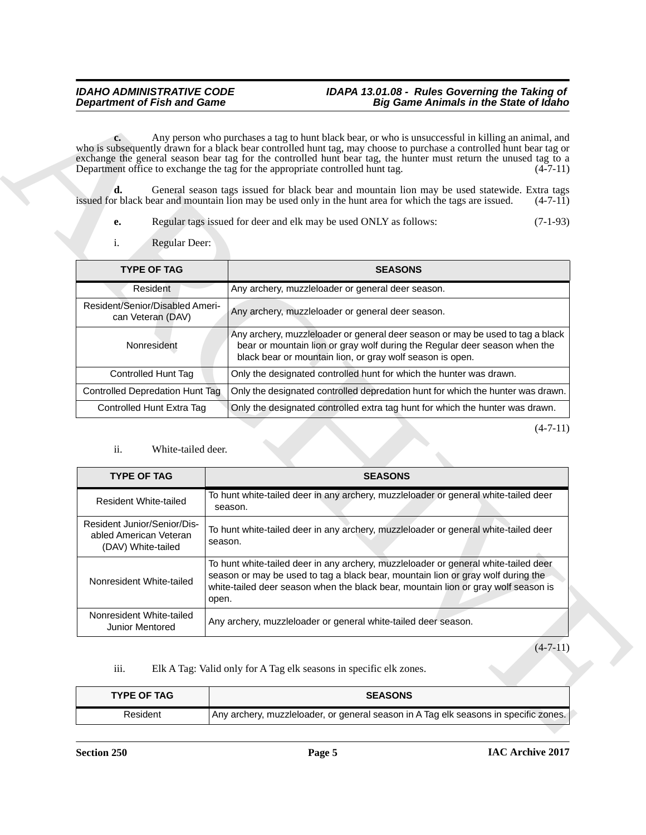### *IDAHO ADMINISTRATIVE CODE IDAPA 13.01.08 - Rules Governing the Taking of Department of Fish and Game Big Game Animals in the State of Idaho*

- **e.** Regular tags issued for deer and elk may be used ONLY as follows: (7-1-93)
- <span id="page-4-1"></span>i. Regular Deer:

| <b>TYPE OF TAG</b>                                   | <b>SEASONS</b>                                                                                                                                                                                                            |
|------------------------------------------------------|---------------------------------------------------------------------------------------------------------------------------------------------------------------------------------------------------------------------------|
| Resident                                             | Any archery, muzzleloader or general deer season.                                                                                                                                                                         |
| Resident/Senior/Disabled Ameri-<br>can Veteran (DAV) | Any archery, muzzleloader or general deer season.                                                                                                                                                                         |
| Nonresident                                          | Any archery, muzzleloader or general deer season or may be used to tag a black<br>bear or mountain lion or gray wolf during the Regular deer season when the<br>black bear or mountain lion, or gray wolf season is open. |
| Controlled Hunt Tag                                  | Only the designated controlled hunt for which the hunter was drawn.                                                                                                                                                       |
| <b>Controlled Depredation Hunt Tag</b>               | Only the designated controlled depredation hunt for which the hunter was drawn.                                                                                                                                           |
| Controlled Hunt Extra Tag                            | Only the designated controlled extra tag hunt for which the hunter was drawn.                                                                                                                                             |

#### <span id="page-4-2"></span>ii. White-tailed deer.

| <b>Department of Fish and Game</b>                                                                    |         | <b>Big Game Animals in the State of Idaho</b>                                                                                                                                                                                                                                                                                                                                                                                                                   |
|-------------------------------------------------------------------------------------------------------|---------|-----------------------------------------------------------------------------------------------------------------------------------------------------------------------------------------------------------------------------------------------------------------------------------------------------------------------------------------------------------------------------------------------------------------------------------------------------------------|
| $c_{\bullet}$<br>Department office to exchange the tag for the appropriate controlled hunt tag.<br>d. |         | Any person who purchases a tag to hunt black bear, or who is unsuccessful in killing an animal, and<br>who is subsequently drawn for a black bear controlled hunt tag, may choose to purchase a controlled hunt bear tag or<br>exchange the general season bear tag for the controlled hunt bear tag, the hunter must return the unused tag to a<br>$(4-7-11)$<br>General season tags issued for black bear and mountain lion may be used statewide. Extra tags |
|                                                                                                       |         | issued for black bear and mountain lion may be used only in the hunt area for which the tags are issued.<br>$(4-7-11)$                                                                                                                                                                                                                                                                                                                                          |
| е.                                                                                                    |         | Regular tags issued for deer and elk may be used ONLY as follows:<br>$(7-1-93)$                                                                                                                                                                                                                                                                                                                                                                                 |
| i.<br>Regular Deer:                                                                                   |         |                                                                                                                                                                                                                                                                                                                                                                                                                                                                 |
| <b>TYPE OF TAG</b>                                                                                    |         | <b>SEASONS</b>                                                                                                                                                                                                                                                                                                                                                                                                                                                  |
| Resident                                                                                              |         | Any archery, muzzleloader or general deer season.                                                                                                                                                                                                                                                                                                                                                                                                               |
| Resident/Senior/Disabled Ameri-<br>can Veteran (DAV)                                                  |         | Any archery, muzzleloader or general deer season.                                                                                                                                                                                                                                                                                                                                                                                                               |
| Nonresident                                                                                           |         | Any archery, muzzleloader or general deer season or may be used to tag a black<br>bear or mountain lion or gray wolf during the Regular deer season when the<br>black bear or mountain lion, or gray wolf season is open.                                                                                                                                                                                                                                       |
|                                                                                                       |         |                                                                                                                                                                                                                                                                                                                                                                                                                                                                 |
| <b>Controlled Hunt Tag</b>                                                                            |         | Only the designated controlled hunt for which the hunter was drawn.                                                                                                                                                                                                                                                                                                                                                                                             |
| <b>Controlled Depredation Hunt Tag</b>                                                                |         | Only the designated controlled depredation hunt for which the hunter was drawn.                                                                                                                                                                                                                                                                                                                                                                                 |
| Controlled Hunt Extra Tag                                                                             |         | Only the designated controlled extra tag hunt for which the hunter was drawn.<br>$(4-7-11)$                                                                                                                                                                                                                                                                                                                                                                     |
| ii.<br>White-tailed deer.<br><b>TYPE OF TAG</b>                                                       |         | <b>SEASONS</b>                                                                                                                                                                                                                                                                                                                                                                                                                                                  |
| <b>Resident White-tailed</b>                                                                          | season. | To hunt white-tailed deer in any archery, muzzleloader or general white-tailed deer                                                                                                                                                                                                                                                                                                                                                                             |
| Resident Junior/Senior/Dis-<br>abled American Veteran<br>(DAV) White-tailed                           | season. | To hunt white-tailed deer in any archery, muzzleloader or general white-tailed deer                                                                                                                                                                                                                                                                                                                                                                             |
| Nonresident White-tailed                                                                              | open.   | To hunt white-tailed deer in any archery, muzzleloader or general white-tailed deer<br>season or may be used to tag a black bear, mountain lion or gray wolf during the<br>white-tailed deer season when the black bear, mountain lion or gray wolf season is                                                                                                                                                                                                   |
| Nonresident White-tailed<br>Junior Mentored                                                           |         | Any archery, muzzleloader or general white-tailed deer season.                                                                                                                                                                                                                                                                                                                                                                                                  |
|                                                                                                       |         | $(4-7-11)$                                                                                                                                                                                                                                                                                                                                                                                                                                                      |
| iii.                                                                                                  |         | Elk A Tag: Valid only for A Tag elk seasons in specific elk zones.                                                                                                                                                                                                                                                                                                                                                                                              |
| <b>TYPE OF TAG</b>                                                                                    |         | <b>SEASONS</b>                                                                                                                                                                                                                                                                                                                                                                                                                                                  |

<span id="page-4-0"></span>

| <b>TYPE OF TAG</b> | <b>SEASONS</b>                                                                       |
|--------------------|--------------------------------------------------------------------------------------|
| Resident           | Any archery, muzzleloader, or general season in A Tag elk seasons in specific zones. |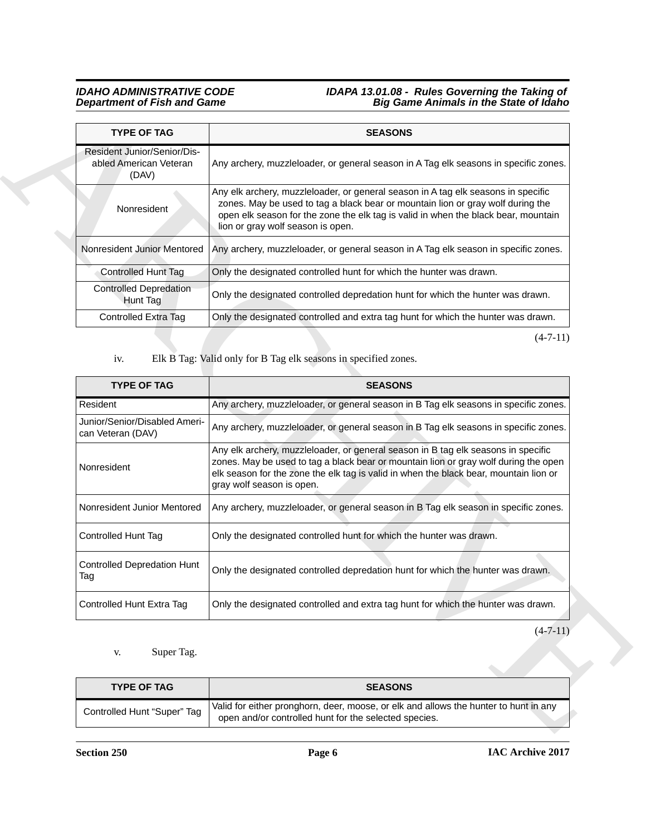#### *IDAHO ADMINISTRATIVE CODE IDAPA 13.01.08 - Rules Governing the Taking of Department of Fish and Game Big Game Animals in the State of Idaho*

<span id="page-5-0"></span>

| <b>TYPE OF TAG</b>                                             | <b>SEASONS</b>                                                                                                                                                                                                                                                                                  |
|----------------------------------------------------------------|-------------------------------------------------------------------------------------------------------------------------------------------------------------------------------------------------------------------------------------------------------------------------------------------------|
| Resident Junior/Senior/Dis-<br>abled American Veteran<br>(DAV) | Any archery, muzzleloader, or general season in A Tag elk seasons in specific zones.                                                                                                                                                                                                            |
| Nonresident                                                    | Any elk archery, muzzleloader, or general season in A tag elk seasons in specific<br>zones. May be used to tag a black bear or mountain lion or gray wolf during the<br>open elk season for the zone the elk tag is valid in when the black bear, mountain<br>lion or gray wolf season is open. |
| Nonresident Junior Mentored                                    | Any archery, muzzleloader, or general season in A Tag elk season in specific zones.                                                                                                                                                                                                             |
| <b>Controlled Hunt Tag</b>                                     | Only the designated controlled hunt for which the hunter was drawn.                                                                                                                                                                                                                             |
| <b>Controlled Depredation</b><br>Hunt Tag                      | Only the designated controlled depredation hunt for which the hunter was drawn.                                                                                                                                                                                                                 |
| Controlled Extra Tag                                           | Only the designated controlled and extra tag hunt for which the hunter was drawn.                                                                                                                                                                                                               |

| <b>TYPE OF TAG</b>                                             | <b>SEASONS</b>                                                                                                                                                                                                                                                                                  |
|----------------------------------------------------------------|-------------------------------------------------------------------------------------------------------------------------------------------------------------------------------------------------------------------------------------------------------------------------------------------------|
| Resident Junior/Senior/Dis-<br>abled American Veteran<br>(DAV) | Any archery, muzzleloader, or general season in A Tag elk seasons in specific zones.                                                                                                                                                                                                            |
| Nonresident                                                    | Any elk archery, muzzleloader, or general season in A tag elk seasons in specific<br>zones. May be used to tag a black bear or mountain lion or gray wolf during the<br>open elk season for the zone the elk tag is valid in when the black bear, mountain<br>lion or gray wolf season is open. |
| Nonresident Junior Mentored                                    | Any archery, muzzleloader, or general season in A Tag elk season in specific zones.                                                                                                                                                                                                             |
| <b>Controlled Hunt Tag</b>                                     | Only the designated controlled hunt for which the hunter was drawn.                                                                                                                                                                                                                             |
| <b>Controlled Depredation</b><br>Hunt Tag                      | Only the designated controlled depredation hunt for which the hunter was drawn.                                                                                                                                                                                                                 |
| Controlled Extra Tag                                           | Only the designated controlled and extra tag hunt for which the hunter was drawn.                                                                                                                                                                                                               |
| iv.                                                            | $(4-7-11)$<br>Elk B Tag: Valid only for B Tag elk seasons in specified zones.                                                                                                                                                                                                                   |
| <b>TYPE OF TAG</b>                                             | <b>SEASONS</b>                                                                                                                                                                                                                                                                                  |
| Resident                                                       | Any archery, muzzleloader, or general season in B Tag elk seasons in specific zones.                                                                                                                                                                                                            |
| Junior/Senior/Disabled Ameri-<br>can Veteran (DAV)             | Any archery, muzzleloader, or general season in B Tag elk seasons in specific zones.                                                                                                                                                                                                            |
|                                                                | Any elk archery, muzzleloader, or general season in B tag elk seasons in specific                                                                                                                                                                                                               |
| Nonresident                                                    | elk season for the zone the elk tag is valid in when the black bear, mountain lion or<br>gray wolf season is open.                                                                                                                                                                              |
| Nonresident Junior Mentored                                    |                                                                                                                                                                                                                                                                                                 |
| Controlled Hunt Tag                                            | Only the designated controlled hunt for which the hunter was drawn.                                                                                                                                                                                                                             |
| <b>Controlled Depredation Hunt</b><br>Tag                      | Only the designated controlled depredation hunt for which the hunter was drawn.                                                                                                                                                                                                                 |
| Controlled Hunt Extra Tag                                      | zones. May be used to tag a black bear or mountain lion or gray wolf during the open<br>Any archery, muzzleloader, or general season in B Tag elk season in specific zones.<br>Only the designated controlled and extra tag hunt for which the hunter was drawn.                                |
|                                                                | $(4-7-11)$                                                                                                                                                                                                                                                                                      |
| Super Tag.<br>V.                                               |                                                                                                                                                                                                                                                                                                 |
| <b>TYPE OF TAG</b>                                             | <b>SEASONS</b>                                                                                                                                                                                                                                                                                  |

<span id="page-5-1"></span>

| <b>TYPE OF TAG</b>          | <b>SEASONS</b>                                                                                                                                |
|-----------------------------|-----------------------------------------------------------------------------------------------------------------------------------------------|
| Controlled Hunt "Super" Tag | Valid for either pronghorn, deer, moose, or elk and allows the hunter to hunt in any<br>open and/or controlled hunt for the selected species. |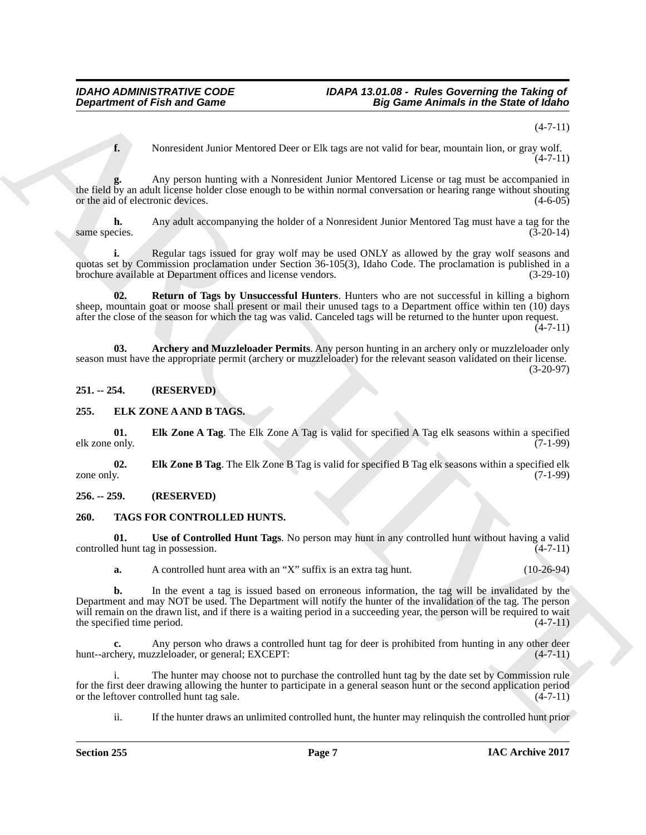(4-7-11)

**f.** Nonresident Junior Mentored Deer or Elk tags are not valid for bear, mountain lion, or gray wolf.  $(4 - 7 - 11)$ 

**g.** Any person hunting with a Nonresident Junior Mentored License or tag must be accompanied in the field by an adult license holder close enough to be within normal conversation or hearing range without shouting or the aid of electronic devices.  $(4-6-05)$ 

**h.** Any adult accompanying the holder of a Nonresident Junior Mentored Tag must have a tag for the cies. (3-20-14) same species.

**i.** Regular tags issued for gray wolf may be used ONLY as allowed by the gray wolf seasons and quotas set by Commission proclamation under Section 36-105(3), Idaho Code. The proclamation is published in a brochure available at Department offices and license vendors. (3-29-10)

<span id="page-6-8"></span>**02. Return of Tags by Unsuccessful Hunters**. Hunters who are not successful in killing a bighorn sheep, mountain goat or moose shall present or mail their unused tags to a Department office within ten (10) days after the close of the season for which the tag was valid. Canceled tags will be returned to the hunter upon request.  $(4 - 7 - 11)$ 

<span id="page-6-7"></span>**03. Archery and Muzzleloader Permits**. Any person hunting in an archery only or muzzleloader only season must have the appropriate permit (archery or muzzleloader) for the relevant season validated on their license. (3-20-97)

<span id="page-6-0"></span>**251. -- 254. (RESERVED)**

#### <span id="page-6-4"></span><span id="page-6-1"></span>**255. ELK ZONE A AND B TAGS.**

<span id="page-6-5"></span>**01. Elk Zone A Tag**. The Elk Zone A Tag is valid for specified A Tag elk seasons within a specified elk zone only.

<span id="page-6-6"></span>**02. Elk Zone B Tag**. The Elk Zone B Tag is valid for specified B Tag elk seasons within a specified elk zone only. (7-1-99)

#### <span id="page-6-2"></span>**256. -- 259. (RESERVED)**

#### <span id="page-6-9"></span><span id="page-6-3"></span>**260. TAGS FOR CONTROLLED HUNTS.**

**01.** Use of Controlled Hunt Tags. No person may hunt in any controlled hunt without having a valid d hunt tag in possession. (4-7-11) controlled hunt tag in possession.

<span id="page-6-10"></span>**a.** A controlled hunt area with an "X" suffix is an extra tag hunt. (10-26-94)

**Department of Frish and Game**<br> **A**<br> **Expansion of Frish and Game**<br> **Expansion of Frish and Game**<br> **Expansion have been consistent lices of FR rigo are constraint for the consistent in the state of Edition<br>
<b>Archives the b.** In the event a tag is issued based on erroneous information, the tag will be invalidated by the Department and may NOT be used. The Department will notify the hunter of the invalidation of the tag. The person will remain on the drawn list, and if there is a waiting period in a succeeding year, the person will be required to wait the specified time period.  $(4-7-11)$ 

**c.** Any person who draws a controlled hunt tag for deer is prohibited from hunting in any other deer chery, muzzleloader, or general; EXCEPT:  $(4-7-11)$ hunt--archery, muzzleloader, or general; EXCEPT:

i. The hunter may choose not to purchase the controlled hunt tag by the date set by Commission rule for the first deer drawing allowing the hunter to participate in a general season hunt or the second application period<br>or the leftover controlled hunt tag sale. or the leftover controlled hunt tag sale.

ii. If the hunter draws an unlimited controlled hunt, the hunter may relinquish the controlled hunt prior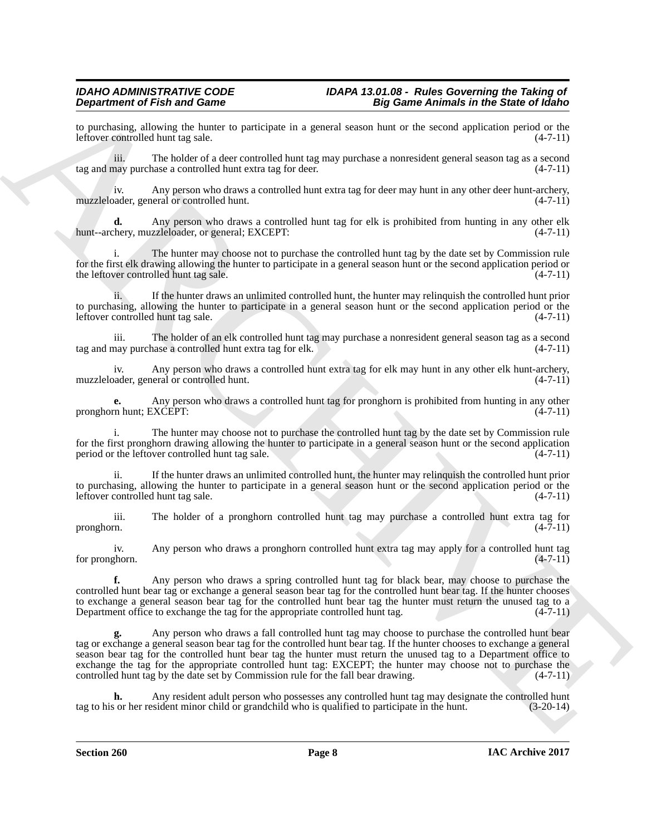to purchasing, allowing the hunter to participate in a general season hunt or the second application period or the leftover controlled hunt tag sale. (4-7-11) leftover controlled hunt tag sale.

iii. The holder of a deer controlled hunt tag may purchase a nonresident general season tag as a second tag and may purchase a controlled hunt extra tag for deer.

iv. Any person who draws a controlled hunt extra tag for deer may hunt in any other deer hunt-archery,<br>
(4-7-11) muzzleloader, general or controlled hunt.

**d.** Any person who draws a controlled hunt tag for elk is prohibited from hunting in any other elk hery, muzzleloader, or general; EXCEPT:  $(4-7-11)$ hunt--archery, muzzleloader, or general; EXCEPT:

i. The hunter may choose not to purchase the controlled hunt tag by the date set by Commission rule for the first elk drawing allowing the hunter to participate in a general season hunt or the second application period or the leftover controlled hunt tag sale.  $(4-7-11)$ 

ii. If the hunter draws an unlimited controlled hunt, the hunter may relinquish the controlled hunt prior to purchasing, allowing the hunter to participate in a general season hunt or the second application period or the leftover controlled hunt tag sale. (4-7-11)

iii. The holder of an elk controlled hunt tag may purchase a nonresident general season tag as a second tag and may purchase a controlled hunt extra tag for elk.

iv. Any person who draws a controlled hunt extra tag for elk may hunt in any other elk hunt-archery, muzzleloader, general or controlled hunt. (4-7-11)

**e.** Any person who draws a controlled hunt tag for pronghorn is prohibited from hunting in any other m hunt: EXCEPT:  $(4-7-11)$ pronghorn hunt; EXCEPT:

i. The hunter may choose not to purchase the controlled hunt tag by the date set by Commission rule for the first pronghorn drawing allowing the hunter to participate in a general season hunt or the second application period or the leftover controlled hunt tag sale. (4-7-11)

ii. If the hunter draws an unlimited controlled hunt, the hunter may relinquish the controlled hunt prior to purchasing, allowing the hunter to participate in a general season hunt or the second application period or the leftover controlled hunt tag sale.  $(4-7-11)$ leftover controlled hunt tag sale.

iii. The holder of a pronghorn controlled hunt tag may purchase a controlled hunt extra tag for pronghorn. (4-7-11)

iv. Any person who draws a pronghorn controlled hunt extra tag may apply for a controlled hunt tag for pronghorn.

**f.** Any person who draws a spring controlled hunt tag for black bear, may choose to purchase the controlled hunt bear tag or exchange a general season bear tag for the controlled hunt bear tag. If the hunter chooses to exchange a general season bear tag for the controlled hunt bear tag the hunter must return the unused tag to a Department office to exchange the tag for the appropriate controlled hunt tag. (4-7-11)

**Dependention of Friedrich and Some Control and Some Animals in the Some Delay of the Some Prophetical Society of the Society of the Society of the Society of the Society of the Society of the Society of the Society of th g.** Any person who draws a fall controlled hunt tag may choose to purchase the controlled hunt bear tag or exchange a general season bear tag for the controlled hunt bear tag. If the hunter chooses to exchange a general season bear tag for the controlled hunt bear tag the hunter must return the unused tag to a Department office to exchange the tag for the appropriate controlled hunt tag: EXCEPT; the hunter may choose not to purchase the controlled hunt tag by the date set by Commission rule for the fall bear drawing. (4-7-11)

**h.** Any resident adult person who possesses any controlled hunt tag may designate the controlled hunt or so ther resident minor child or grandchild who is qualified to participate in the hunt. (3-20-14) tag to his or her resident minor child or grandchild who is qualified to participate in the hunt.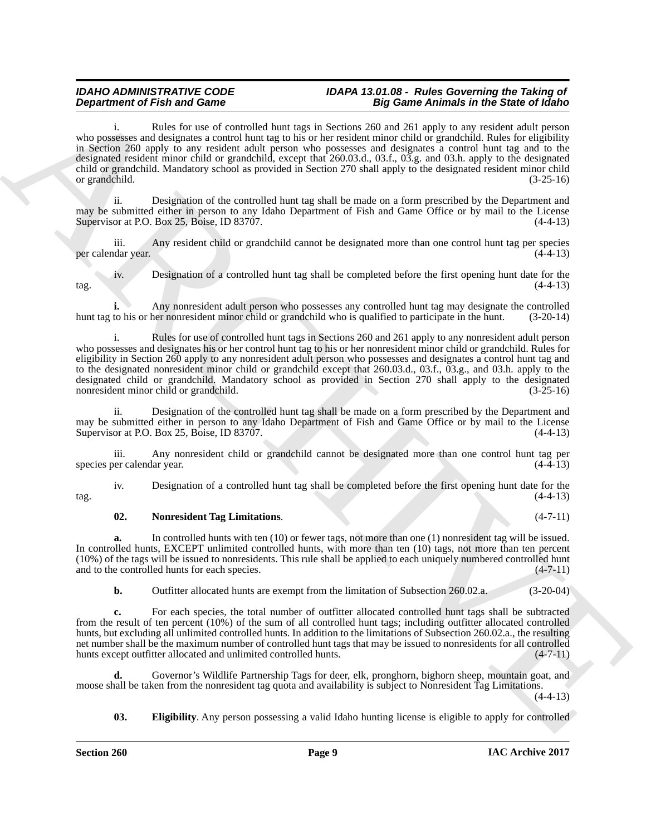**Department of Fair and Sample Language and Sample 200 and Sample Animals in the Same Distribution of Fair and Sample Same Distribution of Sample Same Distribution of Sample Same Distribution in the Same Distribution of S** i. Rules for use of controlled hunt tags in Sections 260 and 261 apply to any resident adult person who possesses and designates a control hunt tag to his or her resident minor child or grandchild. Rules for eligibility in Section 260 apply to any resident adult person who possesses and designates a control hunt tag and to the designated resident minor child or grandchild, except that 260.03.d., 03.f., 03.g. and 03.h. apply to the designated child or grandchild. Mandatory school as provided in Section 270 shall apply to the designated resident minor child or grandchild. (3-25-16)

ii. Designation of the controlled hunt tag shall be made on a form prescribed by the Department and may be submitted either in person to any Idaho Department of Fish and Game Office or by mail to the License Supervisor at P.O. Box 25, Boise, ID 83707. (4-4-13)

iii. Any resident child or grandchild cannot be designated more than one control hunt tag per species (4-4-13) per calendar year.

iv. Designation of a controlled hunt tag shall be completed before the first opening hunt date for the  $\frac{1}{4-4-13}$  (4-4-13)

**i.** Any nonresident adult person who possesses any controlled hunt tag may designate the controlled hunt tag to his or her nonresident minor child or grandchild who is qualified to participate in the hunt. (3-20-14)

i. Rules for use of controlled hunt tags in Sections 260 and 261 apply to any nonresident adult person who possesses and designates his or her control hunt tag to his or her nonresident minor child or grandchild. Rules for eligibility in Section 260 apply to any nonresident adult person who possesses and designates a control hunt tag and to the designated nonresident minor child or grandchild except that 260.03.d., 03.f., 03.g., and 03.h. apply to the designated child or grandchild. Mandatory school as provided in Section 270 shall apply to the designated nonresident minor child or grandchild. (3-25-16)

ii. Designation of the controlled hunt tag shall be made on a form prescribed by the Department and may be submitted either in person to any Idaho Department of Fish and Game Office or by mail to the License Supervisor at P.O. Box 25, Boise, ID 83707. (4-4-13)

iii. Any nonresident child or grandchild cannot be designated more than one control hunt tag per calendar year. (4-4-13) species per calendar year.

iv. Designation of a controlled hunt tag shall be completed before the first opening hunt date for the  $\frac{1}{4-4-13}$  (4-4-13)

#### <span id="page-8-1"></span>**02. Nonresident Tag Limitations**. (4-7-11)

**a.** In controlled hunts with ten (10) or fewer tags, not more than one (1) nonresident tag will be issued. In controlled hunts, EXCEPT unlimited controlled hunts, with more than ten (10) tags, not more than ten percent (10%) of the tags will be issued to nonresidents. This rule shall be applied to each uniquely numbered controlled hunt and to the controlled hunts for each species. (4-7-11)

**b.** Outfitter allocated hunts are exempt from the limitation of Subsection 260.02.a. (3-20-04)

**c.** For each species, the total number of outfitter allocated controlled hunt tags shall be subtracted from the result of ten percent (10%) of the sum of all controlled hunt tags; including outfitter allocated controlled hunts, but excluding all unlimited controlled hunts. In addition to the limitations of Subsection 260.02.a., the resulting net number shall be the maximum number of controlled hunt tags that may be issued to nonresidents for all controlled<br>hunts except outfitter allocated and unlimited controlled hunts. (4-7-11) hunts except outfitter allocated and unlimited controlled hunts.

**d.** Governor's Wildlife Partnership Tags for deer, elk, pronghorn, bighorn sheep, mountain goat, and moose shall be taken from the nonresident tag quota and availability is subject to Nonresident Tag Limitations. (4-4-13)

<span id="page-8-0"></span>**03. Eligibility**. Any person possessing a valid Idaho hunting license is eligible to apply for controlled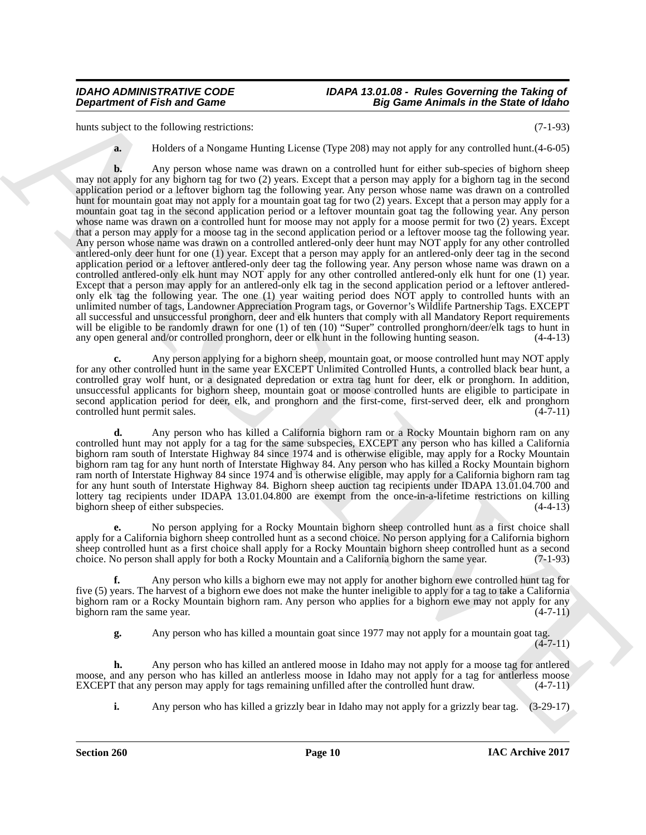hunts subject to the following restrictions: (7-1-93)

**a.** Holders of a Nongame Hunting License (Type 208) may not apply for any controlled hunt.  $(4-6-05)$ 

**Department of Fish and Game<br>
Summatrix the Summatrix through the state of the Summatrix three controls in the Summatrix three controls in the Summatrix three controls in the Summatrix three controls in the Summatrix thre b.** Any person whose name was drawn on a controlled hunt for either sub-species of bighorn sheep may not apply for any bighorn tag for two (2) years. Except that a person may apply for a bighorn tag in the second application period or a leftover bighorn tag the following year. Any person whose name was drawn on a controlled hunt for mountain goat may not apply for a mountain goat tag for two (2) years. Except that a person may apply for a mountain goat tag in the second application period or a leftover mountain goat tag the following year. Any person whose name was drawn on a controlled hunt for moose may not apply for a moose permit for two (2) years. Except that a person may apply for a moose tag in the second application period or a leftover moose tag the following year. Any person whose name was drawn on a controlled antlered-only deer hunt may NOT apply for any other controlled antlered-only deer hunt for one (1) year. Except that a person may apply for an antlered-only deer tag in the second application period or a leftover antlered-only deer tag the following year. Any person whose name was drawn on a controlled antlered-only elk hunt may NOT apply for any other controlled antlered-only elk hunt for one (1) year. Except that a person may apply for an antlered-only elk tag in the second application period or a leftover antleredonly elk tag the following year. The one (1) year waiting period does NOT apply to controlled hunts with an unlimited number of tags, Landowner Appreciation Program tags, or Governor's Wildlife Partnership Tags. EXCEPT all successful and unsuccessful pronghorn, deer and elk hunters that comply with all Mandatory Report requirements will be eligible to be randomly drawn for one (1) of ten (10) "Super" controlled pronghorn/deer/elk tags to hunt in any open general and/or controlled pronghorn, deer or elk hunt in the following hunting season. (4-4-13)

**c.** Any person applying for a bighorn sheep, mountain goat, or moose controlled hunt may NOT apply for any other controlled hunt in the same year EXCEPT Unlimited Controlled Hunts, a controlled black bear hunt, a controlled gray wolf hunt, or a designated depredation or extra tag hunt for deer, elk or pronghorn. In addition, unsuccessful applicants for bighorn sheep, mountain goat or moose controlled hunts are eligible to participate in second application period for deer, elk, and pronghorn and the first-come, first-served deer, elk and pronghorn controlled hunt permit sales.

**d.** Any person who has killed a California bighorn ram or a Rocky Mountain bighorn ram on any controlled hunt may not apply for a tag for the same subspecies, EXCEPT any person who has killed a California bighorn ram south of Interstate Highway 84 since 1974 and is otherwise eligible, may apply for a Rocky Mountain bighorn ram tag for any hunt north of Interstate Highway 84. Any person who has killed a Rocky Mountain bighorn ram north of Interstate Highway 84 since 1974 and is otherwise eligible, may apply for a California bighorn ram tag for any hunt south of Interstate Highway 84. Bighorn sheep auction tag recipients under IDAPA 13.01.04.700 and lottery tag recipients under IDAPA 13.01.04.800 are exempt from the once-in-a-lifetime restrictions on killing bighorn sheep of either subspecies. (4-4-13)

**e.** No person applying for a Rocky Mountain bighorn sheep controlled hunt as a first choice shall apply for a California bighorn sheep controlled hunt as a second choice. No person applying for a California bighorn sheep controlled hunt as a first choice shall apply for a Rocky Mountain bighorn sheep controlled hunt as a second choice. No person shall apply for both a Rocky Mountain and a California bighorn the same year. (7-1-93)

**f.** Any person who kills a bighorn ewe may not apply for another bighorn ewe controlled hunt tag for five (5) years. The harvest of a bighorn ewe does not make the hunter ineligible to apply for a tag to take a California bighorn ram or a Rocky Mountain bighorn ram. Any person who applies for a bighorn ewe may not apply for any bighorn ram the same year. (4-7-11)

**g.** Any person who has killed a mountain goat since 1977 may not apply for a mountain goat tag.  $(4 - 7 - 11)$ 

**h.** Any person who has killed an antlered moose in Idaho may not apply for a moose tag for antlered moose, and any person who has killed an antlerless moose in Idaho may not apply for a tag for antlerless moose EXCEPT that any person may apply for tags remaining unfilled after the controlled hunt draw. (4-7-11)

**i.** Any person who has killed a grizzly bear in Idaho may not apply for a grizzly bear tag. (3-29-17)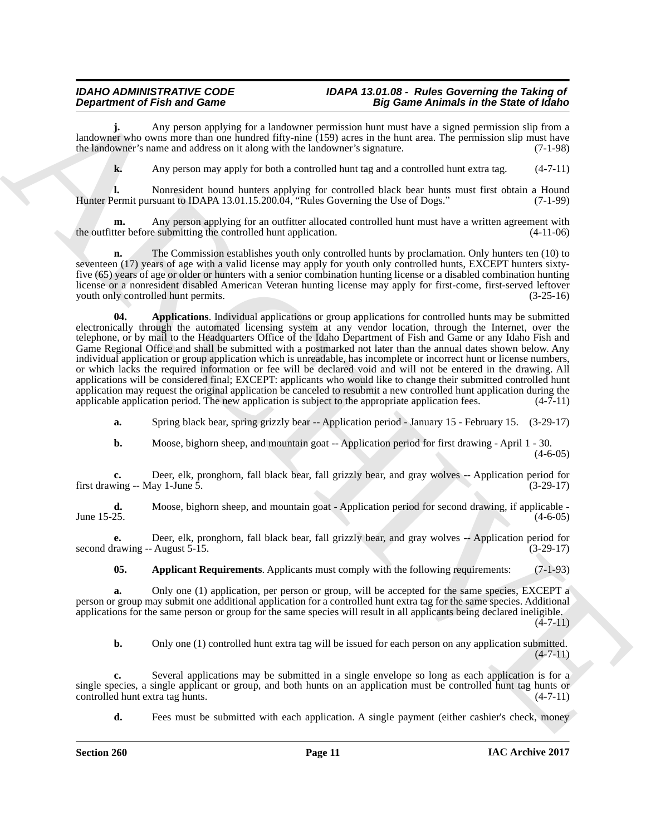**j.** Any person applying for a landowner permission hunt must have a signed permission slip from a landowner who owns more than one hundred fifty-nine (159) acres in the hunt area. The permission slip must have the landowner's name and address on it along with the landowner's signature. (7-1-98)

**k.** Any person may apply for both a controlled hunt tag and a controlled hunt extra tag.  $(4-7-11)$ 

**l.** Nonresident hound hunters applying for controlled black bear hunts must first obtain a Hound Permit pursuant to IDAPA 13.01.15.200.04. "Rules Governing the Use of Dogs." (7-1-99) Hunter Permit pursuant to IDAPA 13.01.15.200.04, "Rules Governing the Use of Dogs."

Any person applying for an outfitter allocated controlled hunt must have a written agreement with e submitting the controlled hunt application.  $(4-11-06)$ the outfitter before submitting the controlled hunt application.

<span id="page-10-1"></span>**n.** The Commission establishes youth only controlled hunts by proclamation. Only hunters ten (10) to seventeen (17) years of age with a valid license may apply for youth only controlled hunts, EXCEPT hunters sixtyfive (65) years of age or older or hunters with a senior combination hunting license or a disabled combination hunting license or a nonresident disabled American Veteran hunting license may apply for first-come, first-served leftover<br>youth only controlled hunt permits. (3-25-16) youth only controlled hunt permits.

**Department of Frain and Game supply the main diagnosis and the main diagnosis and Edison Edison Edison Edison Edison Edison Edison Edison Edison Edison Edison Edison Edison Edison Edison Edison Edison Edison Edison Ediso 04. Applications**. Individual applications or group applications for controlled hunts may be submitted electronically through the automated licensing system at any vendor location, through the Internet, over the telephone, or by mail to the Headquarters Office of the Idaho Department of Fish and Game or any Idaho Fish and Game Regional Office and shall be submitted with a postmarked not later than the annual dates shown below. Any individual application or group application which is unreadable, has incomplete or incorrect hunt or license numbers, or which lacks the required information or fee will be declared void and will not be entered in the drawing. All applications will be considered final; EXCEPT: applicants who would like to change their submitted controlled hunt application may request the original application be canceled to resubmit a new controlled hunt application during the applicable application period. The new application is subject to the appropriate application fees. (4-7applicable application period. The new application is subject to the appropriate application fees.

**a.** Spring black bear, spring grizzly bear -- Application period - January 15 - February 15. (3-29-17)

**b.** Moose, bighorn sheep, and mountain goat -- Application period for first drawing - April 1 - 30. (4-6-05)

**c.** Deer, elk, pronghorn, fall black bear, fall grizzly bear, and gray wolves -- Application period for ving -- May 1-June 5. (3-29-17) first drawing  $-$ - May 1-June 5.

**d.** Moose, bighorn sheep, and mountain goat - Application period for second drawing, if applicable - June 15-25. (4-6-05) June 15-25.  $(4-6-05)$ 

**e.** Deer, elk, pronghorn, fall black bear, fall grizzly bear, and gray wolves -- Application period for rawing -- August 5-15. (3-29-17) second drawing  $-$  August 5-15.

<span id="page-10-0"></span>**05. Applicant Requirements**. Applicants must comply with the following requirements: (7-1-93)

**a.** Only one (1) application, per person or group, will be accepted for the same species, EXCEPT a person or group may submit one additional application for a controlled hunt extra tag for the same species. Additional applications for the same person or group for the same species will result in all applicants being declared ineligible.

 $(4 - 7 - 11)$ 

**b.** Only one (1) controlled hunt extra tag will be issued for each person on any application submitted.  $(4 - 7 - 11)$ 

**c.** Several applications may be submitted in a single envelope so long as each application is for a single species, a single applicant or group, and both hunts on an application must be controlled hunt tag hunts or controlled hunt extra tag hunts. (4-7-11) controlled hunt extra tag hunts.

**d.** Fees must be submitted with each application. A single payment (either cashier's check, money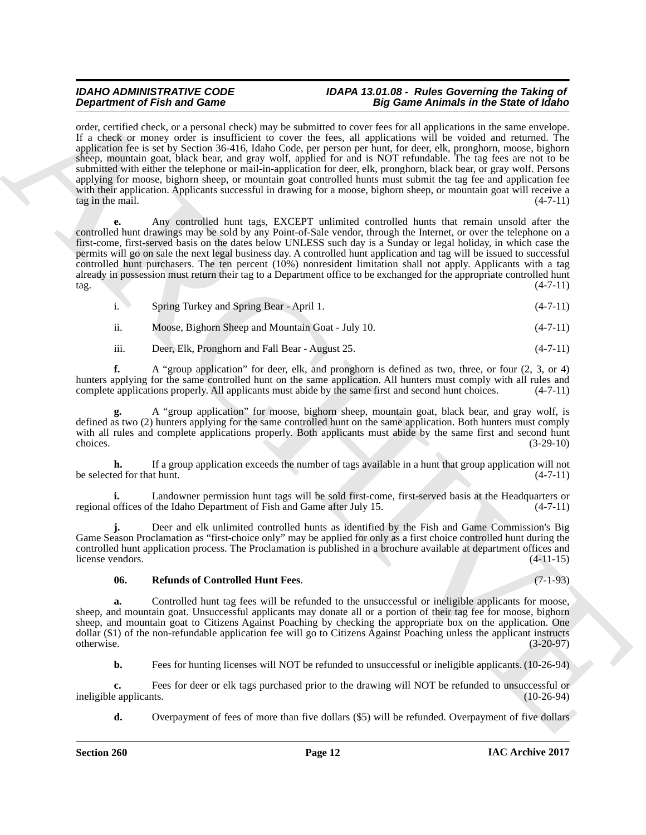**Dependent of Find and Some to the American Control of Figure 2nd American interest in the Some Towns of Given Control of Control of Control of Control of Control of Control of Control of Control of Control of Control of** order, certified check, or a personal check) may be submitted to cover fees for all applications in the same envelope. If a check or money order is insufficient to cover the fees, all applications will be voided and returned. The application fee is set by Section 36-416, Idaho Code, per person per hunt, for deer, elk, pronghorn, moose, bighorn sheep, mountain goat, black bear, and gray wolf, applied for and is NOT refundable. The tag fees are not to be submitted with either the telephone or mail-in-application for deer, elk, pronghorn, black bear, or gray wolf. Persons applying for moose, bighorn sheep, or mountain goat controlled hunts must submit the tag fee and application fee with their application. Applicants successful in drawing for a moose, bighorn sheep, or mountain goat will receive a tag in the mail.  $(4-7-11)$ 

**e.** Any controlled hunt tags, EXCEPT unlimited controlled hunts that remain unsold after the controlled hunt drawings may be sold by any Point-of-Sale vendor, through the Internet, or over the telephone on a first-come, first-served basis on the dates below UNLESS such day is a Sunday or legal holiday, in which case the permits will go on sale the next legal business day. A controlled hunt application and tag will be issued to successful controlled hunt purchasers. The ten percent (10%) nonresident limitation shall not apply. Applicants with a tag already in possession must return their tag to a Department office to be exchanged for the appropriate controlled hunt  $\frac{1}{4-7-11}$  (4-7-11)

- i. Spring Turkey and Spring Bear April 1. (4-7-11)
- ii. Moose, Bighorn Sheep and Mountain Goat July 10. (4-7-11)
- iii. Deer, Elk, Pronghorn and Fall Bear August 25. (4-7-11)

**f.** A "group application" for deer, elk, and pronghorn is defined as two, three, or four  $(2, 3, 0r 4)$ hunters applying for the same controlled hunt on the same application. All hunters must comply with all rules and complete applications properly. All applicants must abide by the same first and second hunt choices. (4-7-11 complete applications properly. All applicants must abide by the same first and second hunt choices.

**g.** A "group application" for moose, bighorn sheep, mountain goat, black bear, and gray wolf, is defined as two (2) hunters applying for the same controlled hunt on the same application. Both hunters must comply with all rules and complete applications properly. Both applicants must abide by the same first and second hunt choices.  $(3-29-10)$ 

**h.** If a group application exceeds the number of tags available in a hunt that group application will not be selected for that hunt.  $(4-7-11)$ 

**i.** Landowner permission hunt tags will be sold first-come, first-served basis at the Headquarters or offices of the Idaho Department of Fish and Game after July 15. regional offices of the Idaho Department of Fish and Game after July 15.

**j.** Deer and elk unlimited controlled hunts as identified by the Fish and Game Commission's Big Game Season Proclamation as "first-choice only" may be applied for only as a first choice controlled hunt during the controlled hunt application process. The Proclamation is published in a brochure available at department offices and license vendors. (4-11-15)

#### <span id="page-11-0"></span>**06. Refunds of Controlled Hunt Fees**. (7-1-93)

**a.** Controlled hunt tag fees will be refunded to the unsuccessful or ineligible applicants for moose, sheep, and mountain goat. Unsuccessful applicants may donate all or a portion of their tag fee for moose, bighorn sheep, and mountain goat to Citizens Against Poaching by checking the appropriate box on the application. One dollar (\$1) of the non-refundable application fee will go to Citizens Against Poaching unless the applicant instructs otherwise. (3-20-97) otherwise. (3-20-97)

**b.** Fees for hunting licenses will NOT be refunded to unsuccessful or ineligible applicants. (10-26-94)

**c.** Fees for deer or elk tags purchased prior to the drawing will NOT be refunded to unsuccessful or applicants. (10-26-94) ineligible applicants.

**d.** Overpayment of fees of more than five dollars (\$5) will be refunded. Overpayment of five dollars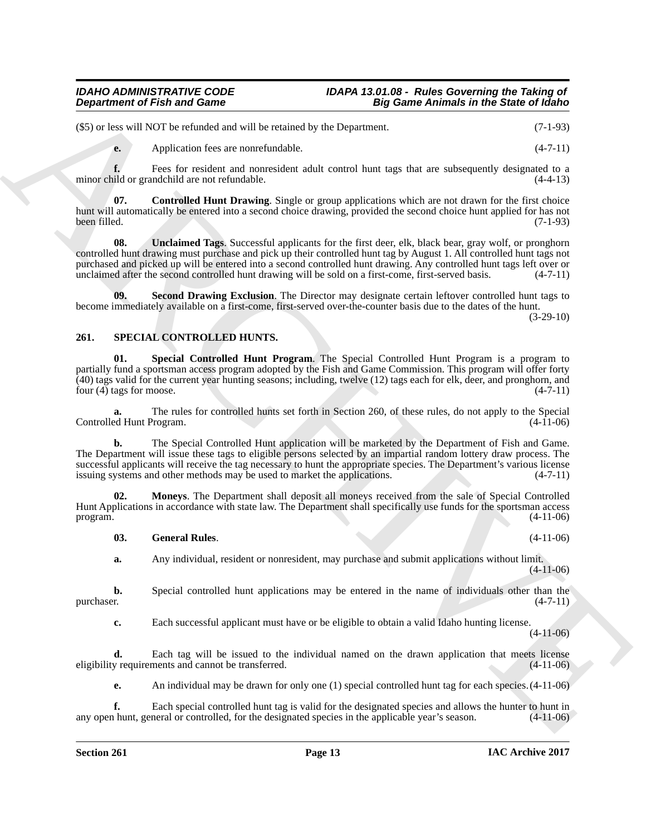(\$5) or less will NOT be refunded and will be retained by the Department. (7-1-93)

<span id="page-12-5"></span>**e.** Application fees are nonrefundable. (4-7-11)

**f.** Fees for resident and nonresident adult control hunt tags that are subsequently designated to a minor child or grandchild are not refundable. (4-4-13)

**07. Controlled Hunt Drawing**. Single or group applications which are not drawn for the first choice hunt will automatically be entered into a second choice drawing, provided the second choice hunt applied for has not been filled. (7-1-93) been filled. (7-1-93)

<span id="page-12-7"></span>**08. Unclaimed Tags**. Successful applicants for the first deer, elk, black bear, gray wolf, or pronghorn controlled hunt drawing must purchase and pick up their controlled hunt tag by August 1. All controlled hunt tags not purchased and picked up will be entered into a second controlled hunt drawing. Any controlled hunt tags left over or unclaimed after the second controlled hunt drawing will be sold on a first-come, first-served basis. (4-7-11)

<span id="page-12-6"></span>**09. Second Drawing Exclusion**. The Director may designate certain leftover controlled hunt tags to become immediately available on a first-come, first-served over-the-counter basis due to the dates of the hunt.

(3-29-10)

### <span id="page-12-1"></span><span id="page-12-0"></span>**261. SPECIAL CONTROLLED HUNTS.**

<span id="page-12-4"></span>**01. Special Controlled Hunt Program**. The Special Controlled Hunt Program is a program to partially fund a sportsman access program adopted by the Fish and Game Commission. This program will offer forty  $(40)$  tags valid for the current year hunting seasons; including, twelve  $(12)$  tags each for elk, deer, and pronghorn, and four  $(4)$  tags for moose. four  $(4)$  tags for moose.

**a.** The rules for controlled hunts set forth in Section 260, of these rules, do not apply to the Special ed Hunt Program. (4-11-06) Controlled Hunt Program.

**Department of Fish and Game**<br>
SS1 of best involved on the relations of the Department of the Section 1986 Control in the Section 1987 (4-7)<br>
Section 1987 (4-7) and the relation of the section of the section 1988 (4-7) an **b.** The Special Controlled Hunt application will be marketed by the Department of Fish and Game. The Department will issue these tags to eligible persons selected by an impartial random lottery draw process. The successful applicants will receive the tag necessary to hunt the appropriate species. The Department's various license issuing systems and other methods may be used to market the applications. (4-7-11)

**02. Moneys**. The Department shall deposit all moneys received from the sale of Special Controlled Hunt Applications in accordance with state law. The Department shall specifically use funds for the sportsman access program.  $(4-11-06)$ 

<span id="page-12-3"></span><span id="page-12-2"></span>**03. General Rules**. (4-11-06)

**a.** Any individual, resident or nonresident, may purchase and submit applications without limit. (4-11-06)

**b.** Special controlled hunt applications may be entered in the name of individuals other than the purchaser.  $(4-7-11)$ purchaser. (4-7-11)

**c.** Each successful applicant must have or be eligible to obtain a valid Idaho hunting license.

(4-11-06)

**d.** Each tag will be issued to the individual named on the drawn application that meets license eligibility requirements and cannot be transferred. (4-11-06)

**e.** An individual may be drawn for only one (1) special controlled hunt tag for each species.  $(4-11-06)$ 

**f.** Each special controlled hunt tag is valid for the designated species and allows the hunter to hunt in hunt, general or controlled, for the designated species in the applicable year's season.  $(4-11-06)$ any open hunt, general or controlled, for the designated species in the applicable year's season.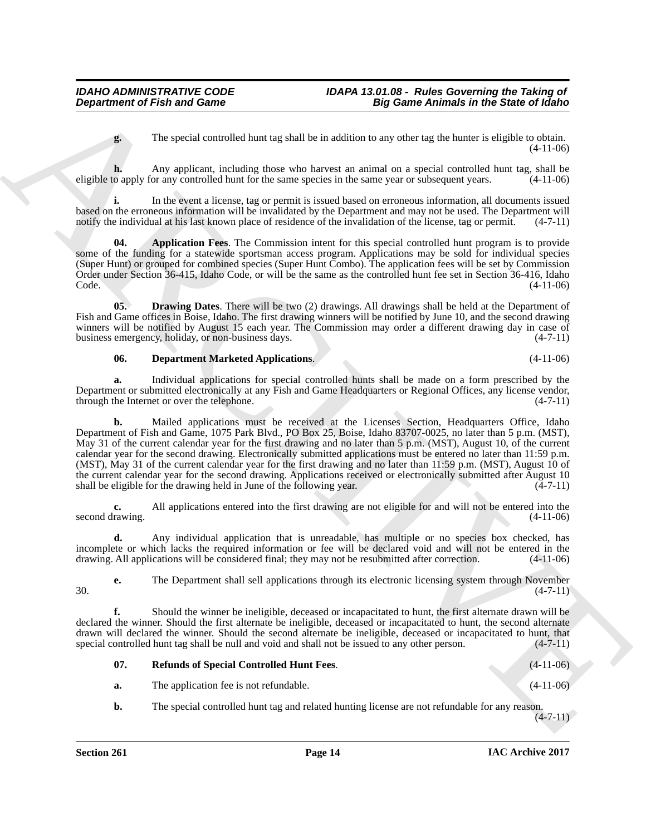**g.** The special controlled hunt tag shall be in addition to any other tag the hunter is eligible to obtain. (4-11-06)

**h.** Any applicant, including those who harvest an animal on a special controlled hunt tag, shall be eligible to apply for any controlled hunt for the same species in the same year or subsequent years. (4-11-06)

**i.** In the event a license, tag or permit is issued based on erroneous information, all documents issued based on the erroneous information will be invalidated by the Department and may not be used. The Department will notify the individual at his last known place of residence of the invalidation of the license, tag or permit. (4-7-11)

<span id="page-13-0"></span>**04. Application Fees**. The Commission intent for this special controlled hunt program is to provide some of the funding for a statewide sportsman access program. Applications may be sold for individual species (Super Hunt) or grouped for combined species (Super Hunt Combo). The application fees will be set by Commission Order under Section 36-415, Idaho Code, or will be the same as the controlled hunt fee set in Section 36-416, Idaho Code. (4-11-06)

**05. Drawing Dates**. There will be two (2) drawings. All drawings shall be held at the Department of Fish and Game offices in Boise, Idaho. The first drawing winners will be notified by June 10, and the second drawing winners will be notified by August 15 each year. The Commission may order a different drawing day in case of business emergency, holiday, or non-business days. (4-7-11) business emergency, holiday, or non-business days.

#### <span id="page-13-2"></span><span id="page-13-1"></span>**06. Department Marketed Applications**. (4-11-06)

**a.** Individual applications for special controlled hunts shall be made on a form prescribed by the Department or submitted electronically at any Fish and Game Headquarters or Regional Offices, any license vendor, through the Internet or over the telephone. (4-7-11) through the Internet or over the telephone.

**Department of Fish and Game**<br> **A** Repetitive model that tag data is an all-bias and solid by the stationary and solid by the stationary in the stationary of the special consideration and the stationary of the special con **b.** Mailed applications must be received at the Licenses Section, Headquarters Office, Idaho Department of Fish and Game, 1075 Park Blvd., PO Box 25, Boise, Idaho 83707-0025, no later than 5 p.m. (MST), May 31 of the current calendar year for the first drawing and no later than 5 p.m. (MST), August 10, of the current calendar year for the second drawing. Electronically submitted applications must be entered no later than 11:59 p.m. (MST), May 31 of the current calendar year for the first drawing and no later than 11:59 p.m. (MST), August 10 of the current calendar year for the second drawing. Applications received or electronically submitted after August 10 shall be eligible for the drawing held in June of the following year. (4-7-11) shall be eligible for the drawing held in June of the following year.

**c.** All applications entered into the first drawing are not eligible for and will not be entered into the rawing.  $(4-11-06)$ second drawing.

**d.** Any individual application that is unreadable, has multiple or no species box checked, has incomplete or which lacks the required information or fee will be declared void and will not be entered in the drawing. All applications will be considered final; they may not be resubmitted after correction. (4-11-06)

**e.** The Department shall sell applications through its electronic licensing system through November (4-7-11)  $30.$  (4-7-11)

**f.** Should the winner be ineligible, deceased or incapacitated to hunt, the first alternate drawn will be declared the winner. Should the first alternate be ineligible, deceased or incapacitated to hunt, the second alternate drawn will declared the winner. Should the second alternate be ineligible, deceased or incapacitated to hunt, that special controlled hunt tag shall be null and void and shall not be issued to any other person. (4-7-11) special controlled hunt tag shall be null and void and shall not be issued to any other person.

<span id="page-13-3"></span>

| 07. | <b>Refunds of Special Controlled Hunt Fees.</b> | $(4-11-06)$ |
|-----|-------------------------------------------------|-------------|
|     |                                                 |             |

- **a.** The application fee is not refundable. (4-11-06)
- **b.** The special controlled hunt tag and related hunting license are not refundable for any reason.

 $(4 - 7 - 11)$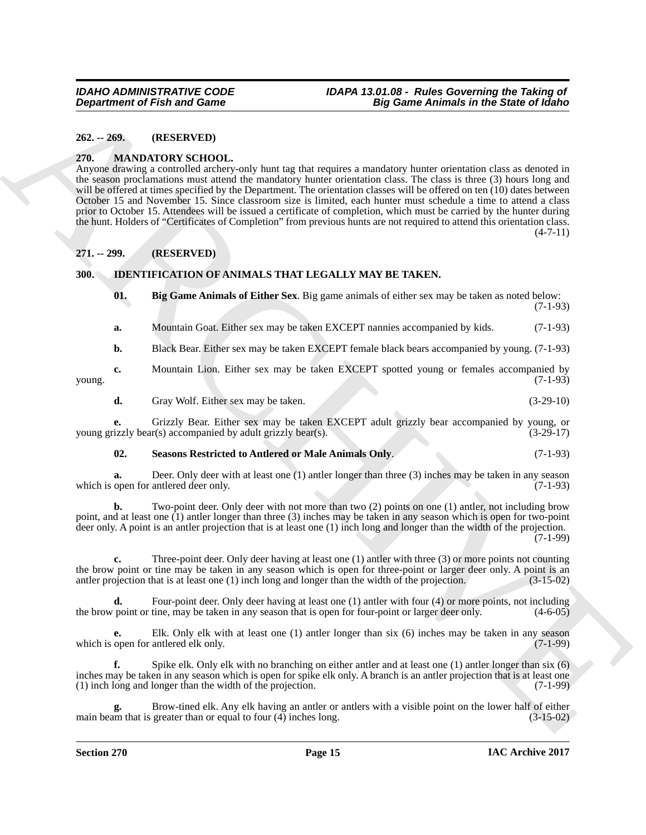### <span id="page-14-0"></span>**262. -- 269. (RESERVED)**

#### <span id="page-14-7"></span><span id="page-14-1"></span>**270. MANDATORY SCHOOL.**

**Department of Fish and Game<br>
22. 2.29. CRESSING TOOL**<br>
23. **ARCHIVED COMPARTS (SECONTRATIVE)**<br>
23. **ARCHIVED COMPARTS (SECONTRATIVE)**<br>
23. **ARCHIVED COMPARTS (SECONTRATIVE)**<br>
23. **ARCHIVED COMPARTS (SECONTRATIVE)**<br>
23. Anyone drawing a controlled archery-only hunt tag that requires a mandatory hunter orientation class as denoted in the season proclamations must attend the mandatory hunter orientation class. The class is three (3) hours long and will be offered at times specified by the Department. The orientation classes will be offered on ten (10) dates between October 15 and November 15. Since classroom size is limited, each hunter must schedule a time to attend a class prior to October 15. Attendees will be issued a certificate of completion, which must be carried by the hunter during the hunt. Holders of "Certificates of Completion" from previous hunts are not required to attend this orientation class.  $(4 - 7 - 11)$ 

#### <span id="page-14-2"></span>**271. -- 299. (RESERVED)**

### <span id="page-14-3"></span>**300. IDENTIFICATION OF ANIMALS THAT LEGALLY MAY BE TAKEN.**

<span id="page-14-5"></span><span id="page-14-4"></span>

| 01. | Big Game Animals of Either Sex. Big game animals of either sex may be taken as noted below: | $(7-1-93)$ |
|-----|---------------------------------------------------------------------------------------------|------------|
| а.  | Mountain Goat. Either sex may be taken EXCEPT nannies accompanied by kids.                  | $(7-1-93)$ |

**b.** Black Bear. Either sex may be taken EXCEPT female black bears accompanied by young. (7-1-93)

**c.** Mountain Lion. Either sex may be taken EXCEPT spotted young or females accompanied by young. (7-1-93)

**d.** Gray Wolf. Either sex may be taken. (3-29-10)

**e.** Grizzly Bear. Either sex may be taken EXCEPT adult grizzly bear accompanied by young, or izzly bear(s) accompanied by adult grizzly bear(s).  $(3-29-17)$ young grizzly bear(s) accompanied by adult grizzly bear(s).

#### <span id="page-14-6"></span>**02. Seasons Restricted to Antlered or Male Animals Only**. (7-1-93)

**a.** Deer. Only deer with at least one (1) antler longer than three (3) inches may be taken in any season open for antlered deer only. (7-1-93) which is open for antlered deer only.

**b.** Two-point deer. Only deer with not more than two (2) points on one (1) antler, not including brow point, and at least one (1) antler longer than three (3) inches may be taken in any season which is open for two-point deer only. A point is an antler projection that is at least one (1) inch long and longer than the width of the projection.  $(7-1-99)$ 

**c.** Three-point deer. Only deer having at least one (1) antler with three (3) or more points not counting the brow point or tine may be taken in any season which is open for three-point or larger deer only. A point is an antler projection that is at least one (1) inch long and longer than the width of the projection. (3-15-02) antler projection that is at least one  $(1)$  inch long and longer than the width of the projection.

**d.** Four-point deer. Only deer having at least one (1) antler with four (4) or more points, not including point or tine, may be taken in any season that is open for four-point or larger deer only. (4-6-05) the brow point or tine, may be taken in any season that is open for four-point or larger deer only.

**e.** Elk. Only elk with at least one (1) antler longer than six (6) inches may be taken in any season open for antlered elk only. which is open for antlered elk only.

**f.** Spike elk. Only elk with no branching on either antler and at least one (1) antler longer than six (6) inches may be taken in any season which is open for spike elk only. A branch is an antler projection that is at least one (1) inch long and longer than the width of the projection. (7-1-99)

Brow-tined elk. Any elk having an antler or antlers with a visible point on the lower half of either greater than or equal to four (4) inches long.  $(3-15-02)$ main beam that is greater than or equal to four  $(4)$  inches long.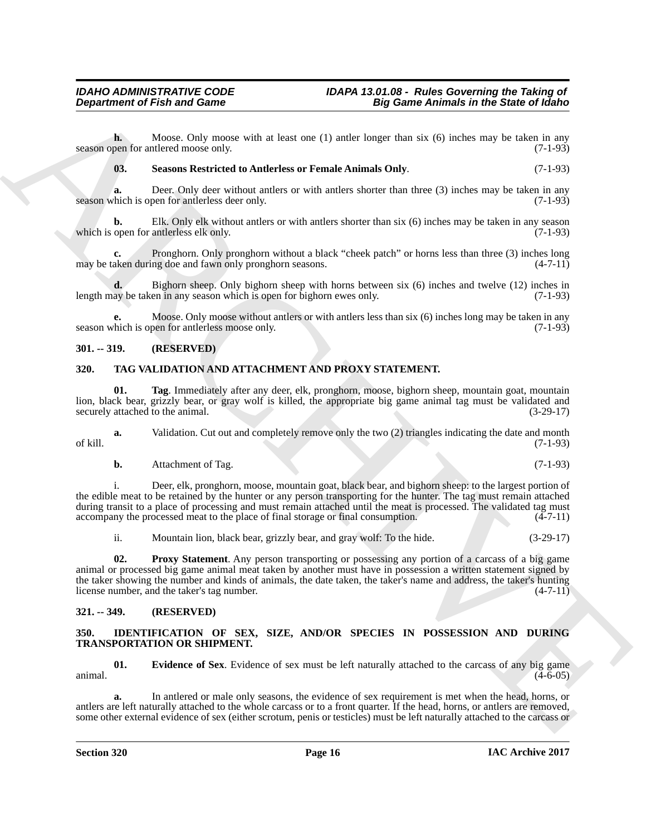**h.** Moose. Only moose with at least one (1) antler longer than six (6) inches may be taken in any pen for antlered moose only. (7-1-93) season open for antlered moose only.

<span id="page-15-4"></span>**03. Seasons Restricted to Antlerless or Female Animals Only**. (7-1-93)

**a.** Deer. Only deer without antlers or with antlers shorter than three (3) inches may be taken in any chich is open for antlerless deer only. season which is open for antlerless deer only.

**b.** Elk. Only elk without antlers or with antlers shorter than six (6) inches may be taken in any season which is open for antlerless elk only. (7-1-93) (7-1-93)

**c.** Pronghorn. Only pronghorn without a black "cheek patch" or horns less than three (3) inches long aken during doe and fawn only pronghorn seasons. (4-7-11) may be taken during doe and fawn only pronghorn seasons.

**d.** Bighorn sheep. Only bighorn sheep with horns between six (6) inches and twelve (12) inches in ay be taken in any season which is open for bighorn ewes only. (7-1-93) length may be taken in any season which is open for bighorn ewes only.

**e.** Moose. Only moose without antlers or with antlers less than six (6) inches long may be taken in any hich is open for antlerless moose only. season which is open for antlerless moose only.

#### <span id="page-15-0"></span>**301. -- 319. (RESERVED)**

#### <span id="page-15-7"></span><span id="page-15-1"></span>**320. TAG VALIDATION AND ATTACHMENT AND PROXY STATEMENT.**

<span id="page-15-9"></span>**01. Tag**. Immediately after any deer, elk, pronghorn, moose, bighorn sheep, mountain goat, mountain lion, black bear, grizzly bear, or gray wolf is killed, the appropriate big game animal tag must be validated and securely attached to the animal. (3-29-17) securely attached to the animal.

**a.** Validation. Cut out and completely remove only the two (2) triangles indicating the date and month of kill. (7-1-93)

**Department of Fish and Game**<br>
Notices. Only any other shall have use (1) saids (agent Ban in the Signer Ban in the Signer and Signer and Signer and Signer and Signer and Marchives (a) the same that the same of the same o i. Deer, elk, pronghorn, moose, mountain goat, black bear, and bighorn sheep: to the largest portion of the edible meat to be retained by the hunter or any person transporting for the hunter. The tag must remain attached during transit to a place of processing and must remain attached until the meat is processed. The validated tag must accompany the processed meat to the place of final storage or final consumption. (4-7-11)

<span id="page-15-8"></span>ii. Mountain lion, black bear, grizzly bear, and gray wolf: To the hide. (3-29-17)

**02. Proxy Statement**. Any person transporting or possessing any portion of a carcass of a big game animal or processed big game animal meat taken by another must have in possession a written statement signed by the taker showing the number and kinds of animals, the date taken, the taker's name and address, the taker's hunting<br>license number, and the taker's tag number. license number, and the taker's tag number.

#### <span id="page-15-2"></span>**321. -- 349. (RESERVED)**

#### <span id="page-15-6"></span><span id="page-15-3"></span>**350. IDENTIFICATION OF SEX, SIZE, AND/OR SPECIES IN POSSESSION AND DURING TRANSPORTATION OR SHIPMENT.**

<span id="page-15-5"></span>**01. Evidence of Sex**. Evidence of sex must be left naturally attached to the carcass of any big game (4-6-05)  $\frac{(4-6-05)}{2}$ 

**a.** In antlered or male only seasons, the evidence of sex requirement is met when the head, horns, or antlers are left naturally attached to the whole carcass or to a front quarter. If the head, horns, or antlers are removed, some other external evidence of sex (either scrotum, penis or testicles) must be left naturally attached to the carcass or

**b.** Attachment of Tag. (7-1-93)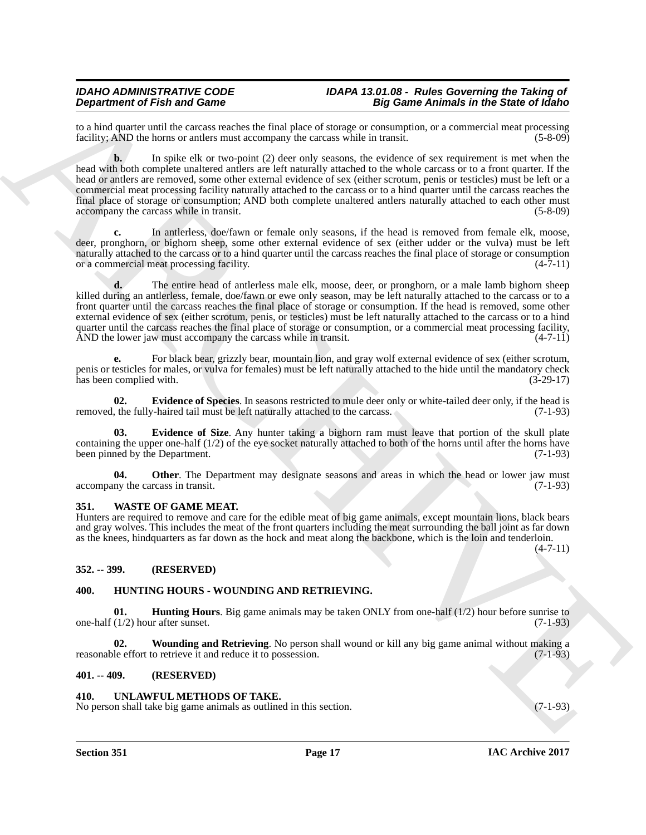to a hind quarter until the carcass reaches the final place of storage or consumption, or a commercial meat processing facility: AND the horns or antlers must accompany the carcass while in transit. (5-8-09) facility; AND the horns or antlers must accompany the carcass while in transit.

**Dependent of Find and Some systems** of the limit gluor of state agents and set of the significant state in the significant state of the significant state in the significant state is a system of the significant state in t **b.** In spike elk or two-point (2) deer only seasons, the evidence of sex requirement is met when the head with both complete unaltered antlers are left naturally attached to the whole carcass or to a front quarter. If the head or antlers are removed, some other external evidence of sex (either scrotum, penis or testicles) must be left or a commercial meat processing facility naturally attached to the carcass or to a hind quarter until the carcass reaches the final place of storage or consumption; AND both complete unaltered antlers naturally attached to each other must accompany the carcass while in transit. (5-8-09)

In antlerless, doe/fawn or female only seasons, if the head is removed from female elk, moose, deer, pronghorn, or bighorn sheep, some other external evidence of sex (either udder or the vulva) must be left naturally attached to the carcass or to a hind quarter until the carcass reaches the final place of storage or consumption or a commercial meat processing facility. (4-7-11)

**d.** The entire head of antlerless male elk, moose, deer, or pronghorn, or a male lamb bighorn sheep killed during an antlerless, female, doe/fawn or ewe only season, may be left naturally attached to the carcass or to a front quarter until the carcass reaches the final place of storage or consumption. If the head is removed, some other external evidence of sex (either scrotum, penis, or testicles) must be left naturally attached to the carcass or to a hind quarter until the carcass reaches the final place of storage or consumption, or a commercial meat processing facility,<br>AND the lower jaw must accompany the carcass while in transit. (4-7-11) AND the lower jaw must accompany the carcass while in transit.

**e.** For black bear, grizzly bear, mountain lion, and gray wolf external evidence of sex (either scrotum, penis or testicles for males, or vulva for females) must be left naturally attached to the hide until the mandatory check has been complied with. (3-29-17)

<span id="page-16-9"></span>**02. Evidence of Species**. In seasons restricted to mule deer only or white-tailed deer only, if the head is removed, the fully-haired tail must be left naturally attached to the carcass. (7-1-93)

<span id="page-16-8"></span>**03. Evidence of Size**. Any hunter taking a bighorn ram must leave that portion of the skull plate containing the upper one-half (1/2) of the eye socket naturally attached to both of the horns until after the horns have been pinned by the Department. (7-1-93)

<span id="page-16-10"></span>**04.** Other. The Department may designate seasons and areas in which the head or lower jaw must ny the carcass in transit. (7-1-93) accompany the carcass in transit.

#### <span id="page-16-12"></span><span id="page-16-0"></span>**351. WASTE OF GAME MEAT.**

Hunters are required to remove and care for the edible meat of big game animals, except mountain lions, black bears and gray wolves. This includes the meat of the front quarters including the meat surrounding the ball joint as far down as the knees, hindquarters as far down as the hock and meat along the backbone, which is the loin and tenderloin.  $(4 - 7 - 11)$ 

<span id="page-16-1"></span>**352. -- 399. (RESERVED)**

### <span id="page-16-6"></span><span id="page-16-5"></span><span id="page-16-2"></span>**400. HUNTING HOURS - WOUNDING AND RETRIEVING.**

**01. Hunting Hours**. Big game animals may be taken ONLY from one-half (1/2) hour before sunrise to one-half  $(1/2)$  hour after sunset. (7-1-93)

<span id="page-16-7"></span>**Wounding and Retrieving**. No person shall wound or kill any big game animal without making a to retrieve it and reduce it to possession. reasonable effort to retrieve it and reduce it to possession.

#### <span id="page-16-3"></span>**401. -- 409. (RESERVED)**

#### <span id="page-16-11"></span><span id="page-16-4"></span>**410. UNLAWFUL METHODS OF TAKE.**

No person shall take big game animals as outlined in this section. (7-1-93)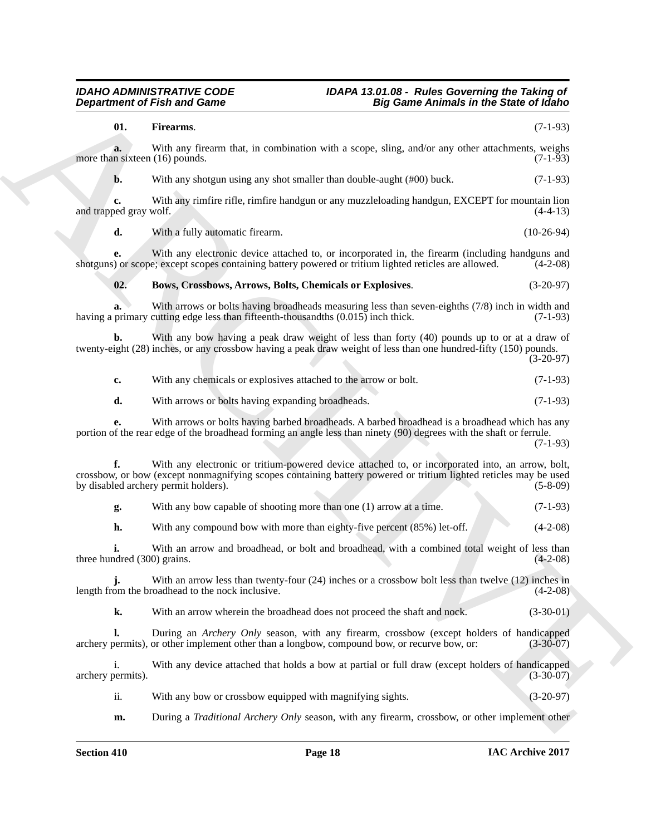#### <span id="page-17-1"></span><span id="page-17-0"></span>*IDAHO ADMINISTRATIVE CODE IDAPA 13.01.08 - Rules Governing the Taking of Department of Fish and Game Big Game Animals in the State of Idaho*

|                                      | <b>Department of Fish and Game</b><br><b>Big Game Animals in the State of Idaho</b>                                                                                                                                                                          |              |
|--------------------------------------|--------------------------------------------------------------------------------------------------------------------------------------------------------------------------------------------------------------------------------------------------------------|--------------|
| 01.                                  | Firearms.                                                                                                                                                                                                                                                    | $(7-1-93)$   |
| a.<br>more than sixteen (16) pounds. | With any firearm that, in combination with a scope, sling, and/or any other attachments, weighs                                                                                                                                                              | $(7-1-93)$   |
| b.                                   | With any shotgun using any shot smaller than double-aught (#00) buck.                                                                                                                                                                                        | $(7-1-93)$   |
| c.<br>and trapped gray wolf.         | With any rimfire rifle, rimfire handgun or any muzzleloading handgun, EXCEPT for mountain lion                                                                                                                                                               | $(4-4-13)$   |
| d.                                   | With a fully automatic firearm.                                                                                                                                                                                                                              | $(10-26-94)$ |
| e.                                   | With any electronic device attached to, or incorporated in, the firearm (including handguns and<br>shotguns) or scope; except scopes containing battery powered or tritium lighted reticles are allowed.                                                     | $(4-2-08)$   |
| 02.                                  | Bows, Crossbows, Arrows, Bolts, Chemicals or Explosives.                                                                                                                                                                                                     | $(3-20-97)$  |
| a.                                   | With arrows or bolts having broadheads measuring less than seven-eighths (7/8) inch in width and<br>having a primary cutting edge less than fifteenth-thousandths (0.015) inch thick.                                                                        | $(7-1-93)$   |
| b.                                   | With any bow having a peak draw weight of less than forty (40) pounds up to or at a draw of<br>twenty-eight (28) inches, or any crossbow having a peak draw weight of less than one hundred-fifty (150) pounds.                                              | $(3-20-97)$  |
| c.                                   | With any chemicals or explosives attached to the arrow or bolt.                                                                                                                                                                                              | $(7-1-93)$   |
| d.                                   | With arrows or bolts having expanding broadheads.                                                                                                                                                                                                            | $(7-1-93)$   |
|                                      | With arrows or bolts having barbed broadheads. A barbed broadhead is a broadhead which has any<br>portion of the rear edge of the broadhead forming an angle less than ninety (90) degrees with the shaft or ferrule.                                        | $(7-1-93)$   |
| f.                                   | With any electronic or tritium-powered device attached to, or incorporated into, an arrow, bolt,<br>crossbow, or bow (except nonmagnifying scopes containing battery powered or tritium lighted reticles may be used<br>by disabled archery permit holders). | $(5-8-09)$   |
| g.                                   | With any bow capable of shooting more than one (1) arrow at a time.                                                                                                                                                                                          | $(7-1-93)$   |
| h.                                   | With any compound bow with more than eighty-five percent (85%) let-off.                                                                                                                                                                                      | $(4-2-08)$   |
| three hundred (300) grains.          | With an arrow and broadhead, or bolt and broadhead, with a combined total weight of less than                                                                                                                                                                | $(4-2-08)$   |
| i.                                   | With an arrow less than twenty-four $(24)$ inches or a crossbow bolt less than twelve $(12)$ inches in<br>length from the broadhead to the nock inclusive.                                                                                                   | $(4-2-08)$   |
| k.                                   | With an arrow wherein the broadhead does not proceed the shaft and nock.                                                                                                                                                                                     | $(3-30-01)$  |
| Ъ.                                   | During an <i>Archery Only</i> season, with any firearm, crossbow (except holders of handicapped<br>archery permits), or other implement other than a longbow, compound bow, or recurve bow, or:                                                              | $(3-30-07)$  |
| i.<br>archery permits).              | With any device attached that holds a bow at partial or full draw (except holders of handicapped                                                                                                                                                             | $(3-30-07)$  |
| ii.                                  | With any bow or crossbow equipped with magnifying sights.                                                                                                                                                                                                    | $(3-20-97)$  |
|                                      |                                                                                                                                                                                                                                                              |              |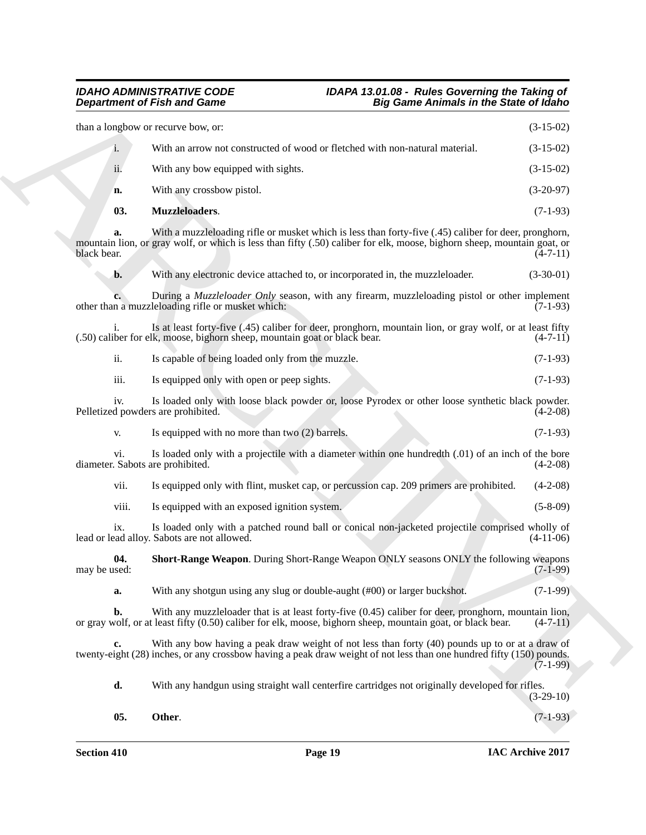#### <span id="page-18-2"></span><span id="page-18-1"></span><span id="page-18-0"></span>*IDAHO ADMINISTRATIVE CODE IDAPA 13.01.08 - Rules Governing the Taking of Department of Fish and Game Big Game Animals in the State of Idaho*

|                     | <b>Department of Fish and Game</b><br><b>Big Game Animals in the State of Idaho</b>                                                                                                                                              |             |
|---------------------|----------------------------------------------------------------------------------------------------------------------------------------------------------------------------------------------------------------------------------|-------------|
|                     | than a longbow or recurve bow, or:                                                                                                                                                                                               | $(3-15-02)$ |
| $\mathbf{i}$ .      | With an arrow not constructed of wood or fletched with non-natural material.                                                                                                                                                     | $(3-15-02)$ |
| ii.                 | With any bow equipped with sights.                                                                                                                                                                                               | $(3-15-02)$ |
| n.                  | With any crossbow pistol.                                                                                                                                                                                                        | $(3-20-97)$ |
| 03.                 | Muzzleloaders.                                                                                                                                                                                                                   | $(7-1-93)$  |
| a.<br>black bear.   | With a muzzleloading rifle or musket which is less than forty-five (.45) caliber for deer, pronghorn,<br>mountain lion, or gray wolf, or which is less than fifty (.50) caliber for elk, moose, bighorn sheep, mountain goat, or | $(4-7-11)$  |
| b.                  | With any electronic device attached to, or incorporated in, the muzzleloader.                                                                                                                                                    | $(3-30-01)$ |
|                     | During a <i>Muzzleloader Only</i> season, with any firearm, muzzleloading pistol or other implement<br>other than a muzzleloading rifle or musket which:                                                                         | $(7-1-93)$  |
|                     | Is at least forty-five (.45) caliber for deer, pronghorn, mountain lion, or gray wolf, or at least fifty<br>(.50) caliber for elk, moose, bighorn sheep, mountain goat or black bear.                                            | $(4-7-11)$  |
| ii.                 | Is capable of being loaded only from the muzzle.                                                                                                                                                                                 | $(7-1-93)$  |
| iii.                | Is equipped only with open or peep sights.                                                                                                                                                                                       | $(7-1-93)$  |
| 1V <sub>1</sub>     | Is loaded only with loose black powder or, loose Pyrodex or other loose synthetic black powder.<br>Pelletized powders are prohibited.                                                                                            | $(4-2-08)$  |
| V.                  | Is equipped with no more than two (2) barrels.                                                                                                                                                                                   | $(7-1-93)$  |
| vi.                 | Is loaded only with a projectile with a diameter within one hundredth (.01) of an inch of the bore<br>diameter. Sabots are prohibited.                                                                                           | $(4-2-08)$  |
| vii.                | Is equipped only with flint, musket cap, or percussion cap. 209 primers are prohibited.                                                                                                                                          | $(4-2-08)$  |
| viii.               | Is equipped with an exposed ignition system.                                                                                                                                                                                     | $(5-8-09)$  |
| ix.                 | Is loaded only with a patched round ball or conical non-jacketed projectile comprised wholly of<br>lead or lead alloy. Sabots are not allowed.                                                                                   | $(4-11-06)$ |
| 04.<br>may be used: | Short-Range Weapon. During Short-Range Weapon ONLY seasons ONLY the following weapons                                                                                                                                            | $(7-1-99)$  |
| a.                  | With any shotgun using any slug or double-aught (#00) or larger buckshot.                                                                                                                                                        | $(7-1-99)$  |
| b.                  | With any muzzleloader that is at least forty-five $(0.45)$ caliber for deer, pronghorn, mountain lion,<br>or gray wolf, or at least fifty (0.50) caliber for elk, moose, bighorn sheep, mountain goat, or black bear.            | $(4-7-11)$  |
| c.                  | With any bow having a peak draw weight of not less than forty (40) pounds up to or at a draw of<br>twenty-eight (28) inches, or any crossbow having a peak draw weight of not less than one hundred fifty (150) pounds.          | $(7-1-99)$  |
| d.                  | With any handgun using straight wall centerfire cartridges not originally developed for rifles.                                                                                                                                  | $(3-29-10)$ |
| 05.                 | Other.                                                                                                                                                                                                                           | $(7-1-93)$  |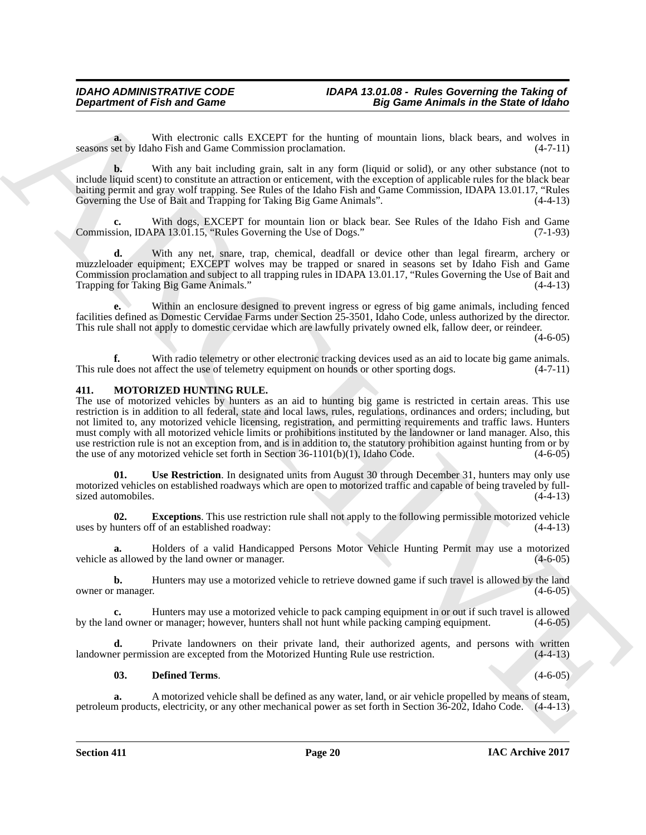**a.** With electronic calls EXCEPT for the hunting of mountain lions, black bears, and wolves in set by Idaho Fish and Game Commission proclamation. (4-7-11) seasons set by Idaho Fish and Game Commission proclamation.

**b.** With any bait including grain, salt in any form (liquid or solid), or any other substance (not to include liquid scent) to constitute an attraction or enticement, with the exception of applicable rules for the black bear baiting permit and gray wolf trapping. See Rules of the Idaho Fish and Game Commission, IDAPA 13.01.17, "Rules Governing the Use of Bait and Trapping for Taking Big Game Animals". (4-4-13)

**c.** With dogs, EXCEPT for mountain lion or black bear. See Rules of the Idaho Fish and Game Commission, IDAPA 13.01.15, "Rules Governing the Use of Dogs." (7-1-93)

**d.** With any net, snare, trap, chemical, deadfall or device other than legal firearm, archery or muzzleloader equipment; EXCEPT wolves may be trapped or snared in seasons set by Idaho Fish and Game Commission proclamation and subject to all trapping rules in IDAPA 13.01.17, "Rules Governing the Use of Bait and Trapping for Taking Big Game Animals."

**e.** Within an enclosure designed to prevent ingress or egress of big game animals, including fenced facilities defined as Domestic Cervidae Farms under Section 25-3501, Idaho Code, unless authorized by the director. This rule shall not apply to domestic cervidae which are lawfully privately owned elk, fallow deer, or reindeer.

 $(4-6-05)$ 

**f.** With radio telemetry or other electronic tracking devices used as an aid to locate big game animals. This rule does not affect the use of telemetry equipment on hounds or other sporting dogs.  $(4-7-11)$ 

#### <span id="page-19-1"></span><span id="page-19-0"></span>**411. MOTORIZED HUNTING RULE.**

Department of Fish and Game<br>
Valid through some  $\overline{AB}$  cannot in the Salem of Malmon sole in the Salem of Malmon sole in the Salem of Malmon sole in the Salem of Malmon sole in the Salem of Malmon sole in the Salem of t The use of motorized vehicles by hunters as an aid to hunting big game is restricted in certain areas. This use restriction is in addition to all federal, state and local laws, rules, regulations, ordinances and orders; including, but not limited to, any motorized vehicle licensing, registration, and permitting requirements and traffic laws. Hunters must comply with all motorized vehicle limits or prohibitions instituted by the landowner or land manager. Also, this use restriction rule is not an exception from, and is in addition to, the statutory prohibition against hunting from or by the use of any motorized vehicle set forth in Section 36-1101(b)(1), Idaho Code. (4-6-05)

<span id="page-19-4"></span>**01. Use Restriction**. In designated units from August 30 through December 31, hunters may only use motorized vehicles on established roadways which are open to motorized traffic and capable of being traveled by full-<br>sized automobiles. (4-4-13) sized automobiles.

<span id="page-19-3"></span>**02. Exceptions**. This use restriction rule shall not apply to the following permissible motorized vehicle uses by hunters off of an established roadway: (4-4-13)

**a.** Holders of a valid Handicapped Persons Motor Vehicle Hunting Permit may use a motorized vehicle as allowed by the land owner or manager. (4-6-05)

**b.** Hunters may use a motorized vehicle to retrieve downed game if such travel is allowed by the land (4-6-05) owner or manager.

**c.** Hunters may use a motorized vehicle to pack camping equipment in or out if such travel is allowed by the land owner or manager; however, hunters shall not hunt while packing camping equipment. (4-6-05)

**d.** Private landowners on their private land, their authorized agents, and persons with written er permission are excepted from the Motorized Hunting Rule use restriction.  $(4-4-13)$ landowner permission are excepted from the Motorized Hunting Rule use restriction.

#### <span id="page-19-2"></span>**03. Defined Terms**. (4-6-05)

**a.** A motorized vehicle shall be defined as any water, land, or air vehicle propelled by means of steam, petroleum products, electricity, or any other mechanical power as set forth in Section 36-202, Idaho Code. (4-4-13)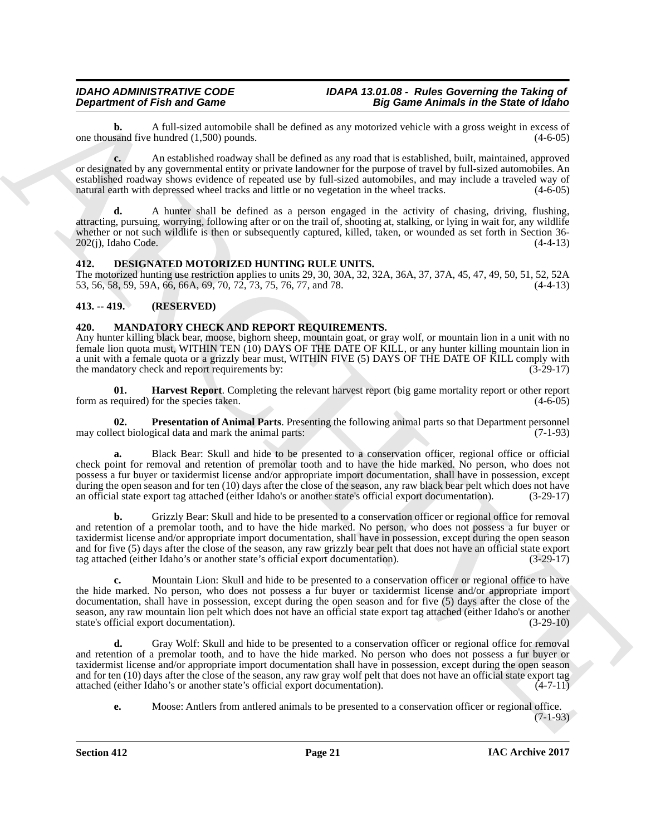**b.** A full-sized automobile shall be defined as any motorized vehicle with a gross weight in excess of sand five hundred (1.500) pounds. one thousand five hundred  $(1,500)$  pounds.

**c.** An established roadway shall be defined as any road that is established, built, maintained, approved or designated by any governmental entity or private landowner for the purpose of travel by full-sized automobiles. An established roadway shows evidence of repeated use by full-sized automobiles, and may include a traveled way of natural earth with depressed wheel tracks and little or no vegetation in the wheel tracks.

**d.** A hunter shall be defined as a person engaged in the activity of chasing, driving, flushing, attracting, pursuing, worrying, following after or on the trail of, shooting at, stalking, or lying in wait for, any wildlife whether or not such wildlife is then or subsequently captured, killed, taken, or wounded as set forth in Section 36-<br>202(j), Idaho Code. (4-4-13)  $202(i)$ , Idaho Code.

### <span id="page-20-3"></span><span id="page-20-0"></span>**412. DESIGNATED MOTORIZED HUNTING RULE UNITS.**

The motorized hunting use restriction applies to units 29, 30, 30A, 32, 32A, 36A, 37, 37A, 45, 47, 49, 50, 51, 52, 52A 53, 56, 58, 59, 59A, 66, 66A, 69, 70, 72, 73, 75, 76, 77, and 78. (4-4-13)

### <span id="page-20-1"></span>**413. -- 419. (RESERVED)**

### <span id="page-20-4"></span><span id="page-20-2"></span>**420. MANDATORY CHECK AND REPORT REQUIREMENTS.**

Any hunter killing black bear, moose, bighorn sheep, mountain goat, or gray wolf, or mountain lion in a unit with no female lion quota must, WITHIN TEN (10) DAYS OF THE DATE OF KILL, or any hunter killing mountain lion in a unit with a female quota or a grizzly bear must, WITHIN FIVE (5) DAYS OF THE DATE OF KILL comply with the mandatory check and report requirements by: (3-29-17) the mandatory check and report requirements by:

<span id="page-20-5"></span>**01. Harvest Report**. Completing the relevant harvest report (big game mortality report or other report required) for the species taken.  $(4-6-05)$ form as required) for the species taken.

<span id="page-20-6"></span>**Presentation of Animal Parts**. Presenting the following animal parts so that Department personnel gical data and mark the animal parts: (7-1-93) may collect biological data and mark the animal parts:

**a.** Black Bear: Skull and hide to be presented to a conservation officer, regional office or official check point for removal and retention of premolar tooth and to have the hide marked. No person, who does not possess a fur buyer or taxidermist license and/or appropriate import documentation, shall have in possession, except during the open season and for ten (10) days after the close of the season, any raw black bear pelt which does not have an official state export tag attached (either Idaho's or another state's official export documentation). (3-29-17)

**Department of Fish and Connective Connective Connective Connective Connective Connective Connective Connective Connective Connective Connective Connective Connective Connective Connective Connective Connective Connective b.** Grizzly Bear: Skull and hide to be presented to a conservation officer or regional office for removal and retention of a premolar tooth, and to have the hide marked. No person, who does not possess a fur buyer or taxidermist license and/or appropriate import documentation, shall have in possession, except during the open season and for five (5) days after the close of the season, any raw grizzly bear pelt that does not have an official state export tag attached (either Idaho's or another state's official export documentation). (3-29-17)

**c.** Mountain Lion: Skull and hide to be presented to a conservation officer or regional office to have the hide marked. No person, who does not possess a fur buyer or taxidermist license and/or appropriate import documentation, shall have in possession, except during the open season and for five (5) days after the close of the season, any raw mountain lion pelt which does not have an official state export tag attached (either Idaho's or another state's official export documentation). (3-29-10)

**d.** Gray Wolf: Skull and hide to be presented to a conservation officer or regional office for removal and retention of a premolar tooth, and to have the hide marked. No person who does not possess a fur buyer or taxidermist license and/or appropriate import documentation shall have in possession, except during the open season and for ten (10) days after the close of the season, any raw gray wolf pelt that does not have an official state export tag<br>attached (either Idaho's or another state's official export documentation). attached (either Idaho's or another state's official export documentation).

**e.** Moose: Antlers from antlered animals to be presented to a conservation officer or regional office.

 $(7-1-93)$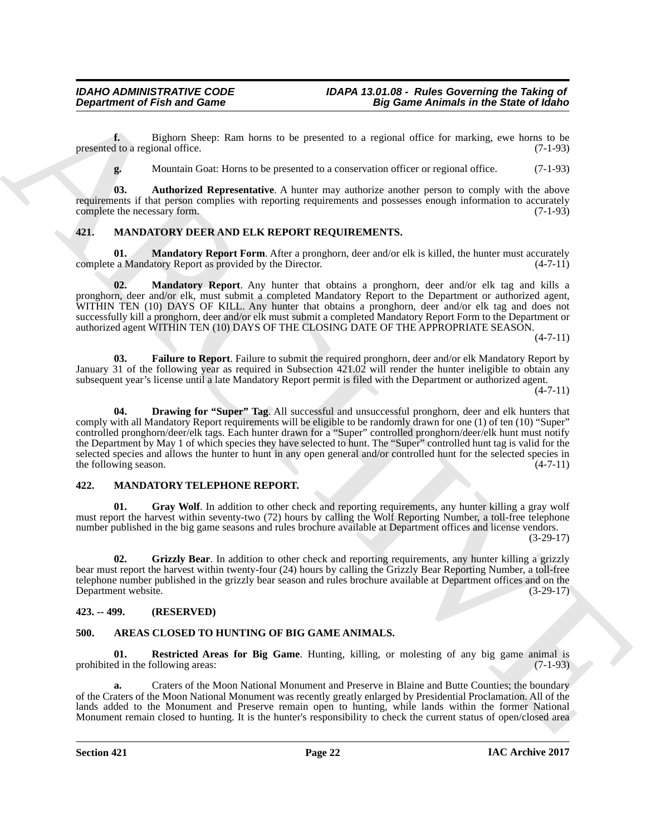**f.** Bighorn Sheep: Ram horns to be presented to a regional office for marking, ewe horns to be d to a regional office. (7-1-93) presented to a regional office.

<span id="page-21-6"></span>**g.** Mountain Goat: Horns to be presented to a conservation officer or regional office. (7-1-93)

**03.** Authorized Representative. A hunter may authorize another person to comply with the above requirements if that person complies with reporting requirements and possesses enough information to accurately<br>complete the necessary form. (7-1-93) complete the necessary form.

### <span id="page-21-11"></span><span id="page-21-0"></span>**421. MANDATORY DEER AND ELK REPORT REQUIREMENTS.**

<span id="page-21-10"></span>**01. Mandatory Report Form**. After a pronghorn, deer and/or elk is killed, the hunter must accurately a Mandatory Report as provided by the Director. (4-7-11) complete a Mandatory Report as provided by the Director.

<span id="page-21-9"></span>**02. Mandatory Report**. Any hunter that obtains a pronghorn, deer and/or elk tag and kills a pronghorn, deer and/or elk, must submit a completed Mandatory Report to the Department or authorized agent, WITHIN TEN (10) DAYS OF KILL. Any hunter that obtains a pronghorn, deer and/or elk tag and does not successfully kill a pronghorn, deer and/or elk must submit a completed Mandatory Report Form to the Department or authorized agent WITHIN TEN (10) DAYS OF THE CLOSING DATE OF THE APPROPRIATE SEASON.

 $(4 - 7 - 11)$ 

<span id="page-21-8"></span><span id="page-21-7"></span>**03. Failure to Report**. Failure to submit the required pronghorn, deer and/or elk Mandatory Report by January 31 of the following year as required in Subsection 421.02 will render the hunter ineligible to obtain any subsequent year's license until a late Mandatory Report permit is filed with the Department or authorized agent.

 $(4 - 7 - 11)$ 

**Department of Frish and Game<br>
14 Counter of the Branch and Game<br>
14 Counter of Frish and Game<br>
14 Counter of the Branch and Counter of the Special Counter of the Special Counter of the Special Counter of the Special Coun 04. Drawing for "Super" Tag**. All successful and unsuccessful pronghorn, deer and elk hunters that comply with all Mandatory Report requirements will be eligible to be randomly drawn for one (1) of ten (10) "Super" controlled pronghorn/deer/elk tags. Each hunter drawn for a "Super" controlled pronghorn/deer/elk hunt must notify the Department by May 1 of which species they have selected to hunt. The "Super" controlled hunt tag is valid for the selected species and allows the hunter to hunt in any open general and/or controlled hunt for the selected species in the following season.  $(4-7-11)$ the following season.

#### <span id="page-21-12"></span><span id="page-21-1"></span>**422. MANDATORY TELEPHONE REPORT.**

<span id="page-21-13"></span>Gray Wolf. In addition to other check and reporting requirements, any hunter killing a gray wolf must report the harvest within seventy-two (72) hours by calling the Wolf Reporting Number, a toll-free telephone number published in the big game seasons and rules brochure available at Department offices and license vendors.  $(3-29-17)$ 

<span id="page-21-14"></span>**02. Grizzly Bear**. In addition to other check and reporting requirements, any hunter killing a grizzly bear must report the harvest within twenty-four (24) hours by calling the Grizzly Bear Reporting Number, a toll-free telephone number published in the grizzly bear season and rules brochure available at Department offices and on the Department website. (3-29-17) Department website.

#### <span id="page-21-2"></span>**423. -- 499. (RESERVED)**

### <span id="page-21-4"></span><span id="page-21-3"></span>**500. AREAS CLOSED TO HUNTING OF BIG GAME ANIMALS.**

<span id="page-21-5"></span>**01. Restricted Areas for Big Game**. Hunting, killing, or molesting of any big game animal is prohibited in the following areas: (7-1-93)

**a.** Craters of the Moon National Monument and Preserve in Blaine and Butte Counties; the boundary of the Craters of the Moon National Monument was recently greatly enlarged by Presidential Proclamation. All of the lands added to the Monument and Preserve remain open to hunting, while lands within the former National Monument remain closed to hunting. It is the hunter's responsibility to check the current status of open/closed area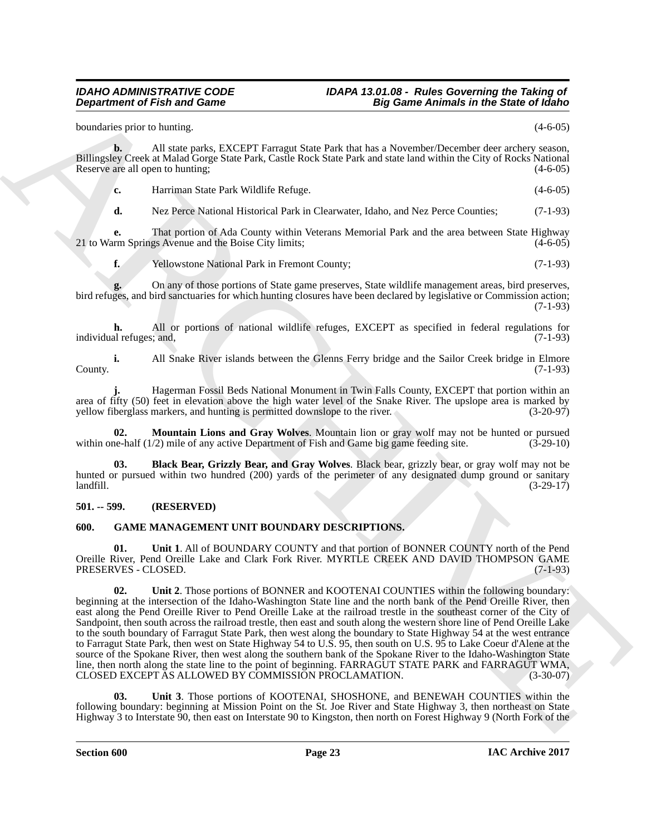boundaries prior to hunting. (4-6-05)

**b.** All state parks, EXCEPT Farragut State Park that has a November/December deer archery season, Billingsley Creek at Malad Gorge State Park, Castle Rock State Park and state land within the City of Rocks National Reserve are all open to hunting; (4-6-05)

**c.** Harriman State Park Wildlife Refuge. **Example 2018** 14-6-05)

**d.** Nez Perce National Historical Park in Clearwater, Idaho, and Nez Perce Counties; (7-1-93)

**e.** That portion of Ada County within Veterans Memorial Park and the area between State Highway rm Springs Avenue and the Boise City limits; (4-6-05) 21 to Warm Springs Avenue and the Boise City limits;

**f.** Yellowstone National Park in Fremont County; (7-1-93)

**g.** On any of those portions of State game preserves, State wildlife management areas, bird preserves, bird refuges, and bird sanctuaries for which hunting closures have been declared by legislative or Commission action; (7-1-93)

**h.** All or portions of national wildlife refuges, EXCEPT as specified in federal regulations for individual refuges; and, (7-1-93)

**i.** All Snake River islands between the Glenns Ferry bridge and the Sailor Creek bridge in Elmore County. (7-1-93)

**j.** Hagerman Fossil Beds National Monument in Twin Falls County, EXCEPT that portion within an area of fifty (50) feet in elevation above the high water level of the Snake River. The upslope area is marked by yellow fiberglass markers, and hunting is permitted downslope to the river. yellow fiberglass markers, and hunting is permitted downslope to the river.

<span id="page-22-3"></span>**Mountain Lions and Gray Wolves**. Mountain lion or gray wolf may not be hunted or pursued  $\alpha$  mile of any active Department of Fish and Game big game feeding site. (3-29-10) within one-half  $(1/2)$  mile of any active Department of Fish and Game big game feeding site.

<span id="page-22-2"></span>**03. Black Bear, Grizzly Bear, and Gray Wolves**. Black bear, grizzly bear, or gray wolf may not be hunted or pursued within two hundred (200) yards of the perimeter of any designated dump ground or sanitary landfill. (3-29-17)  $\lambda$ landfill. (3-29-17)

### <span id="page-22-0"></span>**501. -- 599. (RESERVED)**

### <span id="page-22-4"></span><span id="page-22-1"></span>**600. GAME MANAGEMENT UNIT BOUNDARY DESCRIPTIONS.**

**01. Unit 1**. All of BOUNDARY COUNTY and that portion of BONNER COUNTY north of the Pend Oreille River, Pend Oreille Lake and Clark Fork River. MYRTLE CREEK AND DAVID THOMPSON GAME PRESERVES - CLOSED. (7-1-93)

**Department of Fish and Game<br>
System Antanta, and Same<br>
System Antanta, and Same<br>
System Antanta, and Alexanders Control and Same<br>
Billions Core and Manufacture Control and Same Transmitter (1987)<br>
Billions Core and Manuf 02. Unit 2**. Those portions of BONNER and KOOTENAI COUNTIES within the following boundary: beginning at the intersection of the Idaho-Washington State line and the north bank of the Pend Oreille River, then east along the Pend Oreille River to Pend Oreille Lake at the railroad trestle in the southeast corner of the City of Sandpoint, then south across the railroad trestle, then east and south along the western shore line of Pend Oreille Lake to the south boundary of Farragut State Park, then west along the boundary to State Highway 54 at the west entrance to Farragut State Park, then west on State Highway 54 to U.S. 95, then south on U.S. 95 to Lake Coeur d'Alene at the source of the Spokane River, then west along the southern bank of the Spokane River to the Idaho-Washington State line, then north along the state line to the point of beginning. FARRAGUT STATE PARK and FARRAGUT WMA, CLOSED EXCEPT AS ALLOWED BY COMMISSION PROCLAMATION. (3-30-07)

**03. Unit 3**. Those portions of KOOTENAI, SHOSHONE, and BENEWAH COUNTIES within the following boundary: beginning at Mission Point on the St. Joe River and State Highway 3, then northeast on State Highway 3 to Interstate 90, then east on Interstate 90 to Kingston, then north on Forest Highway 9 (North Fork of the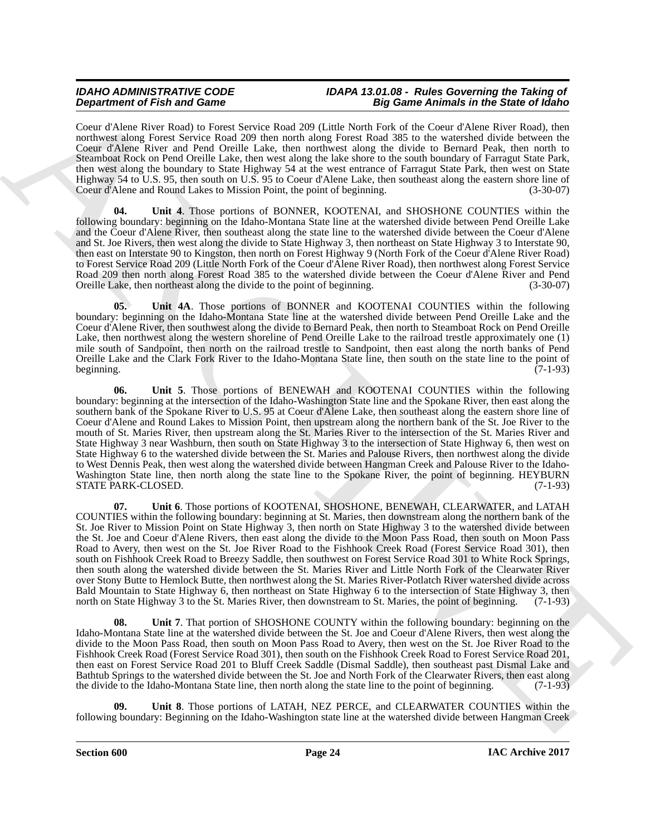Coeur d'Alene River Road) to Forest Service Road 209 (Little North Fork of the Coeur d'Alene River Road), then northwest along Forest Service Road 209 then north along Forest Road 385 to the watershed divide between the Coeur d'Alene River and Pend Oreille Lake, then northwest along the divide to Bernard Peak, then north to Steamboat Rock on Pend Oreille Lake, then west along the lake shore to the south boundary of Farragut State Park, then west along the boundary to State Highway 54 at the west entrance of Farragut State Park, then west on State Highway 54 to U.S. 95, then south on U.S. 95 to Coeur d'Alene Lake, then southeast along the eastern shore line of Coeur d'Alene and Round Lakes to Mission Point, the point of beginning. (3-30-07) Coeur d'Alene and Round Lakes to Mission Point, the point of beginning.

**04. Unit 4**. Those portions of BONNER, KOOTENAI, and SHOSHONE COUNTIES within the following boundary: beginning on the Idaho-Montana State line at the watershed divide between Pend Oreille Lake and the Coeur d'Alene River, then southeast along the state line to the watershed divide between the Coeur d'Alene and St. Joe Rivers, then west along the divide to State Highway 3, then northeast on State Highway 3 to Interstate 90, then east on Interstate 90 to Kingston, then north on Forest Highway 9 (North Fork of the Coeur d'Alene River Road) to Forest Service Road 209 (Little North Fork of the Coeur d'Alene River Road), then northwest along Forest Service Road 209 then north along Forest Road 385 to the watershed divide between the Coeur d'Alene River and Pend Oreille Lake, then northeast along the divide to the point of beginning. (3-30-07)

**05. Unit 4A**. Those portions of BONNER and KOOTENAI COUNTIES within the following boundary: beginning on the Idaho-Montana State line at the watershed divide between Pend Oreille Lake and the Coeur d'Alene River, then southwest along the divide to Bernard Peak, then north to Steamboat Rock on Pend Oreille Lake, then northwest along the western shoreline of Pend Oreille Lake to the railroad trestle approximately one (1) mile south of Sandpoint, then north on the railroad trestle to Sandpoint, then east along the north banks of Pend Oreille Lake and the Clark Fork River to the Idaho-Montana State line, then south on the state line to the point of beginning. (7-1-93) beginning. (7-1-93)

**06. Unit 5**. Those portions of BENEWAH and KOOTENAI COUNTIES within the following boundary: beginning at the intersection of the Idaho-Washington State line and the Spokane River, then east along the southern bank of the Spokane River to U.S. 95 at Coeur d'Alene Lake, then southeast along the eastern shore line of Coeur d'Alene and Round Lakes to Mission Point, then upstream along the northern bank of the St. Joe River to the mouth of St. Maries River, then upstream along the St. Maries River to the intersection of the St. Maries River and State Highway 3 near Washburn, then south on State Highway 3 to the intersection of State Highway 6, then west on State Highway 6 to the watershed divide between the St. Maries and Palouse Rivers, then northwest along the divide to West Dennis Peak, then west along the watershed divide between Hangman Creek and Palouse River to the Idaho-Washington State line, then north along the state line to the Spokane River, the point of beginning. HEYBURN STATE PARK-CLOSED. (7-1-93) STATE PARK-CLOSED.

**Dependent of Finite and Conservation** Associates that the **Equivariant** of Finite and Conservation Conservation Conservation Conservation Conservation Conservation Conservation Conservation Conservation Conservation Cons **07. Unit 6**. Those portions of KOOTENAI, SHOSHONE, BENEWAH, CLEARWATER, and LATAH COUNTIES within the following boundary: beginning at St. Maries, then downstream along the northern bank of the St. Joe River to Mission Point on State Highway 3, then north on State Highway 3 to the watershed divide between the St. Joe and Coeur d'Alene Rivers, then east along the divide to the Moon Pass Road, then south on Moon Pass Road to Avery, then west on the St. Joe River Road to the Fishhook Creek Road (Forest Service Road 301), then south on Fishhook Creek Road to Breezy Saddle, then southwest on Forest Service Road 301 to White Rock Springs, then south along the watershed divide between the St. Maries River and Little North Fork of the Clearwater River over Stony Butte to Hemlock Butte, then northwest along the St. Maries River-Potlatch River watershed divide across Bald Mountain to State Highway 6, then northeast on State Highway 6 to the intersection of State Highway 3, then north on State Highway 3 to the St. Maries River, then downstream to St. Maries, the point of beginning. (7-1 north on State Highway 3 to the St. Maries River, then downstream to St. Maries, the point of beginning.

**Unit 7.** That portion of SHOSHONE COUNTY within the following boundary: beginning on the Idaho-Montana State line at the watershed divide between the St. Joe and Coeur d'Alene Rivers, then west along the divide to the Moon Pass Road, then south on Moon Pass Road to Avery, then west on the St. Joe River Road to the Fishhook Creek Road (Forest Service Road 301), then south on the Fishhook Creek Road to Forest Service Road 201, then east on Forest Service Road 201 to Bluff Creek Saddle (Dismal Saddle), then southeast past Dismal Lake and Bathtub Springs to the watershed divide between the St. Joe and North Fork of the Clearwater Rivers, then east along the divide to the Idaho-Montana State line, then north along the state line to the point of beginning. (7-1-93)

**09. Unit 8**. Those portions of LATAH, NEZ PERCE, and CLEARWATER COUNTIES within the following boundary: Beginning on the Idaho-Washington state line at the watershed divide between Hangman Creek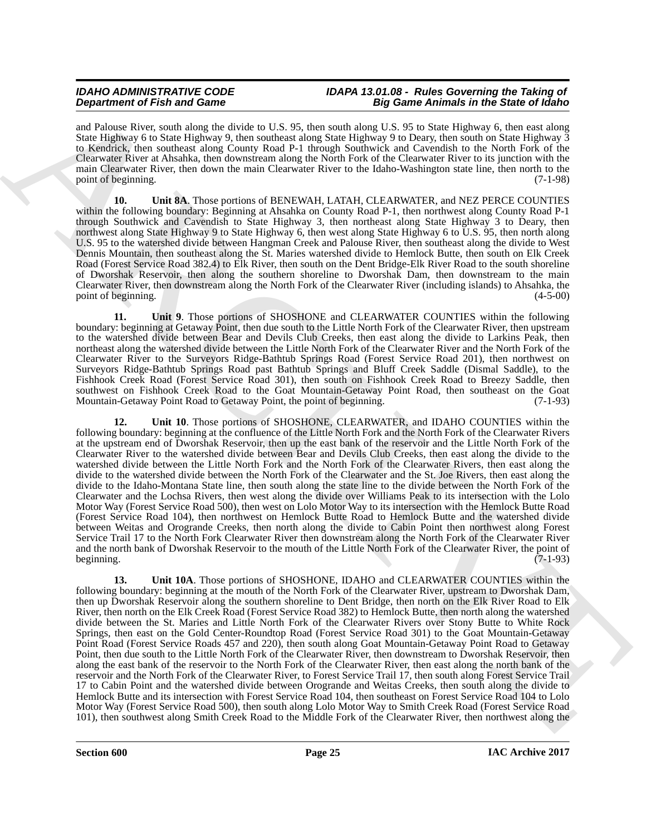and Palouse River, south along the divide to U.S. 95, then south along U.S. 95 to State Highway 6, then east along State Highway 6 to State Highway 9, then southeast along State Highway 9 to Deary, then south on State Highway 3 to Kendrick, then southeast along County Road P-1 through Southwick and Cavendish to the North Fork of the Clearwater River at Ahsahka, then downstream along the North Fork of the Clearwater River to its junction with the main Clearwater River, then down the main Clearwater River to the Idaho-Washington state line, then north to the point of beginning. (7-1-98)

**10. Unit 8A**. Those portions of BENEWAH, LATAH, CLEARWATER, and NEZ PERCE COUNTIES within the following boundary: Beginning at Ahsahka on County Road P-1, then northwest along County Road P-1 through Southwick and Cavendish to State Highway 3, then northeast along State Highway 3 to Deary, then northwest along State Highway 9 to State Highway 6, then west along State Highway 6 to U.S. 95, then north along U.S. 95 to the watershed divide between Hangman Creek and Palouse River, then southeast along the divide to West Dennis Mountain, then southeast along the St. Maries watershed divide to Hemlock Butte, then south on Elk Creek Road (Forest Service Road 382.4) to Elk River, then south on the Dent Bridge-Elk River Road to the south shoreline of Dworshak Reservoir, then along the southern shoreline to Dworshak Dam, then downstream to the main Clearwater River, then downstream along the North Fork of the Clearwater River (including islands) to Ahsahka, the point of beginning.

**11. Unit 9**. Those portions of SHOSHONE and CLEARWATER COUNTIES within the following boundary: beginning at Getaway Point, then due south to the Little North Fork of the Clearwater River, then upstream to the watershed divide between Bear and Devils Club Creeks, then east along the divide to Larkins Peak, then northeast along the watershed divide between the Little North Fork of the Clearwater River and the North Fork of the Clearwater River to the Surveyors Ridge-Bathtub Springs Road (Forest Service Road 201), then northwest on Surveyors Ridge-Bathtub Springs Road past Bathtub Springs and Bluff Creek Saddle (Dismal Saddle), to the Fishhook Creek Road (Forest Service Road 301), then south on Fishhook Creek Road to Breezy Saddle, then southwest on Fishhook Creek Road to the Goat Mountain-Getaway Point Road, then southeast on the Goat Mountain-Getaway Point Road to Getaway Point, the point of beginning. (7-1-93) Mountain-Getaway Point Road to Getaway Point, the point of beginning.

**Dependent of Finite and Construction** 1. **So that we distribute the state of the Since Paint Construction 2.** So the Since Paint Construction 2. The Since Paint Construction 2. The Since Paint Construction 2. The Since P **12. Unit 10**. Those portions of SHOSHONE, CLEARWATER, and IDAHO COUNTIES within the following boundary: beginning at the confluence of the Little North Fork and the North Fork of the Clearwater Rivers at the upstream end of Dworshak Reservoir, then up the east bank of the reservoir and the Little North Fork of the Clearwater River to the watershed divide between Bear and Devils Club Creeks, then east along the divide to the watershed divide between the Little North Fork and the North Fork of the Clearwater Rivers, then east along the divide to the watershed divide between the North Fork of the Clearwater and the St. Joe Rivers, then east along the divide to the Idaho-Montana State line, then south along the state line to the divide between the North Fork of the Clearwater and the Lochsa Rivers, then west along the divide over Williams Peak to its intersection with the Lolo Motor Way (Forest Service Road 500), then west on Lolo Motor Way to its intersection with the Hemlock Butte Road (Forest Service Road 104), then northwest on Hemlock Butte Road to Hemlock Butte and the watershed divide between Weitas and Orogrande Creeks, then north along the divide to Cabin Point then northwest along Forest Service Trail 17 to the North Fork Clearwater River then downstream along the North Fork of the Clearwater River and the north bank of Dworshak Reservoir to the mouth of the Little North Fork of the Clearwater River, the point of beginning. (7-1-93)

**13. Unit 10A**. Those portions of SHOSHONE, IDAHO and CLEARWATER COUNTIES within the following boundary: beginning at the mouth of the North Fork of the Clearwater River, upstream to Dworshak Dam, then up Dworshak Reservoir along the southern shoreline to Dent Bridge, then north on the Elk River Road to Elk River, then north on the Elk Creek Road (Forest Service Road 382) to Hemlock Butte, then north along the watershed divide between the St. Maries and Little North Fork of the Clearwater Rivers over Stony Butte to White Rock Springs, then east on the Gold Center-Roundtop Road (Forest Service Road 301) to the Goat Mountain-Getaway Point Road (Forest Service Roads 457 and 220), then south along Goat Mountain-Getaway Point Road to Getaway Point, then due south to the Little North Fork of the Clearwater River, then downstream to Dworshak Reservoir, then along the east bank of the reservoir to the North Fork of the Clearwater River, then east along the north bank of the reservoir and the North Fork of the Clearwater River, to Forest Service Trail 17, then south along Forest Service Trail 17 to Cabin Point and the watershed divide between Orogrande and Weitas Creeks, then south along the divide to Hemlock Butte and its intersection with Forest Service Road 104, then southeast on Forest Service Road 104 to Lolo Motor Way (Forest Service Road 500), then south along Lolo Motor Way to Smith Creek Road (Forest Service Road 101), then southwest along Smith Creek Road to the Middle Fork of the Clearwater River, then northwest along the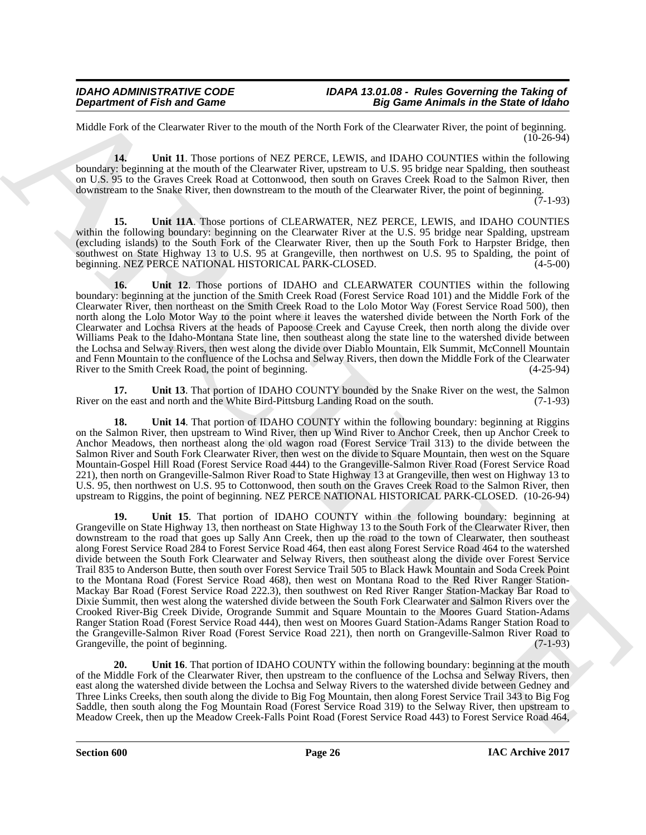Middle Fork of the Clearwater River to the mouth of the North Fork of the Clearwater River, the point of beginning.  $(10-26-94)$ 

**14. Unit 11**. Those portions of NEZ PERCE, LEWIS, and IDAHO COUNTIES within the following boundary: beginning at the mouth of the Clearwater River, upstream to U.S. 95 bridge near Spalding, then southeast on U.S. 95 to the Graves Creek Road at Cottonwood, then south on Graves Creek Road to the Salmon River, then downstream to the Snake River, then downstream to the mouth of the Clearwater River, the point of beginning.

(7-1-93)

**15. Unit 11A**. Those portions of CLEARWATER, NEZ PERCE, LEWIS, and IDAHO COUNTIES within the following boundary: beginning on the Clearwater River at the U.S. 95 bridge near Spalding, upstream (excluding islands) to the South Fork of the Clearwater River, then up the South Fork to Harpster Bridge, then southwest on State Highway 13 to U.S. 95 at Grangeville, then northwest on U.S. 95 to Spalding, the point of beginning. NEZ PERCE NATIONAL HISTORICAL PARK-CLOSED. (4-5-00)

**16. Unit 12**. Those portions of IDAHO and CLEARWATER COUNTIES within the following boundary: beginning at the junction of the Smith Creek Road (Forest Service Road 101) and the Middle Fork of the Clearwater River, then northeast on the Smith Creek Road to the Lolo Motor Way (Forest Service Road 500), then north along the Lolo Motor Way to the point where it leaves the watershed divide between the North Fork of the Clearwater and Lochsa Rivers at the heads of Papoose Creek and Cayuse Creek, then north along the divide over Williams Peak to the Idaho-Montana State line, then southeast along the state line to the watershed divide between the Lochsa and Selway Rivers, then west along the divide over Diablo Mountain, Elk Summit, McConnell Mountain and Fenn Mountain to the confluence of the Lochsa and Selway Rivers, then down the Middle Fork of the Clearwater River to the Smith Creek Road, the point of beginning. (4-25-94)

**17.** Unit 13. That portion of IDAHO COUNTY bounded by the Snake River on the west, the Salmon the east and north and the White Bird-Pittsburg Landing Road on the south. (7-1-93) River on the east and north and the White Bird-Pittsburg Landing Road on the south.

**18.** Unit 14. That portion of IDAHO COUNTY within the following boundary: beginning at Riggins on the Salmon River, then upstream to Wind River, then up Wind River to Anchor Creek, then up Anchor Creek to Anchor Meadows, then northeast along the old wagon road (Forest Service Trail 313) to the divide between the Salmon River and South Fork Clearwater River, then west on the divide to Square Mountain, then west on the Square Mountain-Gospel Hill Road (Forest Service Road 444) to the Grangeville-Salmon River Road (Forest Service Road 221), then north on Grangeville-Salmon River Road to State Highway 13 at Grangeville, then west on Highway 13 to U.S. 95, then northwest on U.S. 95 to Cottonwood, then south on the Graves Creek Road to the Salmon River, then upstream to Riggins, the point of beginning. NEZ PERCE NATIONAL HISTORICAL PARK-CLOSED. (10-26-94)

**Department of Fish and Game<br>
MARCHIVES and Game<br>
MARCHIVES and Game Anhands in the Source of Game Concerns and the Source of Game Concerns and the Source of Game Concerns and the Source of Game Concerns and the Source of 19. Unit 15**. That portion of IDAHO COUNTY within the following boundary: beginning at Grangeville on State Highway 13, then northeast on State Highway 13 to the South Fork of the Clearwater River, then downstream to the road that goes up Sally Ann Creek, then up the road to the town of Clearwater, then southeast along Forest Service Road 284 to Forest Service Road 464, then east along Forest Service Road 464 to the watershed divide between the South Fork Clearwater and Selway Rivers, then southeast along the divide over Forest Service Trail 835 to Anderson Butte, then south over Forest Service Trail 505 to Black Hawk Mountain and Soda Creek Point to the Montana Road (Forest Service Road 468), then west on Montana Road to the Red River Ranger Station-Mackay Bar Road (Forest Service Road 222.3), then southwest on Red River Ranger Station-Mackay Bar Road to Dixie Summit, then west along the watershed divide between the South Fork Clearwater and Salmon Rivers over the Crooked River-Big Creek Divide, Orogrande Summit and Square Mountain to the Moores Guard Station-Adams Ranger Station Road (Forest Service Road 444), then west on Moores Guard Station-Adams Ranger Station Road to the Grangeville-Salmon River Road (Forest Service Road 221), then north on Grangeville-Salmon River Road to Grangeville, the point of beginning. (7-1-93) Grangeville, the point of beginning.

**Unit 16.** That portion of IDAHO COUNTY within the following boundary: beginning at the mouth of the Middle Fork of the Clearwater River, then upstream to the confluence of the Lochsa and Selway Rivers, then east along the watershed divide between the Lochsa and Selway Rivers to the watershed divide between Gedney and Three Links Creeks, then south along the divide to Big Fog Mountain, then along Forest Service Trail 343 to Big Fog Saddle, then south along the Fog Mountain Road (Forest Service Road 319) to the Selway River, then upstream to Meadow Creek, then up the Meadow Creek-Falls Point Road (Forest Service Road 443) to Forest Service Road 464,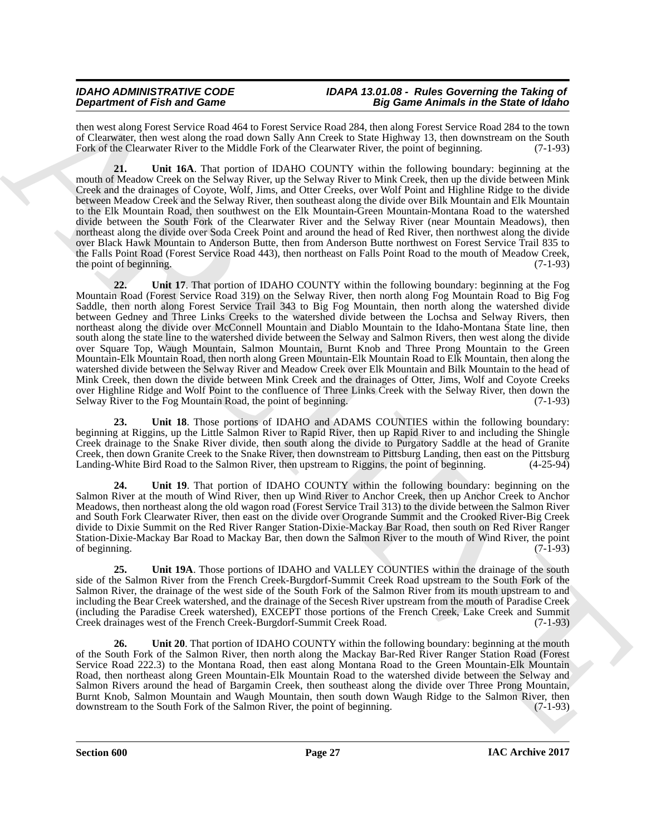then west along Forest Service Road 464 to Forest Service Road 284, then along Forest Service Road 284 to the town of Clearwater, then west along the road down Sally Ann Creek to State Highway 13, then downstream on the South Fork of the Clearwater River to the Middle Fork of the Clearwater River, the point of beginning. (7-1-93)

**21. Unit 16A**. That portion of IDAHO COUNTY within the following boundary: beginning at the mouth of Meadow Creek on the Selway River, up the Selway River to Mink Creek, then up the divide between Mink Creek and the drainages of Coyote, Wolf, Jims, and Otter Creeks, over Wolf Point and Highline Ridge to the divide between Meadow Creek and the Selway River, then southeast along the divide over Bilk Mountain and Elk Mountain to the Elk Mountain Road, then southwest on the Elk Mountain-Green Mountain-Montana Road to the watershed divide between the South Fork of the Clearwater River and the Selway River (near Mountain Meadows), then northeast along the divide over Soda Creek Point and around the head of Red River, then northwest along the divide over Black Hawk Mountain to Anderson Butte, then from Anderson Butte northwest on Forest Service Trail 835 to the Falls Point Road (Forest Service Road 443), then northeast on Falls Point Road to the mouth of Meadow Creek, the point of beginning. (7-1-93)

**Dependent of Friedrich Characteristics** and the spin of Friedrich Characteristics and the spin of Friedrich Characteristics and the spin of Friedrich Characteristics and the spin of Characteristics and the spin of Charac **22. Unit 17**. That portion of IDAHO COUNTY within the following boundary: beginning at the Fog Mountain Road (Forest Service Road 319) on the Selway River, then north along Fog Mountain Road to Big Fog Saddle, then north along Forest Service Trail 343 to Big Fog Mountain, then north along the watershed divide between Gedney and Three Links Creeks to the watershed divide between the Lochsa and Selway Rivers, then northeast along the divide over McConnell Mountain and Diablo Mountain to the Idaho-Montana State line, then south along the state line to the watershed divide between the Selway and Salmon Rivers, then west along the divide over Square Top, Waugh Mountain, Salmon Mountain, Burnt Knob and Three Prong Mountain to the Green Mountain-Elk Mountain Road, then north along Green Mountain-Elk Mountain Road to Elk Mountain, then along the watershed divide between the Selway River and Meadow Creek over Elk Mountain and Bilk Mountain to the head of Mink Creek, then down the divide between Mink Creek and the drainages of Otter, Jims, Wolf and Coyote Creeks over Highline Ridge and Wolf Point to the confluence of Three Links Creek with the Selway River, then down the Selway River to the Fog Mountain Road, the point of beginning. (7-1-93) Selway River to the Fog Mountain Road, the point of beginning.

**23. Unit 18**. Those portions of IDAHO and ADAMS COUNTIES within the following boundary: beginning at Riggins, up the Little Salmon River to Rapid River, then up Rapid River to and including the Shingle Creek drainage to the Snake River divide, then south along the divide to Purgatory Saddle at the head of Granite Creek, then down Granite Creek to the Snake River, then downstream to Pittsburg Landing, then east on the Pittsburg Landing-White Bird Road to the Salmon River, then upstream to Riggins, the point of beginning. (4-25-94)

**24. Unit 19**. That portion of IDAHO COUNTY within the following boundary: beginning on the Salmon River at the mouth of Wind River, then up Wind River to Anchor Creek, then up Anchor Creek to Anchor Meadows, then northeast along the old wagon road (Forest Service Trail 313) to the divide between the Salmon River and South Fork Clearwater River, then east on the divide over Orogrande Summit and the Crooked River-Big Creek divide to Dixie Summit on the Red River Ranger Station-Dixie-Mackay Bar Road, then south on Red River Ranger Station-Dixie-Mackay Bar Road to Mackay Bar, then down the Salmon River to the mouth of Wind River, the point of beginning.  $(7-1-93)$ 

**25. Unit 19A**. Those portions of IDAHO and VALLEY COUNTIES within the drainage of the south side of the Salmon River from the French Creek-Burgdorf-Summit Creek Road upstream to the South Fork of the Salmon River, the drainage of the west side of the South Fork of the Salmon River from its mouth upstream to and including the Bear Creek watershed, and the drainage of the Secesh River upstream from the mouth of Paradise Creek (including the Paradise Creek watershed), EXCEPT those portions of the French Creek, Lake Creek and Summit Creek drainages west of the French Creek-Burgdorf-Summit Creek Road. (7-1-93)

**26.** Unit 20. That portion of IDAHO COUNTY within the following boundary: beginning at the mouth of the South Fork of the Salmon River, then north along the Mackay Bar-Red River Ranger Station Road (Forest Service Road 222.3) to the Montana Road, then east along Montana Road to the Green Mountain-Elk Mountain Road, then northeast along Green Mountain-Elk Mountain Road to the watershed divide between the Selway and Salmon Rivers around the head of Bargamin Creek, then southeast along the divide over Three Prong Mountain, Burnt Knob, Salmon Mountain and Waugh Mountain, then south down Waugh Ridge to the Salmon River, then downstream to the South Fork of the Salmon River, the point of beginning. (7-1-93)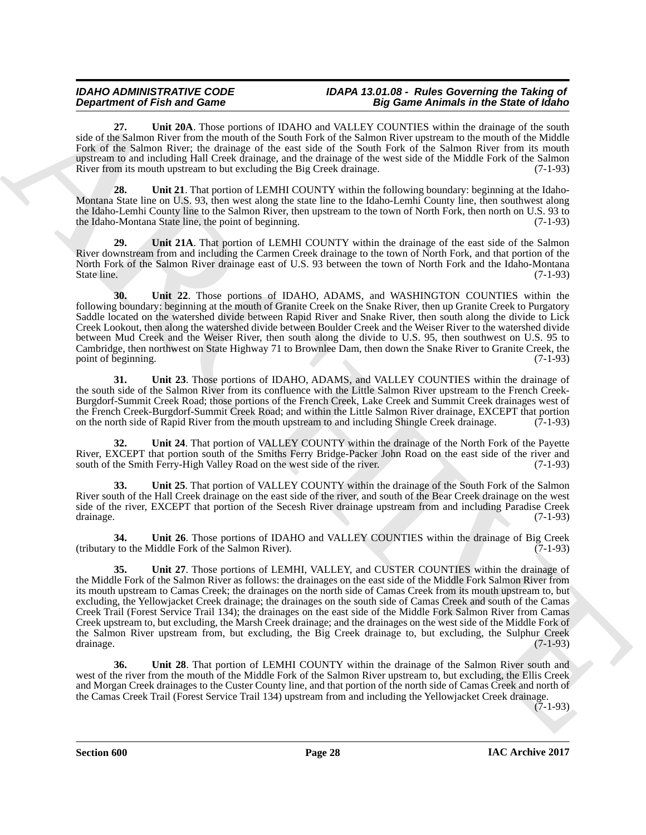**27. Unit 20A**. Those portions of IDAHO and VALLEY COUNTIES within the drainage of the south side of the Salmon River from the mouth of the South Fork of the Salmon River upstream to the mouth of the Middle Fork of the Salmon River; the drainage of the east side of the South Fork of the Salmon River from its mouth upstream to and including Hall Creek drainage, and the drainage of the west side of the Middle Fork of the Salmon River from its mouth upstream to but excluding the Big Creek drainage. (7-1-93) River from its mouth upstream to but excluding the Big Creek drainage.

**28. Unit 21**. That portion of LEMHI COUNTY within the following boundary: beginning at the Idaho-Montana State line on U.S. 93, then west along the state line to the Idaho-Lemhi County line, then southwest along the Idaho-Lemhi County line to the Salmon River, then upstream to the town of North Fork, then north on U.S. 93 to the Idaho-Montana State line, the point of beginning. (7-1-93)

**29. Unit 21A**. That portion of LEMHI COUNTY within the drainage of the east side of the Salmon River downstream from and including the Carmen Creek drainage to the town of North Fork, and that portion of the North Fork of the Salmon River drainage east of U.S. 93 between the town of North Fork and the Idaho-Montana State line. (7-1-93)

**30. Unit 22**. Those portions of IDAHO, ADAMS, and WASHINGTON COUNTIES within the following boundary: beginning at the mouth of Granite Creek on the Snake River, then up Granite Creek to Purgatory Saddle located on the watershed divide between Rapid River and Snake River, then south along the divide to Lick Creek Lookout, then along the watershed divide between Boulder Creek and the Weiser River to the watershed divide between Mud Creek and the Weiser River, then south along the divide to U.S. 95, then southwest on U.S. 95 to Cambridge, then northwest on State Highway 71 to Brownlee Dam, then down the Snake River to Granite Creek, the point of beginning. (7-1-93)

**31. Unit 23**. Those portions of IDAHO, ADAMS, and VALLEY COUNTIES within the drainage of the south side of the Salmon River from its confluence with the Little Salmon River upstream to the French Creek-Burgdorf-Summit Creek Road; those portions of the French Creek, Lake Creek and Summit Creek drainages west of the French Creek-Burgdorf-Summit Creek Road; and within the Little Salmon River drainage, EXCEPT that portion on the north side of Rapid River from the mouth upstream to and including Shingle Creek drainage. (7-1-93)

**32. Unit 24**. That portion of VALLEY COUNTY within the drainage of the North Fork of the Payette River, EXCEPT that portion south of the Smiths Ferry Bridge-Packer John Road on the east side of the river and south of the Smith Ferry-High Valley Road on the west side of the river. (7-1-93)

**33. Unit 25**. That portion of VALLEY COUNTY within the drainage of the South Fork of the Salmon River south of the Hall Creek drainage on the east side of the river, and south of the Bear Creek drainage on the west side of the river, EXCEPT that portion of the Secesh River drainage upstream from and including Paradise Creek drainage. (7-1-93)

**34.** Unit 26. Those portions of IDAHO and VALLEY COUNTIES within the drainage of Big Creek  $v$  to the Middle Fork of the Salmon River). (tributary to the Middle Fork of the Salmon River).

**Department of Friedrich Control in the Control in the Control in the Control in the Same Poisson of Control in the Control in the Control in the Control in the Control in the Control in the Control in the Control in the 35. Unit 27**. Those portions of LEMHI, VALLEY, and CUSTER COUNTIES within the drainage of the Middle Fork of the Salmon River as follows: the drainages on the east side of the Middle Fork Salmon River from its mouth upstream to Camas Creek; the drainages on the north side of Camas Creek from its mouth upstream to, but excluding, the Yellowjacket Creek drainage; the drainages on the south side of Camas Creek and south of the Camas Creek Trail (Forest Service Trail 134); the drainages on the east side of the Middle Fork Salmon River from Camas Creek upstream to, but excluding, the Marsh Creek drainage; and the drainages on the west side of the Middle Fork of the Salmon River upstream from, but excluding, the Big Creek drainage to, but excluding, the Sulphur Creek drainage. (7-1-93) drainage. (7-1-93)

**36. Unit 28**. That portion of LEMHI COUNTY within the drainage of the Salmon River south and west of the river from the mouth of the Middle Fork of the Salmon River upstream to, but excluding, the Ellis Creek and Morgan Creek drainages to the Custer County line, and that portion of the north side of Camas Creek and north of the Camas Creek Trail (Forest Service Trail 134) upstream from and including the Yellowjacket Creek drainage.

 $(7-1-93)$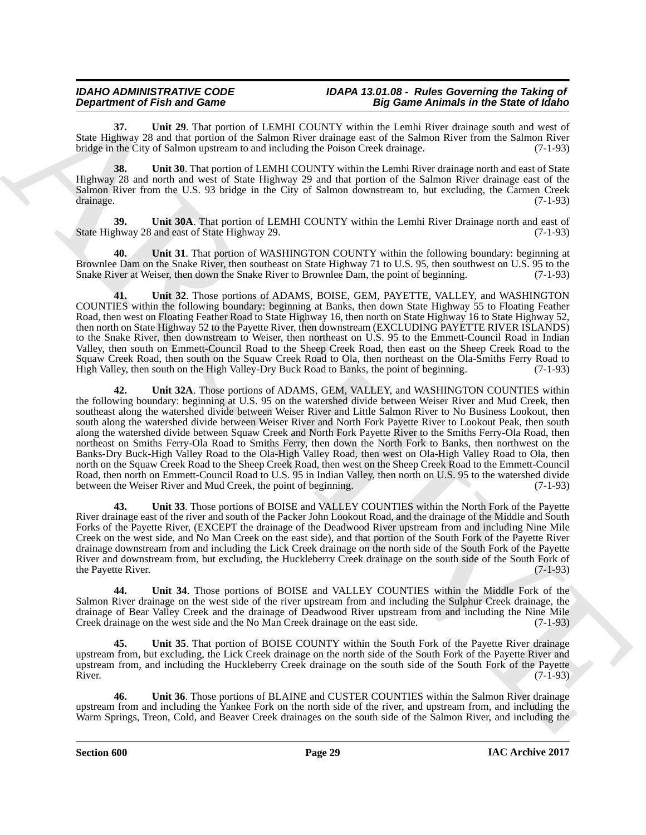**37. Unit 29**. That portion of LEMHI COUNTY within the Lemhi River drainage south and west of State Highway 28 and that portion of the Salmon River drainage east of the Salmon River from the Salmon River bridge in the City of Salmon upstream to and including the Poison Creek drainage. (7-1-93)

**38. Unit 30**. That portion of LEMHI COUNTY within the Lemhi River drainage north and east of State Highway 28 and north and west of State Highway 29 and that portion of the Salmon River drainage east of the Salmon River from the U.S. 93 bridge in the City of Salmon downstream to, but excluding, the Carmen Creek drainage. (7-1-93)

**39.** Unit 30A. That portion of LEMHI COUNTY within the Lemhi River Drainage north and east of state Highway 29. (7-1-93) State Highway 28 and east of State Highway 29.

**40. Unit 31**. That portion of WASHINGTON COUNTY within the following boundary: beginning at Brownlee Dam on the Snake River, then southeast on State Highway 71 to U.S. 95, then southwest on U.S. 95 to the Snake River at Weiser, then down the Snake River to Brownlee Dam, the point of beginning. (7-1-93)

**41. Unit 32**. Those portions of ADAMS, BOISE, GEM, PAYETTE, VALLEY, and WASHINGTON COUNTIES within the following boundary: beginning at Banks, then down State Highway 55 to Floating Feather Road, then west on Floating Feather Road to State Highway 16, then north on State Highway 16 to State Highway 52, then north on State Highway 52 to the Payette River, then downstream (EXCLUDING PAYETTE RIVER ISLANDS) to the Snake River, then downstream to Weiser, then northeast on U.S. 95 to the Emmett-Council Road in Indian Valley, then south on Emmett-Council Road to the Sheep Creek Road, then east on the Sheep Creek Road to the Squaw Creek Road, then south on the Squaw Creek Road to Ola, then northeast on the Ola-Smiths Ferry Road to High Valley, then south on the High Valley-Dry Buck Road to Banks, the point of beginning. (7-1-93)

**Department of Finite and Construction** of LEMER COUNTY widtin the **Equipartent constrained** for the Since 19 GeV and the state of Finite and County the County of County 19 GeV and County of Finite and County 19 GeV and C **42. Unit 32A**. Those portions of ADAMS, GEM, VALLEY, and WASHINGTON COUNTIES within the following boundary: beginning at U.S. 95 on the watershed divide between Weiser River and Mud Creek, then southeast along the watershed divide between Weiser River and Little Salmon River to No Business Lookout, then south along the watershed divide between Weiser River and North Fork Payette River to Lookout Peak, then south along the watershed divide between Squaw Creek and North Fork Payette River to the Smiths Ferry-Ola Road, then northeast on Smiths Ferry-Ola Road to Smiths Ferry, then down the North Fork to Banks, then northwest on the Banks-Dry Buck-High Valley Road to the Ola-High Valley Road, then west on Ola-High Valley Road to Ola, then north on the Squaw Creek Road to the Sheep Creek Road, then west on the Sheep Creek Road to the Emmett-Council Road, then north on Emmett-Council Road to U.S. 95 in Indian Valley, then north on U.S. 95 to the watershed divide<br>between the Weiser River and Mud Creek, the point of beginning. (7-1-93) between the Weiser River and Mud Creek, the point of beginning.

**43. Unit 33**. Those portions of BOISE and VALLEY COUNTIES within the North Fork of the Payette River drainage east of the river and south of the Packer John Lookout Road, and the drainage of the Middle and South Forks of the Payette River, (EXCEPT the drainage of the Deadwood River upstream from and including Nine Mile Creek on the west side, and No Man Creek on the east side), and that portion of the South Fork of the Payette River drainage downstream from and including the Lick Creek drainage on the north side of the South Fork of the Payette River and downstream from, but excluding, the Huckleberry Creek drainage on the south side of the South Fork of the Payette River. (7-1-93)

**44. Unit 34**. Those portions of BOISE and VALLEY COUNTIES within the Middle Fork of the Salmon River drainage on the west side of the river upstream from and including the Sulphur Creek drainage, the drainage of Bear Valley Creek and the drainage of Deadwood River upstream from and including the Nine Mile Creek drainage on the west side and the No Man Creek drainage on the east side. (7-1-93)

**45. Unit 35**. That portion of BOISE COUNTY within the South Fork of the Payette River drainage upstream from, but excluding, the Lick Creek drainage on the north side of the South Fork of the Payette River and upstream from, and including the Huckleberry Creek drainage on the south side of the South Fork of the Payette<br>River. (7-1-93) River.  $(7-1-93)$ 

**46. Unit 36**. Those portions of BLAINE and CUSTER COUNTIES within the Salmon River drainage upstream from and including the Yankee Fork on the north side of the river, and upstream from, and including the Warm Springs, Treon, Cold, and Beaver Creek drainages on the south side of the Salmon River, and including the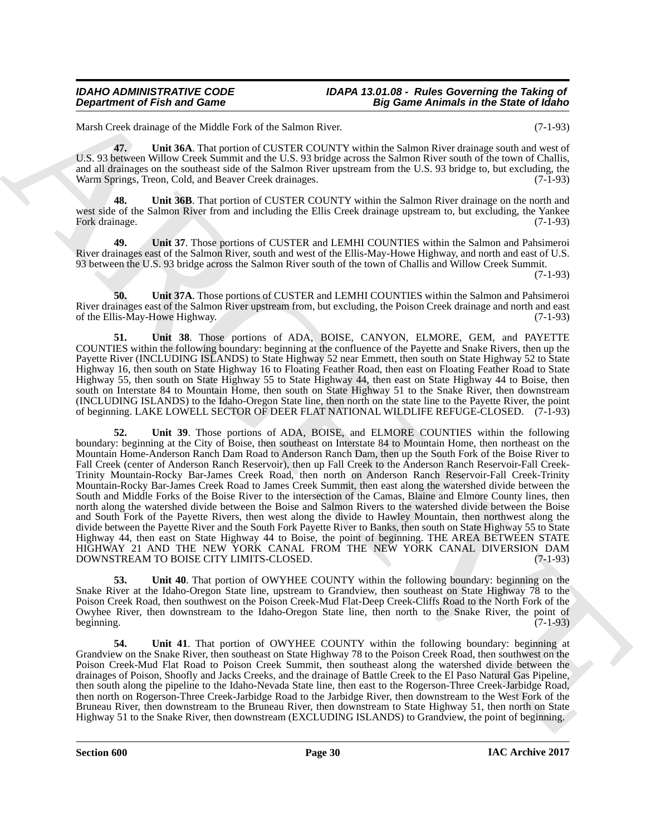Marsh Creek drainage of the Middle Fork of the Salmon River. (7-1-93)

**47. Unit 36A**. That portion of CUSTER COUNTY within the Salmon River drainage south and west of U.S. 93 between Willow Creek Summit and the U.S. 93 bridge across the Salmon River south of the town of Challis, and all drainages on the southeast side of the Salmon River upstream from the U.S. 93 bridge to, but excluding, the Warm Springs, Treon, Cold, and Beaver Creek drainages. (7-1-93)

Unit 36B. That portion of CUSTER COUNTY within the Salmon River drainage on the north and west side of the Salmon River from and including the Ellis Creek drainage upstream to, but excluding, the Yankee Fork drainage. (7-1-93)

**49. Unit 37**. Those portions of CUSTER and LEMHI COUNTIES within the Salmon and Pahsimeroi River drainages east of the Salmon River, south and west of the Ellis-May-Howe Highway, and north and east of U.S. 93 between the U.S. 93 bridge across the Salmon River south of the town of Challis and Willow Creek Summit.

(7-1-93)

**50. Unit 37A**. Those portions of CUSTER and LEMHI COUNTIES within the Salmon and Pahsimeroi River drainages east of the Salmon River upstream from, but excluding, the Poison Creek drainage and north and east of the Ellis-May-Howe Highway. (7-1-93)

**51. Unit 38**. Those portions of ADA, BOISE, CANYON, ELMORE, GEM, and PAYETTE COUNTIES within the following boundary: beginning at the confluence of the Payette and Snake Rivers, then up the Payette River (INCLUDING ISLANDS) to State Highway 52 near Emmett, then south on State Highway 52 to State Highway 16, then south on State Highway 16 to Floating Feather Road, then east on Floating Feather Road to State Highway 55, then south on State Highway 55 to State Highway 44, then east on State Highway 44 to Boise, then south on Interstate 84 to Mountain Home, then south on State Highway 51 to the Snake River, then downstream (INCLUDING ISLANDS) to the Idaho-Oregon State line, then north on the state line to the Payette River, the point of beginning. LAKE LOWELL SECTOR OF DEER FLAT NATIONAL WILDLIFE REFUGE-CLOSED. (7-1-93)

**Department of Fish and Game<br>
Matchase of the situation in the situation in the situation of the situation of the situation of the situation of the situation of the situation of the situation of the situation of the situa 52. Unit 39**. Those portions of ADA, BOISE, and ELMORE COUNTIES within the following boundary: beginning at the City of Boise, then southeast on Interstate 84 to Mountain Home, then northeast on the Mountain Home-Anderson Ranch Dam Road to Anderson Ranch Dam, then up the South Fork of the Boise River to Fall Creek (center of Anderson Ranch Reservoir), then up Fall Creek to the Anderson Ranch Reservoir-Fall Creek-Trinity Mountain-Rocky Bar-James Creek Road, then north on Anderson Ranch Reservoir-Fall Creek-Trinity Mountain-Rocky Bar-James Creek Road to James Creek Summit, then east along the watershed divide between the South and Middle Forks of the Boise River to the intersection of the Camas, Blaine and Elmore County lines, then north along the watershed divide between the Boise and Salmon Rivers to the watershed divide between the Boise and South Fork of the Payette Rivers, then west along the divide to Hawley Mountain, then northwest along the divide between the Payette River and the South Fork Payette River to Banks, then south on State Highway 55 to State Highway 44, then east on State Highway 44 to Boise, the point of beginning. THE AREA BETWEEN STATE HIGHWAY 21 AND THE NEW YORK CANAL FROM THE NEW YORK CANAL DIVERSION DAM DOWNSTREAM TO BOISE CITY LIMITS-CLOSED. (7-1-93)

**53. Unit 40**. That portion of OWYHEE COUNTY within the following boundary: beginning on the Snake River at the Idaho-Oregon State line, upstream to Grandview, then southeast on State Highway 78 to the Poison Creek Road, then southwest on the Poison Creek-Mud Flat-Deep Creek-Cliffs Road to the North Fork of the Owyhee River, then downstream to the Idaho-Oregon State line, then north to the Snake River, the point of beginning. (7-1-93)

**54. Unit 41**. That portion of OWYHEE COUNTY within the following boundary: beginning at Grandview on the Snake River, then southeast on State Highway 78 to the Poison Creek Road, then southwest on the Poison Creek-Mud Flat Road to Poison Creek Summit, then southeast along the watershed divide between the drainages of Poison, Shoofly and Jacks Creeks, and the drainage of Battle Creek to the El Paso Natural Gas Pipeline, then south along the pipeline to the Idaho-Nevada State line, then east to the Rogerson-Three Creek-Jarbidge Road, then north on Rogerson-Three Creek-Jarbidge Road to the Jarbidge River, then downstream to the West Fork of the Bruneau River, then downstream to the Bruneau River, then downstream to State Highway 51, then north on State Highway 51 to the Snake River, then downstream (EXCLUDING ISLANDS) to Grandview, the point of beginning.

**Section 600 Page 30**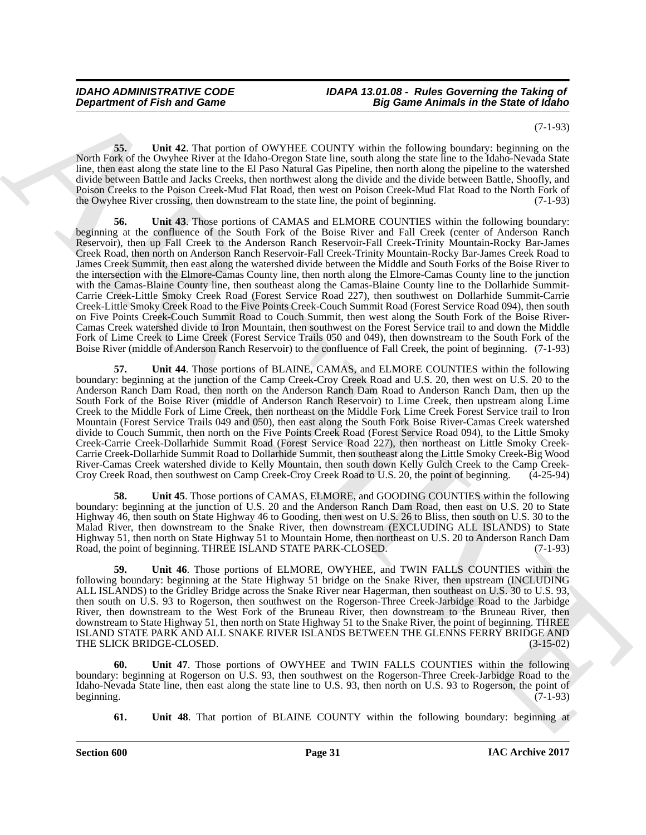(7-1-93)

**55. Unit 42**. That portion of OWYHEE COUNTY within the following boundary: beginning on the North Fork of the Owyhee River at the Idaho-Oregon State line, south along the state line to the Idaho-Nevada State line, then east along the state line to the El Paso Natural Gas Pipeline, then north along the pipeline to the watershed divide between Battle and Jacks Creeks, then northwest along the divide and the divide between Battle, Shoofly, and Poison Creeks to the Poison Creek-Mud Flat Road, then west on Poison Creek-Mud Flat Road to the North Fork of the Owyhee River crossing, then downstream to the state line, the point of beginning. (7-1-93)

**Department of Fish and Zames**<br> **Eq. 2. This contribute is the contribute of the Vision Contribute is the contribute in the Same Animals in the Same Model is the contribute in the same of the Contribute is the Contribute 56. Unit 43**. Those portions of CAMAS and ELMORE COUNTIES within the following boundary: beginning at the confluence of the South Fork of the Boise River and Fall Creek (center of Anderson Ranch Reservoir), then up Fall Creek to the Anderson Ranch Reservoir-Fall Creek-Trinity Mountain-Rocky Bar-James Creek Road, then north on Anderson Ranch Reservoir-Fall Creek-Trinity Mountain-Rocky Bar-James Creek Road to James Creek Summit, then east along the watershed divide between the Middle and South Forks of the Boise River to the intersection with the Elmore-Camas County line, then north along the Elmore-Camas County line to the junction with the Camas-Blaine County line, then southeast along the Camas-Blaine County line to the Dollarhide Summit-Carrie Creek-Little Smoky Creek Road (Forest Service Road 227), then southwest on Dollarhide Summit-Carrie Creek-Little Smoky Creek Road to the Five Points Creek-Couch Summit Road (Forest Service Road 094), then south on Five Points Creek-Couch Summit Road to Couch Summit, then west along the South Fork of the Boise River-Camas Creek watershed divide to Iron Mountain, then southwest on the Forest Service trail to and down the Middle Fork of Lime Creek to Lime Creek (Forest Service Trails 050 and 049), then downstream to the South Fork of the Boise River (middle of Anderson Ranch Reservoir) to the confluence of Fall Creek, the point of beginning. (7-1-93)

**57. Unit 44**. Those portions of BLAINE, CAMAS, and ELMORE COUNTIES within the following boundary: beginning at the junction of the Camp Creek-Croy Creek Road and U.S. 20, then west on U.S. 20 to the Anderson Ranch Dam Road, then north on the Anderson Ranch Dam Road to Anderson Ranch Dam, then up the South Fork of the Boise River (middle of Anderson Ranch Reservoir) to Lime Creek, then upstream along Lime Creek to the Middle Fork of Lime Creek, then northeast on the Middle Fork Lime Creek Forest Service trail to Iron Mountain (Forest Service Trails 049 and 050), then east along the South Fork Boise River-Camas Creek watershed divide to Couch Summit, then north on the Five Points Creek Road (Forest Service Road 094), to the Little Smoky Creek-Carrie Creek-Dollarhide Summit Road (Forest Service Road 227), then northeast on Little Smoky Creek-Carrie Creek-Dollarhide Summit Road to Dollarhide Summit, then southeast along the Little Smoky Creek-Big Wood River-Camas Creek watershed divide to Kelly Mountain, then south down Kelly Gulch Creek to the Camp Creek-Croy Creek Road, then southwest on Camp Creek-Croy Creek Road to U.S. 20, the point of beginning. (4-25-94)

**58. Unit 45**. Those portions of CAMAS, ELMORE, and GOODING COUNTIES within the following boundary: beginning at the junction of U.S. 20 and the Anderson Ranch Dam Road, then east on U.S. 20 to State Highway 46, then south on State Highway 46 to Gooding, then west on U.S. 26 to Bliss, then south on U.S. 30 to the Malad River, then downstream to the Snake River, then downstream (EXCLUDING ALL ISLANDS) to State Highway 51, then north on State Highway 51 to Mountain Home, then northeast on U.S. 20 to Anderson Ranch Dam Road, the point of beginning. THREE ISLAND STATE PARK-CLOSED. (7-1-93)

**59. Unit 46**. Those portions of ELMORE, OWYHEE, and TWIN FALLS COUNTIES within the following boundary: beginning at the State Highway 51 bridge on the Snake River, then upstream (INCLUDING ALL ISLANDS) to the Gridley Bridge across the Snake River near Hagerman, then southeast on U.S. 30 to U.S. 93, then south on U.S. 93 to Rogerson, then southwest on the Rogerson-Three Creek-Jarbidge Road to the Jarbidge River, then downstream to the West Fork of the Bruneau River, then downstream to the Bruneau River, then downstream to State Highway 51, then north on State Highway 51 to the Snake River, the point of beginning. THREE ISLAND STATE PARK AND ALL SNAKE RIVER ISLANDS BETWEEN THE GLENNS FERRY BRIDGE AND<br>THE SLICK BRIDGE-CLOSED. (3-15-02) THE SLICK BRIDGE-CLOSED.

Unit 47. Those portions of OWYHEE and TWIN FALLS COUNTIES within the following boundary: beginning at Rogerson on U.S. 93, then southwest on the Rogerson-Three Creek-Jarbidge Road to the Idaho-Nevada State line, then east along the state line to U.S. 93, then north on U.S. 93 to Rogerson, the point of beginning. (7-1-93) beginning. (7-1-93)

**61.** Unit 48. That portion of BLAINE COUNTY within the following boundary: beginning at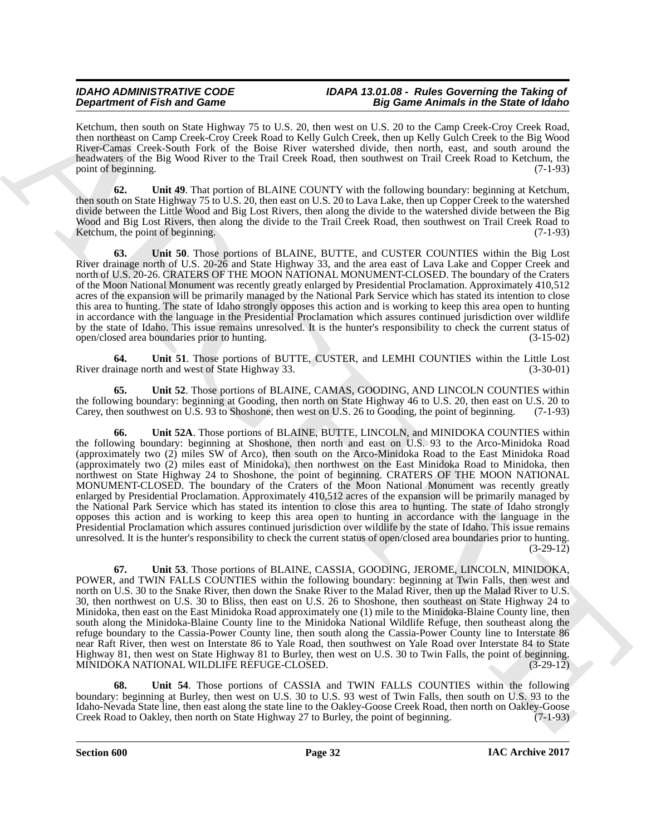Ketchum, then south on State Highway 75 to U.S. 20, then west on U.S. 20 to the Camp Creek-Croy Creek Road, then northeast on Camp Creek-Croy Creek Road to Kelly Gulch Creek, then up Kelly Gulch Creek to the Big Wood River-Camas Creek-South Fork of the Boise River watershed divide, then north, east, and south around the headwaters of the Big Wood River to the Trail Creek Road, then southwest on Trail Creek Road to Ketchum, the point of beginning. (7-1-93)

**62. Unit 49**. That portion of BLAINE COUNTY with the following boundary: beginning at Ketchum, then south on State Highway 75 to U.S. 20, then east on U.S. 20 to Lava Lake, then up Copper Creek to the watershed divide between the Little Wood and Big Lost Rivers, then along the divide to the watershed divide between the Big Wood and Big Lost Rivers, then along the divide to the Trail Creek Road, then southwest on Trail Creek Road to Ketchum, the point of beginning. (7-1-93)

**63. Unit 50**. Those portions of BLAINE, BUTTE, and CUSTER COUNTIES within the Big Lost River drainage north of U.S. 20-26 and State Highway 33, and the area east of Lava Lake and Copper Creek and north of U.S. 20-26. CRATERS OF THE MOON NATIONAL MONUMENT-CLOSED. The boundary of the Craters of the Moon National Monument was recently greatly enlarged by Presidential Proclamation. Approximately 410,512 acres of the expansion will be primarily managed by the National Park Service which has stated its intention to close this area to hunting. The state of Idaho strongly opposes this action and is working to keep this area open to hunting in accordance with the language in the Presidential Proclamation which assures continued jurisdiction over wildlife by the state of Idaho. This issue remains unresolved. It is the hunter's responsibility to check the current status of open/closed area boundaries prior to hunting. (3-15-02)

**64.** Unit 51. Those portions of BUTTE, CUSTER, and LEMHI COUNTIES within the Little Lost inage north and west of State Highway 33. (3-30-01) River drainage north and west of State Highway 33.

**65. Unit 52**. Those portions of BLAINE, CAMAS, GOODING, AND LINCOLN COUNTIES within the following boundary: beginning at Gooding, then north on State Highway 46 to U.S. 20, then east on U.S. 20 to Carey, then southwest on U.S. 93 to Shoshone, then west on U.S. 26 to Gooding, the point of beginning. (7-1-93)

**Dependent of Finite and Control 19. Example 10. Example 10. Example 10. Example 10. Example 10. Example 10. Example 10. Example 10. Example 10. Example 10. Example 10. Example 10. Example 10. 66. Unit 52A**. Those portions of BLAINE, BUTTE, LINCOLN, and MINIDOKA COUNTIES within the following boundary: beginning at Shoshone, then north and east on U.S. 93 to the Arco-Minidoka Road (approximately two (2) miles SW of Arco), then south on the Arco-Minidoka Road to the East Minidoka Road (approximately two (2) miles east of Minidoka), then northwest on the East Minidoka Road to Minidoka, then northwest on State Highway 24 to Shoshone, the point of beginning. CRATERS OF THE MOON NATIONAL MONUMENT-CLOSED. The boundary of the Craters of the Moon National Monument was recently greatly enlarged by Presidential Proclamation. Approximately 410,512 acres of the expansion will be primarily managed by the National Park Service which has stated its intention to close this area to hunting. The state of Idaho strongly opposes this action and is working to keep this area open to hunting in accordance with the language in the Presidential Proclamation which assures continued jurisdiction over wildlife by the state of Idaho. This issue remains unresolved. It is the hunter's responsibility to check the current status of open/closed area boundaries prior to hunting. (3-29-12)

**67. Unit 53**. Those portions of BLAINE, CASSIA, GOODING, JEROME, LINCOLN, MINIDOKA, POWER, and TWIN FALLS COUNTIES within the following boundary: beginning at Twin Falls, then west and north on U.S. 30 to the Snake River, then down the Snake River to the Malad River, then up the Malad River to U.S. 30, then northwest on U.S. 30 to Bliss, then east on U.S. 26 to Shoshone, then southeast on State Highway 24 to Minidoka, then east on the East Minidoka Road approximately one (1) mile to the Minidoka-Blaine County line, then south along the Minidoka-Blaine County line to the Minidoka National Wildlife Refuge, then southeast along the refuge boundary to the Cassia-Power County line, then south along the Cassia-Power County line to Interstate 86 near Raft River, then west on Interstate 86 to Yale Road, then southwest on Yale Road over Interstate 84 to State Highway 81, then west on State Highway 81 to Burley, then west on U.S. 30 to Twin Falls, the point of beginning. MINIDOKA NATIONAL WILDLIFE REFUGE-CLOSED. (3-29-12)

**68. Unit 54**. Those portions of CASSIA and TWIN FALLS COUNTIES within the following boundary: beginning at Burley, then west on U.S. 30 to U.S. 93 west of Twin Falls, then south on U.S. 93 to the Idaho-Nevada State line, then east along the state line to the Oakley-Goose Creek Road, then north on Oakley-Goose Creek Road to Oakley, then north on State Highway 27 to Burley, the point of beginning.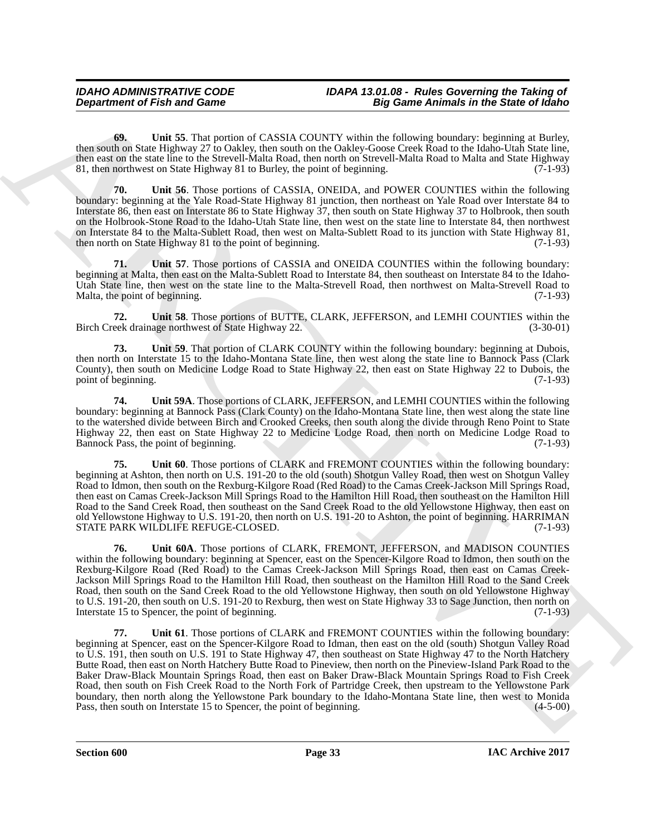**69. Unit 55**. That portion of CASSIA COUNTY within the following boundary: beginning at Burley, then south on State Highway 27 to Oakley, then south on the Oakley-Goose Creek Road to the Idaho-Utah State line, then east on the state line to the Strevell-Malta Road, then north on Strevell-Malta Road to Malta and State Highway 81, then northwest on State Highway 81 to Burley, the point of beginning. (7-1-93)

**70. Unit 56**. Those portions of CASSIA, ONEIDA, and POWER COUNTIES within the following boundary: beginning at the Yale Road-State Highway 81 junction, then northeast on Yale Road over Interstate 84 to Interstate 86, then east on Interstate 86 to State Highway 37, then south on State Highway 37 to Holbrook, then south on the Holbrook-Stone Road to the Idaho-Utah State line, then west on the state line to Interstate 84, then northwest on Interstate 84 to the Malta-Sublett Road, then west on Malta-Sublett Road to its junction with State Highway 81, then north on State Highway 81 to the point of beginning. (7-1-93) then north on State Highway 81 to the point of beginning.

**71. Unit 57**. Those portions of CASSIA and ONEIDA COUNTIES within the following boundary: beginning at Malta, then east on the Malta-Sublett Road to Interstate 84, then southeast on Interstate 84 to the Idaho-Utah State line, then west on the state line to the Malta-Strevell Road, then northwest on Malta-Strevell Road to Malta, the point of beginning.

**72.** Unit 58. Those portions of BUTTE, CLARK, JEFFERSON, and LEMHI COUNTIES within the eek drainage northwest of State Highway 22. (3-30-01) Birch Creek drainage northwest of State Highway 22.

**73. Unit 59**. That portion of CLARK COUNTY within the following boundary: beginning at Dubois, then north on Interstate 15 to the Idaho-Montana State line, then west along the state line to Bannock Pass (Clark County), then south on Medicine Lodge Road to State Highway 22, then east on State Highway 22 to Dubois, the point of beginning. (7-1-93)

**74. Unit 59A**. Those portions of CLARK, JEFFERSON, and LEMHI COUNTIES within the following boundary: beginning at Bannock Pass (Clark County) on the Idaho-Montana State line, then west along the state line to the watershed divide between Birch and Crooked Creeks, then south along the divide through Reno Point to State Highway 22, then east on State Highway 22 to Medicine Lodge Road, then north on Medicine Lodge Road to Bannock Pass, the point of beginning.

**75. Unit 60**. Those portions of CLARK and FREMONT COUNTIES within the following boundary: beginning at Ashton, then north on U.S. 191-20 to the old (south) Shotgun Valley Road, then west on Shotgun Valley Road to Idmon, then south on the Rexburg-Kilgore Road (Red Road) to the Camas Creek-Jackson Mill Springs Road, then east on Camas Creek-Jackson Mill Springs Road to the Hamilton Hill Road, then southeast on the Hamilton Hill Road to the Sand Creek Road, then southeast on the Sand Creek Road to the old Yellowstone Highway, then east on old Yellowstone Highway to U.S. 191-20, then north on U.S. 191-20 to Ashton, the point of beginning. HARRIMAN STATE PARK WILDLIFE REFUGE-CLOSED. (7-1-93)

**76. Unit 60A**. Those portions of CLARK, FREMONT, JEFFERSON, and MADISON COUNTIES within the following boundary: beginning at Spencer, east on the Spencer-Kilgore Road to Idmon, then south on the Rexburg-Kilgore Road (Red Road) to the Camas Creek-Jackson Mill Springs Road, then east on Camas Creek-Jackson Mill Springs Road to the Hamilton Hill Road, then southeast on the Hamilton Hill Road to the Sand Creek Road, then south on the Sand Creek Road to the old Yellowstone Highway, then south on old Yellowstone Highway to U.S. 191-20, then south on U.S. 191-20 to Rexburg, then west on State Highway 33 to Sage Junction, then north on Interstate 15 to Spencer, the point of beginning. (7-1-93)

**Department of Fish and Game<br>
60.** Unit 85 That proposed the CASSIA COUNT which the Unit burstle in the Signing and Real of Barbara and Barbara and Barbara and Barbara and Barbara and Barbara and Barbara and Barbara and B **77. Unit 61**. Those portions of CLARK and FREMONT COUNTIES within the following boundary: beginning at Spencer, east on the Spencer-Kilgore Road to Idman, then east on the old (south) Shotgun Valley Road to U.S. 191, then south on U.S. 191 to State Highway 47, then southeast on State Highway 47 to the North Hatchery Butte Road, then east on North Hatchery Butte Road to Pineview, then north on the Pineview-Island Park Road to the Baker Draw-Black Mountain Springs Road, then east on Baker Draw-Black Mountain Springs Road to Fish Creek Road, then south on Fish Creek Road to the North Fork of Partridge Creek, then upstream to the Yellowstone Park boundary, then north along the Yellowstone Park boundary to the Idaho-Montana State line, then west to Monida Pass, then south on Interstate 15 to Spencer, the point of beginning. (4-5-00)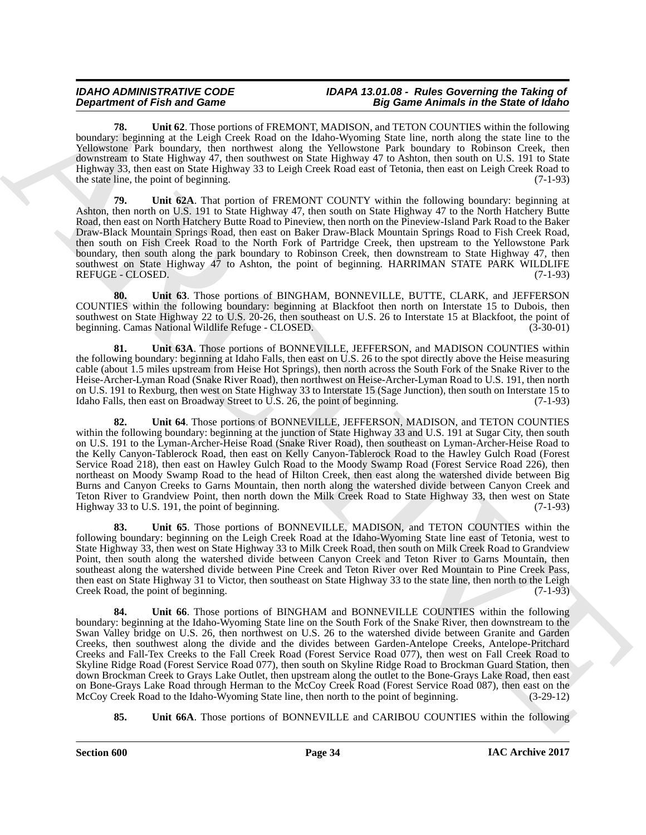**78. Unit 62**. Those portions of FREMONT, MADISON, and TETON COUNTIES within the following boundary: beginning at the Leigh Creek Road on the Idaho-Wyoming State line, north along the state line to the Yellowstone Park boundary, then northwest along the Yellowstone Park boundary to Robinson Creek, then downstream to State Highway 47, then southwest on State Highway 47 to Ashton, then south on U.S. 191 to State Highway 33, then east on State Highway 33 to Leigh Creek Road east of Tetonia, then east on Leigh Creek Road to the state line, the point of beginning.  $(7-1-93)$ 

**79. Unit 62A**. That portion of FREMONT COUNTY within the following boundary: beginning at Ashton, then north on U.S. 191 to State Highway 47, then south on State Highway 47 to the North Hatchery Butte Road, then east on North Hatchery Butte Road to Pineview, then north on the Pineview-Island Park Road to the Baker Draw-Black Mountain Springs Road, then east on Baker Draw-Black Mountain Springs Road to Fish Creek Road, then south on Fish Creek Road to the North Fork of Partridge Creek, then upstream to the Yellowstone Park boundary, then south along the park boundary to Robinson Creek, then downstream to State Highway 47, then southwest on State Highway 47 to Ashton, the point of beginning. HARRIMAN STATE PARK WILDLIFE REFUGE - CLOSED. (7-1-93)

**80. Unit 63**. Those portions of BINGHAM, BONNEVILLE, BUTTE, CLARK, and JEFFERSON COUNTIES within the following boundary: beginning at Blackfoot then north on Interstate 15 to Dubois, then southwest on State Highway 22 to U.S. 20-26, then southeast on U.S. 26 to Interstate 15 at Blackfoot, the point of beginning. Camas National Wildlife Refuge - CLOSED. (3-30-01)

**81. Unit 63A**. Those portions of BONNEVILLE, JEFFERSON, and MADISON COUNTIES within the following boundary: beginning at Idaho Falls, then east on U.S. 26 to the spot directly above the Heise measuring cable (about 1.5 miles upstream from Heise Hot Springs), then north across the South Fork of the Snake River to the Heise-Archer-Lyman Road (Snake River Road), then northwest on Heise-Archer-Lyman Road to U.S. 191, then north on U.S. 191 to Rexburg, then west on State Highway 33 to Interstate 15 (Sage Junction), then south on Interstate 15 to Idaho Falls, then east on Broadway Street to U.S. 26, the point of beginning. (7-1-93)

**82. Unit 64**. Those portions of BONNEVILLE, JEFFERSON, MADISON, and TETON COUNTIES within the following boundary: beginning at the junction of State Highway 33 and U.S. 191 at Sugar City, then south on U.S. 191 to the Lyman-Archer-Heise Road (Snake River Road), then southeast on Lyman-Archer-Heise Road to the Kelly Canyon-Tablerock Road, then east on Kelly Canyon-Tablerock Road to the Hawley Gulch Road (Forest Service Road 218), then east on Hawley Gulch Road to the Moody Swamp Road (Forest Service Road 226), then northeast on Moody Swamp Road to the head of Hilton Creek, then east along the watershed divide between Big Burns and Canyon Creeks to Garns Mountain, then north along the watershed divide between Canyon Creek and Teton River to Grandview Point, then north down the Milk Creek Road to State Highway 33, then west on State Highway 33 to U.S. 191, the point of beginning. (7-1-93)

**83. Unit 65**. Those portions of BONNEVILLE, MADISON, and TETON COUNTIES within the following boundary: beginning on the Leigh Creek Road at the Idaho-Wyoming State line east of Tetonia, west to State Highway 33, then west on State Highway 33 to Milk Creek Road, then south on Milk Creek Road to Grandview Point, then south along the watershed divide between Canyon Creek and Teton River to Garns Mountain, then southeast along the watershed divide between Pine Creek and Teton River over Red Mountain to Pine Creek Pass, then east on State Highway 31 to Victor, then southeast on State Highway 33 to the state line, then north to the Leigh<br>Creek Road, the point of beginning. (7-1-93) Creek Road, the point of beginning.

**Department of Friedrich Control of Plats Control of The Law Control of The Similar Control of The Control of Control of Control of Control of Control of Control of Control of Control of Control of Control of Control of C Unit 66.** Those portions of BINGHAM and BONNEVILLE COUNTIES within the following boundary: beginning at the Idaho-Wyoming State line on the South Fork of the Snake River, then downstream to the Swan Valley bridge on U.S. 26, then northwest on U.S. 26 to the watershed divide between Granite and Garden Creeks, then southwest along the divide and the divides between Garden-Antelope Creeks, Antelope-Pritchard Creeks and Fall-Tex Creeks to the Fall Creek Road (Forest Service Road 077), then west on Fall Creek Road to Skyline Ridge Road (Forest Service Road 077), then south on Skyline Ridge Road to Brockman Guard Station, then down Brockman Creek to Grays Lake Outlet, then upstream along the outlet to the Bone-Grays Lake Road, then east on Bone-Grays Lake Road through Herman to the McCoy Creek Road (Forest Service Road 087), then east on the McCoy Creek Road to the Idaho-Wyoming State line, then north to the point of beginning. (3-29-12) McCoy Creek Road to the Idaho-Wyoming State line, then north to the point of beginning.

**85.** Unit 66A. Those portions of BONNEVILLE and CARIBOU COUNTIES within the following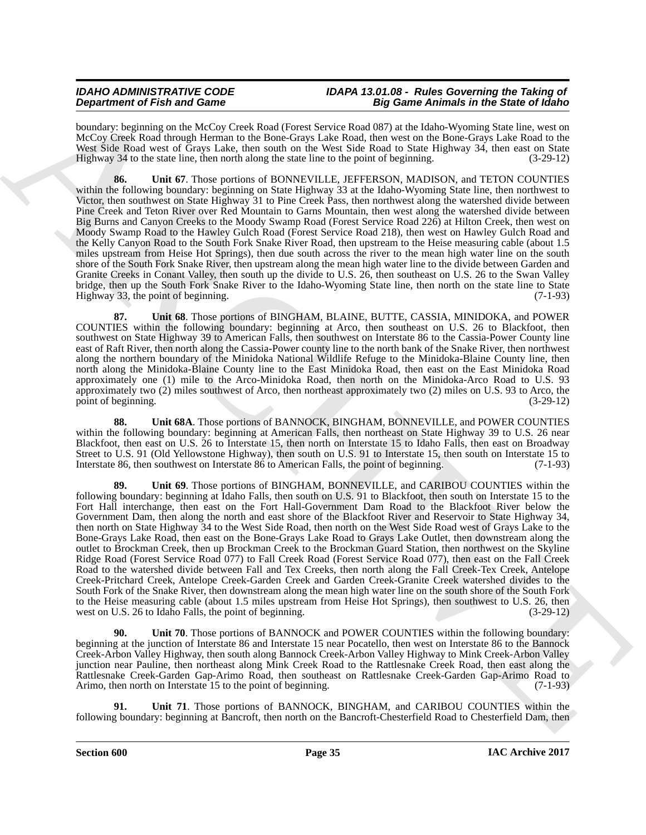boundary: beginning on the McCoy Creek Road (Forest Service Road 087) at the Idaho-Wyoming State line, west on McCoy Creek Road through Herman to the Bone-Grays Lake Road, then west on the Bone-Grays Lake Road to the West Side Road west of Grays Lake, then south on the West Side Road to State Highway 34, then east on State Highway 34 to the state line, then north along the state line to the point of beginning. (3-29-12)

**86. Unit 67**. Those portions of BONNEVILLE, JEFFERSON, MADISON, and TETON COUNTIES within the following boundary: beginning on State Highway 33 at the Idaho-Wyoming State line, then northwest to Victor, then southwest on State Highway 31 to Pine Creek Pass, then northwest along the watershed divide between Pine Creek and Teton River over Red Mountain to Garns Mountain, then west along the watershed divide between Big Burns and Canyon Creeks to the Moody Swamp Road (Forest Service Road 226) at Hilton Creek, then west on Moody Swamp Road to the Hawley Gulch Road (Forest Service Road 218), then west on Hawley Gulch Road and the Kelly Canyon Road to the South Fork Snake River Road, then upstream to the Heise measuring cable (about 1.5 miles upstream from Heise Hot Springs), then due south across the river to the mean high water line on the south shore of the South Fork Snake River, then upstream along the mean high water line to the divide between Garden and Granite Creeks in Conant Valley, then south up the divide to U.S. 26, then southeast on U.S. 26 to the Swan Valley bridge, then up the South Fork Snake River to the Idaho-Wyoming State line, then north on the state line to State Highway 33, the point of beginning. (7-1-93) Highway 33, the point of beginning.

**87. Unit 68**. Those portions of BINGHAM, BLAINE, BUTTE, CASSIA, MINIDOKA, and POWER COUNTIES within the following boundary: beginning at Arco, then southeast on U.S. 26 to Blackfoot, then southwest on State Highway 39 to American Falls, then southwest on Interstate 86 to the Cassia-Power County line east of Raft River, then north along the Cassia-Power county line to the north bank of the Snake River, then northwest along the northern boundary of the Minidoka National Wildlife Refuge to the Minidoka-Blaine County line, then north along the Minidoka-Blaine County line to the East Minidoka Road, then east on the East Minidoka Road approximately one (1) mile to the Arco-Minidoka Road, then north on the Minidoka-Arco Road to U.S. 93 approximately two (2) miles southwest of Arco, then northeast approximately two (2) miles on U.S. 93 to Arco, the point of beginning. (3-29-12) point of beginning.

**88. Unit 68A**. Those portions of BANNOCK, BINGHAM, BONNEVILLE, and POWER COUNTIES within the following boundary: beginning at American Falls, then northeast on State Highway 39 to U.S. 26 near Blackfoot, then east on U.S. 26 to Interstate 15, then north on Interstate 15 to Idaho Falls, then east on Broadway Street to U.S. 91 (Old Yellowstone Highway), then south on U.S. 91 to Interstate 15, then south on Interstate 15 to Interstate 86, then southwest on Interstate 86 to American Falls, the point of beginning. (7-1-93)

**Dependent of Finite and Consel and Consel and Consel and Consel and Consel and Consel and Consel and Consel and Consel and Consel and Consel and Consel and Consel and Consel and Consel and Consel and Consel and Consel an 89. Unit 69**. Those portions of BINGHAM, BONNEVILLE, and CARIBOU COUNTIES within the following boundary: beginning at Idaho Falls, then south on U.S. 91 to Blackfoot, then south on Interstate 15 to the Fort Hall interchange, then east on the Fort Hall-Government Dam Road to the Blackfoot River below the Government Dam, then along the north and east shore of the Blackfoot River and Reservoir to State Highway 34, then north on State Highway 34 to the West Side Road, then north on the West Side Road west of Grays Lake to the Bone-Grays Lake Road, then east on the Bone-Grays Lake Road to Grays Lake Outlet, then downstream along the outlet to Brockman Creek, then up Brockman Creek to the Brockman Guard Station, then northwest on the Skyline Ridge Road (Forest Service Road 077) to Fall Creek Road (Forest Service Road 077), then east on the Fall Creek Road to the watershed divide between Fall and Tex Creeks, then north along the Fall Creek-Tex Creek, Antelope Creek-Pritchard Creek, Antelope Creek-Garden Creek and Garden Creek-Granite Creek watershed divides to the South Fork of the Snake River, then downstream along the mean high water line on the south shore of the South Fork to the Heise measuring cable (about 1.5 miles upstream from Heise Hot Springs), then southwest to U.S. 26, then west on U.S. 26 to Idaho Falls, the point of beginning. (3-29-12)

Unit 70. Those portions of BANNOCK and POWER COUNTIES within the following boundary: beginning at the junction of Interstate 86 and Interstate 15 near Pocatello, then west on Interstate 86 to the Bannock Creek-Arbon Valley Highway, then south along Bannock Creek-Arbon Valley Highway to Mink Creek-Arbon Valley junction near Pauline, then northeast along Mink Creek Road to the Rattlesnake Creek Road, then east along the Rattlesnake Creek-Garden Gap-Arimo Road, then southeast on Rattlesnake Creek-Garden Gap-Arimo Road to Arimo, then north on Interstate 15 to the point of beginning. (7-1-93)

**91. Unit 71**. Those portions of BANNOCK, BINGHAM, and CARIBOU COUNTIES within the following boundary: beginning at Bancroft, then north on the Bancroft-Chesterfield Road to Chesterfield Dam, then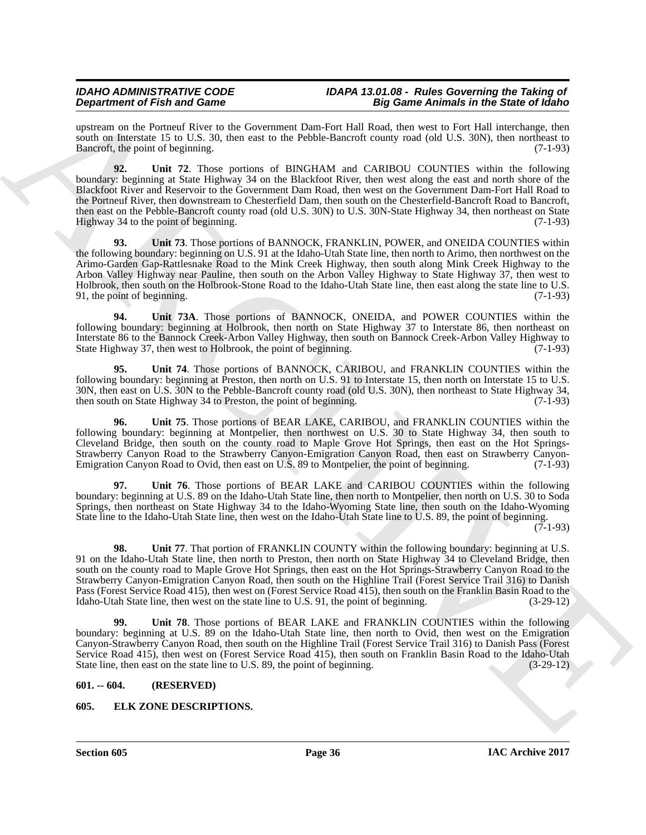upstream on the Portneuf River to the Government Dam-Fort Hall Road, then west to Fort Hall interchange, then south on Interstate 15 to U.S. 30, then east to the Pebble-Bancroft county road (old U.S. 30N), then northeast to Bancroft, the point of beginning. (7-1-93)

**92. Unit 72**. Those portions of BINGHAM and CARIBOU COUNTIES within the following boundary: beginning at State Highway 34 on the Blackfoot River, then west along the east and north shore of the Blackfoot River and Reservoir to the Government Dam Road, then west on the Government Dam-Fort Hall Road to the Portneuf River, then downstream to Chesterfield Dam, then south on the Chesterfield-Bancroft Road to Bancroft, then east on the Pebble-Bancroft county road (old U.S. 30N) to U.S. 30N-State Highway 34, then northeast on State Highway 34 to the point of beginning. (7-1-93)

**93. Unit 73**. Those portions of BANNOCK, FRANKLIN, POWER, and ONEIDA COUNTIES within the following boundary: beginning on U.S. 91 at the Idaho-Utah State line, then north to Arimo, then northwest on the Arimo-Garden Gap-Rattlesnake Road to the Mink Creek Highway, then south along Mink Creek Highway to the Arbon Valley Highway near Pauline, then south on the Arbon Valley Highway to State Highway 37, then west to Holbrook, then south on the Holbrook-Stone Road to the Idaho-Utah State line, then east along the state line to U.S. 91, the point of beginning.

Unit 73A. Those portions of BANNOCK, ONEIDA, and POWER COUNTIES within the following boundary: beginning at Holbrook, then north on State Highway 37 to Interstate 86, then northeast on Interstate 86 to the Bannock Creek-Arbon Valley Highway, then south on Bannock Creek-Arbon Valley Highway to State Highway 37, then west to Holbrook, the point of beginning.

**95. Unit 74**. Those portions of BANNOCK, CARIBOU, and FRANKLIN COUNTIES within the following boundary: beginning at Preston, then north on U.S. 91 to Interstate 15, then north on Interstate 15 to U.S. 30N, then east on U.S. 30N to the Pebble-Bancroft county road (old U.S. 30N), then northeast to State Highway 34, then south on State Highway 34 to Preston, the point of beginning. (7-1-93) then south on State Highway 34 to Preston, the point of beginning.

**96. Unit 75**. Those portions of BEAR LAKE, CARIBOU, and FRANKLIN COUNTIES within the following boundary: beginning at Montpelier, then northwest on U.S. 30 to State Highway 34, then south to Cleveland Bridge, then south on the county road to Maple Grove Hot Springs, then east on the Hot Springs-Strawberry Canyon Road to the Strawberry Canyon-Emigration Canyon Road, then east on Strawberry Canyon-Emigration Canyon Road to Ovid, then east on U.S. 89 to Montpelier, the point of beginning.

**97. Unit 76**. Those portions of BEAR LAKE and CARIBOU COUNTIES within the following boundary: beginning at U.S. 89 on the Idaho-Utah State line, then north to Montpelier, then north on U.S. 30 to Soda Springs, then northeast on State Highway 34 to the Idaho-Wyoming State line, then south on the Idaho-Wyoming State line to the Idaho-Utah State line, then west on the Idaho-Utah State line to U.S. 89, the point of beginning.

 $(7-1-93)$ 

**Dependent of Fair and Cases.**<br> **State and Case 2** Constraint Dark Principle 10.2 (Secondary Dark Principle 10.2) (Secondary 10.2) (Secondary 10.2) (Secondary 10.2) (Secondary 10.2) (Secondary 10.2) (Secondary 10.2) (Seco **98. Unit 77.** That portion of FRANKLIN COUNTY within the following boundary: beginning at U.S. 91 on the Idaho-Utah State line, then north to Preston, then north on State Highway 34 to Cleveland Bridge, then south on the county road to Maple Grove Hot Springs, then east on the Hot Springs-Strawberry Canyon Road to the Strawberry Canyon-Emigration Canyon Road, then south on the Highline Trail (Forest Service Trail 316) to Danish Pass (Forest Service Road 415), then west on (Forest Service Road 415), then south on the Franklin Basin Road to the Idaho-Utah State line, then west on the state line to U.S. 91, the point of beginning. (3-29-12) Idaho-Utah State line, then west on the state line to U.S. 91, the point of beginning.

**99. Unit 78**. Those portions of BEAR LAKE and FRANKLIN COUNTIES within the following boundary: beginning at U.S. 89 on the Idaho-Utah State line, then north to Ovid, then west on the Emigration Canyon-Strawberry Canyon Road, then south on the Highline Trail (Forest Service Trail 316) to Danish Pass (Forest Service Road 415), then west on (Forest Service Road 415), then south on Franklin Basin Road to the Idaho-Utah State line, then east on the state line to U.S. 89, the point of beginning. (3-29-12)

### <span id="page-35-0"></span>**601. -- 604. (RESERVED)**

### <span id="page-35-2"></span><span id="page-35-1"></span>**605. ELK ZONE DESCRIPTIONS.**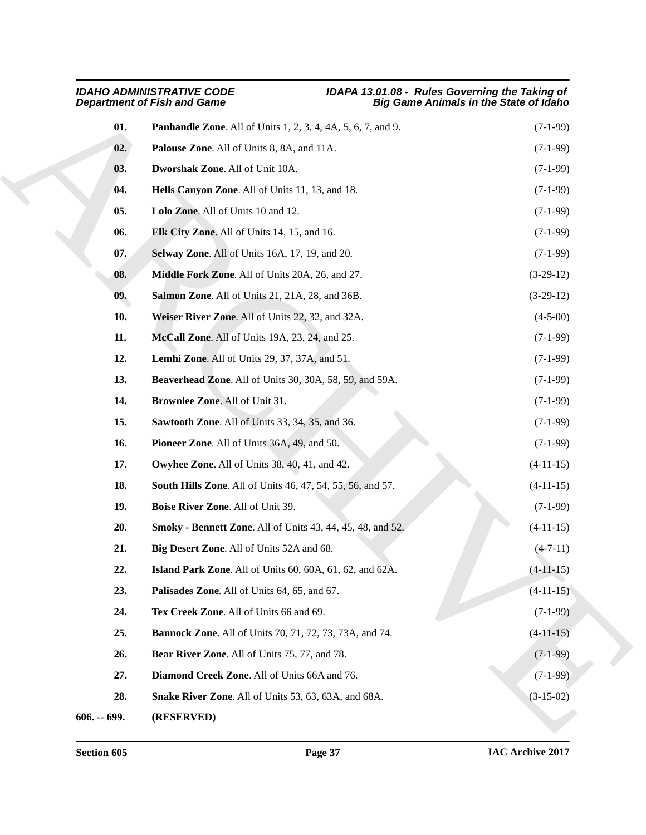<span id="page-36-28"></span><span id="page-36-27"></span><span id="page-36-26"></span><span id="page-36-25"></span><span id="page-36-24"></span><span id="page-36-23"></span><span id="page-36-22"></span><span id="page-36-21"></span><span id="page-36-20"></span><span id="page-36-19"></span><span id="page-36-18"></span><span id="page-36-17"></span><span id="page-36-16"></span><span id="page-36-15"></span><span id="page-36-14"></span><span id="page-36-13"></span><span id="page-36-12"></span><span id="page-36-11"></span><span id="page-36-10"></span><span id="page-36-9"></span><span id="page-36-8"></span><span id="page-36-7"></span><span id="page-36-6"></span><span id="page-36-5"></span><span id="page-36-4"></span><span id="page-36-3"></span><span id="page-36-2"></span><span id="page-36-1"></span><span id="page-36-0"></span>

|               | <b>IDAHO ADMINISTRATIVE CODE</b><br><b>Department of Fish and Game</b> | IDAPA 13.01.08 - Rules Governing the Taking of<br><b>Big Game Animals in the State of Idaho</b> |
|---------------|------------------------------------------------------------------------|-------------------------------------------------------------------------------------------------|
| 01.           | <b>Panhandle Zone.</b> All of Units 1, 2, 3, 4, 4A, 5, 6, 7, and 9.    | $(7-1-99)$                                                                                      |
| 02.           | Palouse Zone. All of Units 8, 8A, and 11A.                             | $(7-1-99)$                                                                                      |
| 03.           | Dworshak Zone. All of Unit 10A.                                        | $(7-1-99)$                                                                                      |
| 04.           | Hells Canyon Zone. All of Units 11, 13, and 18.                        | $(7-1-99)$                                                                                      |
| 05.           | Lolo Zone. All of Units 10 and 12.                                     | $(7-1-99)$                                                                                      |
| 06.           | Elk City Zone. All of Units 14, 15, and 16.                            | $(7-1-99)$                                                                                      |
| 07.           | Selway Zone. All of Units 16A, 17, 19, and 20.                         | $(7-1-99)$                                                                                      |
| 08.           | Middle Fork Zone. All of Units 20A, 26, and 27.                        | $(3-29-12)$                                                                                     |
| 09.           | Salmon Zone. All of Units 21, 21A, 28, and 36B.                        | $(3-29-12)$                                                                                     |
| 10.           | Weiser River Zone. All of Units 22, 32, and 32A.                       | $(4-5-00)$                                                                                      |
| 11.           | McCall Zone. All of Units 19A, 23, 24, and 25.                         | $(7-1-99)$                                                                                      |
| 12.           | <b>Lemhi Zone.</b> All of Units 29, 37, 37A, and 51.                   | $(7-1-99)$                                                                                      |
| 13.           | Beaverhead Zone. All of Units 30, 30A, 58, 59, and 59A.                | $(7-1-99)$                                                                                      |
| 14.           | Brownlee Zone. All of Unit 31.                                         | $(7-1-99)$                                                                                      |
| 15.           | Sawtooth Zone. All of Units 33, 34, 35, and 36.                        | $(7-1-99)$                                                                                      |
| 16.           | Pioneer Zone. All of Units 36A, 49, and 50.                            | $(7-1-99)$                                                                                      |
| 17.           | Owyhee Zone. All of Units 38, 40, 41, and 42.                          | $(4-11-15)$                                                                                     |
| 18.           | <b>South Hills Zone.</b> All of Units 46, 47, 54, 55, 56, and 57.      | $(4-11-15)$                                                                                     |
| 19.           | Boise River Zone. All of Unit 39.                                      | $(7-1-99)$                                                                                      |
| 20.           | <b>Smoky - Bennett Zone</b> . All of Units 43, 44, 45, 48, and 52.     | $(4-11-15)$                                                                                     |
| 21.           | Big Desert Zone. All of Units 52A and 68.                              | $(4-7-11)$                                                                                      |
| 22.           | Island Park Zone. All of Units 60, 60A, 61, 62, and 62A.               | $(4-11-15)$                                                                                     |
| 23.           | Palisades Zone. All of Units 64, 65, and 67.                           | $(4-11-15)$                                                                                     |
| 24.           | Tex Creek Zone. All of Units 66 and 69.                                | $(7-1-99)$                                                                                      |
| 25.           | <b>Bannock Zone.</b> All of Units 70, 71, 72, 73, 73A, and 74.         | $(4-11-15)$                                                                                     |
| 26.           | Bear River Zone. All of Units 75, 77, and 78.                          | $(7-1-99)$                                                                                      |
| 27.           | Diamond Creek Zone. All of Units 66A and 76.                           | $(7-1-99)$                                                                                      |
| 28.           | Snake River Zone. All of Units 53, 63, 63A, and 68A.                   | $(3-15-02)$                                                                                     |
| $606. - 699.$ | (RESERVED)                                                             |                                                                                                 |
|               |                                                                        |                                                                                                 |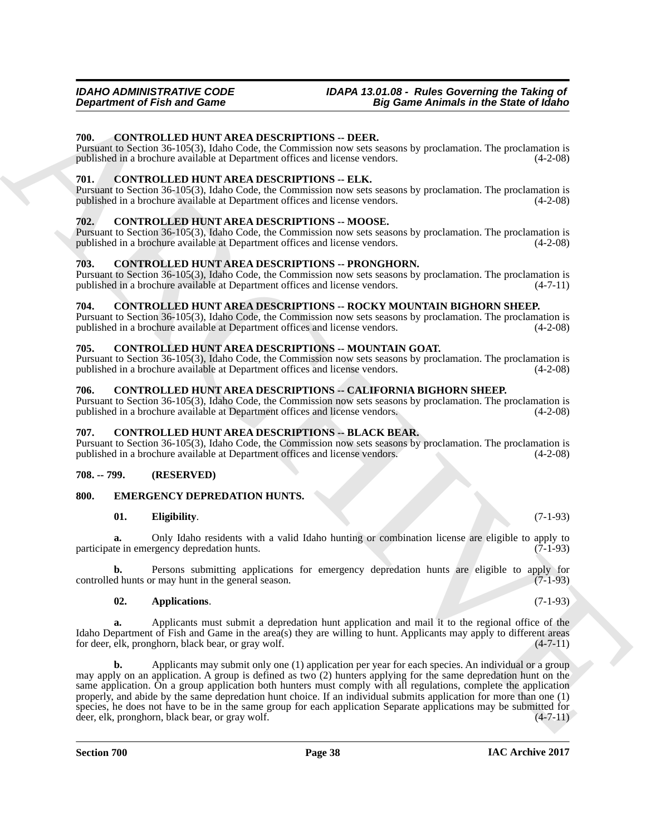#### <span id="page-37-11"></span><span id="page-37-0"></span>**700. CONTROLLED HUNT AREA DESCRIPTIONS -- DEER.**

Pursuant to Section 36-105(3), Idaho Code, the Commission now sets seasons by proclamation. The proclamation is published in a brochure available at Department offices and license vendors. (4-2-08)

#### <span id="page-37-12"></span><span id="page-37-1"></span>**701. CONTROLLED HUNT AREA DESCRIPTIONS -- ELK.**

Pursuant to Section 36-105(3), Idaho Code, the Commission now sets seasons by proclamation. The proclamation is published in a brochure available at Department offices and license vendors. (4-2-08)

#### <span id="page-37-13"></span><span id="page-37-2"></span>**702. CONTROLLED HUNT AREA DESCRIPTIONS -- MOOSE.**

Pursuant to Section 36-105(3), Idaho Code, the Commission now sets seasons by proclamation. The proclamation is published in a brochure available at Department offices and license vendors.

#### <span id="page-37-15"></span><span id="page-37-3"></span>**703. CONTROLLED HUNT AREA DESCRIPTIONS -- PRONGHORN.**

Pursuant to Section 36-105(3), Idaho Code, the Commission now sets seasons by proclamation. The proclamation is published in a brochure available at Department offices and license vendors.

#### <span id="page-37-16"></span><span id="page-37-4"></span>**704. CONTROLLED HUNT AREA DESCRIPTIONS -- ROCKY MOUNTAIN BIGHORN SHEEP.**

Pursuant to Section 36-105(3), Idaho Code, the Commission now sets seasons by proclamation. The proclamation is published in a brochure available at Department offices and license vendors. (4-2-08)

### <span id="page-37-14"></span><span id="page-37-5"></span>**705. CONTROLLED HUNT AREA DESCRIPTIONS -- MOUNTAIN GOAT.**

Pursuant to Section 36-105(3), Idaho Code, the Commission now sets seasons by proclamation. The proclamation is published in a brochure available at Department offices and license vendors.

### <span id="page-37-17"></span><span id="page-37-6"></span>**706. CONTROLLED HUNT AREA DESCRIPTIONS -- CALIFORNIA BIGHORN SHEEP.**

Pursuant to Section 36-105(3), Idaho Code, the Commission now sets seasons by proclamation. The proclamation is published in a brochure available at Department offices and license vendors.

#### <span id="page-37-10"></span><span id="page-37-7"></span>**707. CONTROLLED HUNT AREA DESCRIPTIONS -- BLACK BEAR.**

Pursuant to Section 36-105(3), Idaho Code, the Commission now sets seasons by proclamation. The proclamation is published in a brochure available at Department offices and license vendors. (4-2-08)

### <span id="page-37-8"></span>**708. -- 799. (RESERVED)**

#### <span id="page-37-9"></span>**800. EMERGENCY DEPREDATION HUNTS.**

#### <span id="page-37-20"></span><span id="page-37-18"></span>**01. Eligibility**. (7-1-93)

**a.** Only Idaho residents with a valid Idaho hunting or combination license are eligible to apply to te in emergency depredation hunts. (7-1-93) participate in emergency depredation hunts.

**b.** Persons submitting applications for emergency depredation hunts are eligible to apply for d hunts or may hunt in the general season. (7-1-93) controlled hunts or may hunt in the general season.

#### <span id="page-37-19"></span>**02. Applications**. (7-1-93)

**a.** Applicants must submit a depredation hunt application and mail it to the regional office of the Idaho Department of Fish and Game in the area(s) they are willing to hunt. Applicants may apply to different areas for deer, elk, pronghorn, black bear, or gray wolf.  $(4-7-11)$ for deer, elk, pronghorn, black bear, or gray wolf.

**Department of Fish and Game<br>
2011 CONTROLLED HUNGAREA DESCRIPTIONS - DEEDE.**<br>
THE CONTROLLED HUNGAREA DESCRIPTIONS - DEEDE.<br>
THE CONTROLLED HUNGAREA CONTROLLED HUNGAREA CONTROLLED HUNGAREA CONTROLLED HUNGAREA CONTROLLED **b.** Applicants may submit only one (1) application per year for each species. An individual or a group may apply on an application. A group is defined as two  $(2)$  hunters applying for the same depredation hunt on the same application. On a group application both hunters must comply with all regulations, complete the application properly, and abide by the same depredation hunt choice. If an individual submits application for more than one (1) species, he does not have to be in the same group for each application Separate applications may be submitted for deer, elk, pronghorn, black bear, or gray wolf. deer, elk, pronghorn, black bear, or gray wolf.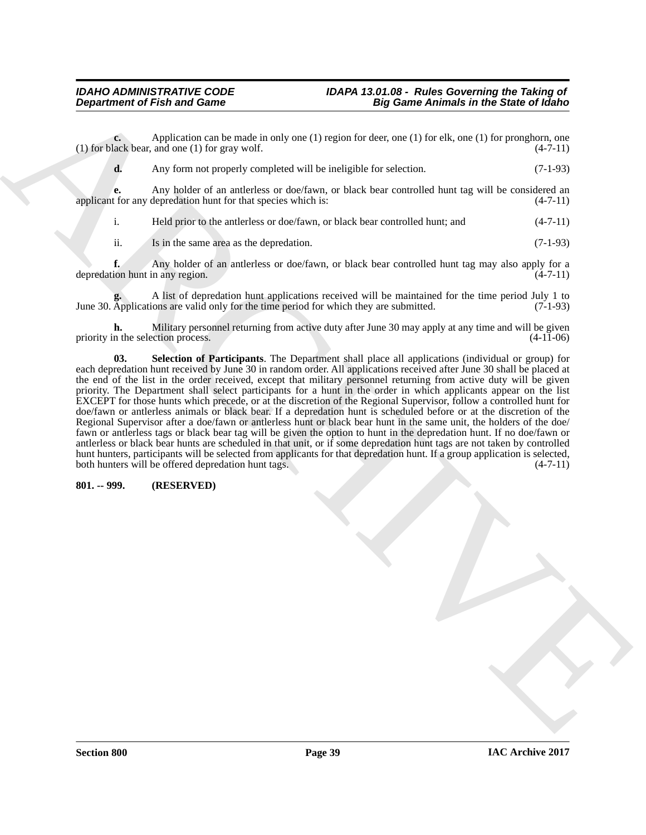## *IDAHO ADMINISTRATIVE CODE IDAPA 13.01.08 - Rules Governing the Taking of*

**c.** Application can be made in only one (1) region for deer, one (1) for elk, one (1) for pronghorn, one lack bear, and one (1) for gray wolf. (4-7-11) (1) for black bear, and one  $(1)$  for gray wolf.

**d.** Any form not properly completed will be ineligible for selection.  $(7-1-93)$ 

**e.** Any holder of an antlerless or doe/fawn, or black bear controlled hunt tag will be considered an applicant for any depredation hunt for that species which is: (4-7-11)

i. Held prior to the antlerless or doe/fawn, or black bear controlled hunt; and (4-7-11)

ii. Is in the same area as the depredation. (7-1-93)

**f.** Any holder of an antlerless or doe/fawn, or black bear controlled hunt tag may also apply for a depredation hunt in any region. (4-7-11)

**g.** A list of depredation hunt applications received will be maintained for the time period July 1 to Applications are valid only for the time period for which they are submitted. (7-1-93) June 30. Applications are valid only for the time period for which they are submitted.

<span id="page-38-1"></span>**h.** Military personnel returning from active duty after June 30 may apply at any time and will be given n the selection process. (4-11-06) priority in the selection process.

**Department of Frish and Game**<br>
(the spin of the make is unit on the particular term of the spin of the spin of the spin of the spin of the spin of the spin of the spin of the spin of the spin of the spin of the spin of t **03. Selection of Participants**. The Department shall place all applications (individual or group) for each depredation hunt received by June 30 in random order. All applications received after June 30 shall be placed at the end of the list in the order received, except that military personnel returning from active duty will be given priority. The Department shall select participants for a hunt in the order in which applicants appear on the list EXCEPT for those hunts which precede, or at the discretion of the Regional Supervisor, follow a controlled hunt for doe/fawn or antlerless animals or black bear. If a depredation hunt is scheduled before or at the discretion of the Regional Supervisor after a doe/fawn or antlerless hunt or black bear hunt in the same unit, the holders of the doe/ fawn or antlerless tags or black bear tag will be given the option to hunt in the depredation hunt. If no doe/fawn or antlerless or black bear hunts are scheduled in that unit, or if some depredation hunt tags are not taken by controlled hunt hunters, participants will be selected from applicants for that depredation hunt. If a group application is selected, both hunters will be offered depredation hunt tags. (4-7-11)

#### <span id="page-38-0"></span>**801. -- 999. (RESERVED)**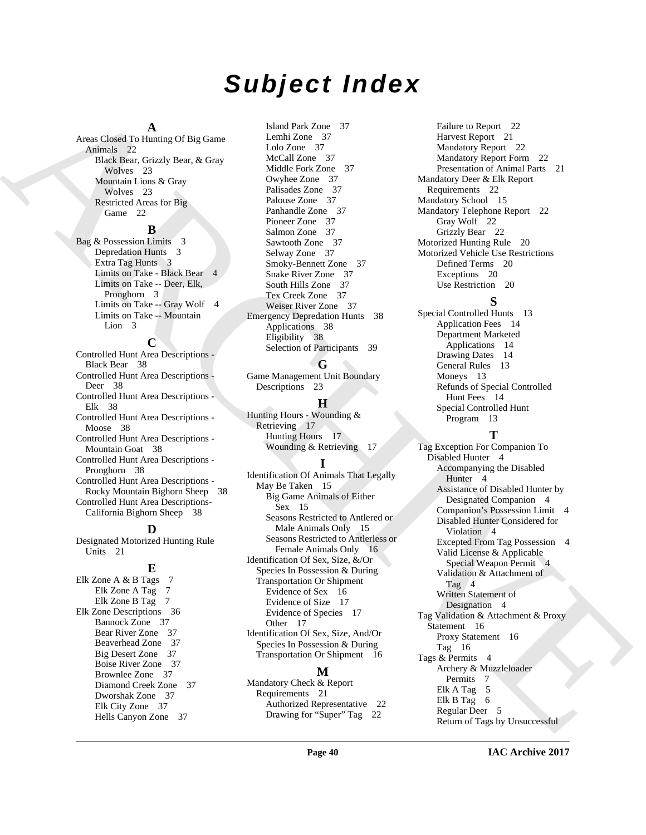## *Subject Index*

### **A**

Areas Closed To Hunting Of Big Game Animals 22 Black Bear, Grizzly Bear, & Gray Wolves 23 Mountain Lions & Gray Wolves 23 Restricted Areas for Big Game 22

#### **B**

Bag & Possession Limits 3 Depredation Hunts 3 Extra Tag Hunts 3 Limits on Take - Black Bear 4 Limits on Take -- Deer, Elk, Pronghorn 3 Limits on Take -- Gray Wolf 4 Limits on Take -- Mountain Lion 3

### **C**

Controlled Hunt Area Descriptions - Black Bear 38 Controlled Hunt Area Descriptions - Deer 38 Controlled Hunt Area Descriptions - Elk 38 Controlled Hunt Area Descriptions - Moose 38 Controlled Hunt Area Descriptions - Mountain Goat 38 Controlled Hunt Area Descriptions - Pronghorn 38 Controlled Hunt Area Descriptions - Rocky Mountain Bighorn Sheep 38 Controlled Hunt Area Descriptions-California Bighorn Sheep 38

#### **D**

Designated Motorized Hunting Rule Units 21

### **E**

Elk Zone A & B Tags 7 Elk Zone A Tag 7 Elk Zone B Tag 7 Elk Zone Descriptions 36 Bannock Zone 37 Bear River Zone 37 Beaverhead Zone 37 Big Desert Zone 37 Boise River Zone 37 Brownlee Zone 37 Diamond Creek Zone 37 Dworshak Zone 37 Elk City Zone 37 Hells Canyon Zone 37

Island Park Zone 37 Lemhi Zone 37 Lolo Zone 37 McCall Zone 37 Middle Fork Zone 37 Owyhee Zone 37 Palisades Zone 37 Palouse Zone 37 Panhandle Zone 37 Pioneer Zone 37 Salmon Zone 37 Sawtooth Zone 37 Selway Zone 37 Smoky-Bennett Zone 37 Snake River Zone 37 South Hills Zone 37 Tex Creek Zone 37 Weiser River Zone 37 Emergency Depredation Hunts 38 Applications 38 Eligibility 38 Selection of Participants 39

### **G**

Game Management Unit Boundary Descriptions 23

### **H**

Hunting Hours - Wounding & Retrieving 17 Hunting Hours 17 Wounding & Retrieving 17

### **I**

Identification Of Animals That Legally May Be Taken 15 Big Game Animals of Either Sex 15 Seasons Restricted to Antlered or Male Animals Only 15 Seasons Restricted to Antlerless or Female Animals Only 16 Identification Of Sex, Size, &/Or Species In Possession & During Transportation Or Shipment Evidence of Sex 16 Evidence of Size 17 Evidence of Species 17 Other 17 Identification Of Sex, Size, And/Or Species In Possession & During Transportation Or Shipment 16

### **M**

Mandatory Check & Report Requirements 21 Authorized Representative 22 Drawing for "Super" Tag 22

Failure to Report 22 Harvest Report 21 Mandatory Report 22 Mandatory Report Form 22 Presentation of Animal Parts 21 Mandatory Deer & Elk Report Requirements 22 Mandatory School 15 Mandatory Telephone Report 22 Gray Wolf 22 Grizzly Bear 22 Motorized Hunting Rule 20 Motorized Vehicle Use Restrictions Defined Terms 20 Exceptions 20 Use Restriction 20

### **S**

Special Controlled Hunts 13 Application Fees 14 Department Marketed Applications 14 Drawing Dates 14 General Rules 13 Moneys 13 Refunds of Special Controlled Hunt Fees 14 Special Controlled Hunt Program 13

#### **T**

[A](#page-21-4)rchives the set of the set of the set of the set of the set of the set of the set of the set of the set of the set of the set of the set of the set of the set of the set of the set of the set of the set of the set of the Tag Exception For Companion To Disabled Hunter 4 Accompanying the Disabled Hunter<sub>4</sub> Assistance of Disabled Hunter by Designated Companion 4 Companion's Possession Limit 4 Disabled Hunter Considered for Violation 4 Excepted From Tag Possession 4 Valid License & Applicable Special Weapon Permit 4 Validation & Attachment of Tag 4 Written Statement of Designation 4 Tag Validation & Attachment & Proxy Statement 16 Proxy Statement 16 Tag 16 Tags & Permits 4 Archery & Muzzleloader Permits 7 Elk A Tag 5 Elk B Tag 6 Regular Deer 5 Return of Tags by Unsuccessful